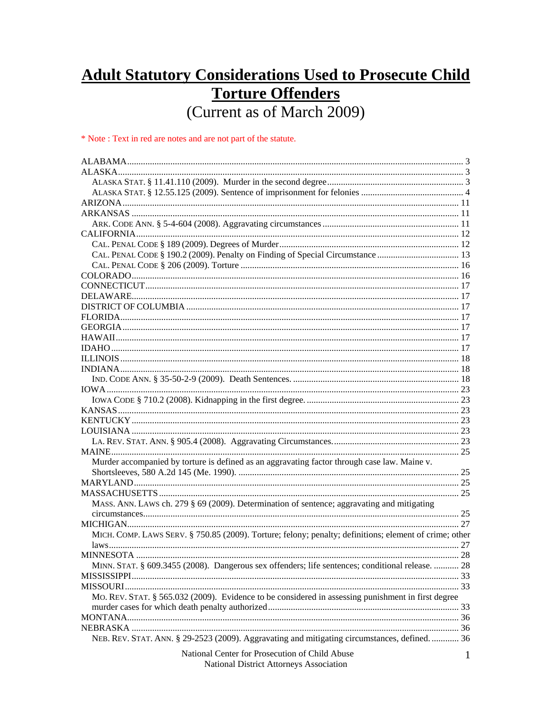# **Adult Statutory Considerations Used to Prosecute Child Torture Offenders**

(Current as of March 2009)

\* Note: Text in red are notes and are not part of the statute.

| CAL. PENAL CODE § 190.2 (2009). Penalty on Finding of Special Circumstance  13                         |   |
|--------------------------------------------------------------------------------------------------------|---|
|                                                                                                        |   |
|                                                                                                        |   |
|                                                                                                        |   |
|                                                                                                        |   |
|                                                                                                        |   |
|                                                                                                        |   |
|                                                                                                        |   |
|                                                                                                        |   |
|                                                                                                        |   |
|                                                                                                        |   |
|                                                                                                        |   |
|                                                                                                        |   |
|                                                                                                        |   |
|                                                                                                        |   |
|                                                                                                        |   |
|                                                                                                        |   |
|                                                                                                        |   |
|                                                                                                        |   |
|                                                                                                        |   |
| Murder accompanied by torture is defined as an aggravating factor through case law. Maine v.           |   |
|                                                                                                        |   |
|                                                                                                        |   |
|                                                                                                        |   |
| MASS. ANN. LAWS ch. 279 § 69 (2009). Determination of sentence; aggravating and mitigating             |   |
|                                                                                                        |   |
|                                                                                                        |   |
| MICH. COMP. LAWS SERV. § 750.85 (2009). Torture; felony; penalty; definitions; element of crime; other |   |
|                                                                                                        |   |
|                                                                                                        |   |
| MINN. STAT. § 609.3455 (2008). Dangerous sex offenders; life sentences; conditional release.  28       |   |
|                                                                                                        |   |
|                                                                                                        |   |
| Mo. REV. STAT. § 565.032 (2009). Evidence to be considered in assessing punishment in first degree     |   |
|                                                                                                        |   |
|                                                                                                        |   |
|                                                                                                        |   |
| NEB. REV. STAT. ANN. § 29-2523 (2009). Aggravating and mitigating circumstances, defined 36            |   |
| National Center for Prosecution of Child Abuse                                                         | 1 |
| National District Attorneys Association                                                                |   |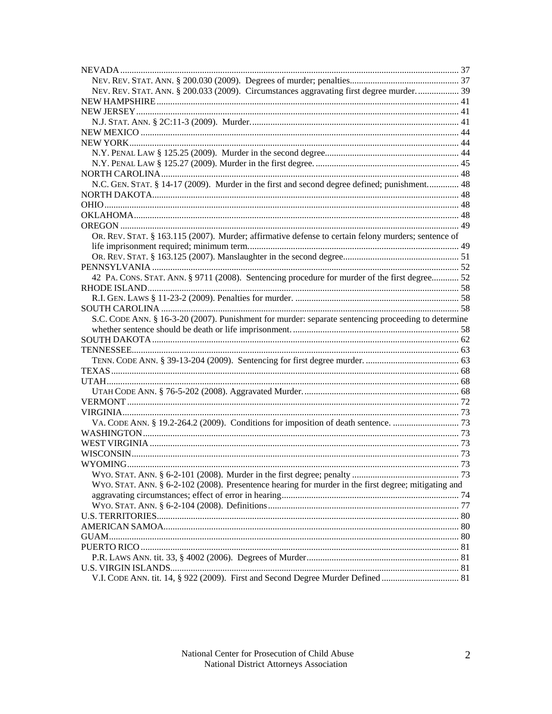| NEV. REV. STAT. ANN. § 200.033 (2009). Circumstances aggravating first degree murder 39              |  |
|------------------------------------------------------------------------------------------------------|--|
|                                                                                                      |  |
|                                                                                                      |  |
|                                                                                                      |  |
|                                                                                                      |  |
|                                                                                                      |  |
|                                                                                                      |  |
|                                                                                                      |  |
|                                                                                                      |  |
| N.C. GEN. STAT. § 14-17 (2009). Murder in the first and second degree defined; punishment 48         |  |
|                                                                                                      |  |
|                                                                                                      |  |
|                                                                                                      |  |
|                                                                                                      |  |
| OR. REV. STAT. § 163.115 (2007). Murder; affirmative defense to certain felony murders; sentence of  |  |
|                                                                                                      |  |
|                                                                                                      |  |
|                                                                                                      |  |
| 42 PA. CONS. STAT. ANN. § 9711 (2008). Sentencing procedure for murder of the first degree 52        |  |
|                                                                                                      |  |
|                                                                                                      |  |
|                                                                                                      |  |
| S.C. CODE ANN. § 16-3-20 (2007). Punishment for murder: separate sentencing proceeding to determine  |  |
|                                                                                                      |  |
|                                                                                                      |  |
|                                                                                                      |  |
|                                                                                                      |  |
|                                                                                                      |  |
|                                                                                                      |  |
|                                                                                                      |  |
|                                                                                                      |  |
|                                                                                                      |  |
|                                                                                                      |  |
|                                                                                                      |  |
|                                                                                                      |  |
|                                                                                                      |  |
|                                                                                                      |  |
|                                                                                                      |  |
| WYO. STAT. ANN. § 6-2-102 (2008). Presentence hearing for murder in the first degree; mitigating and |  |
|                                                                                                      |  |
|                                                                                                      |  |
|                                                                                                      |  |
|                                                                                                      |  |
|                                                                                                      |  |
|                                                                                                      |  |
|                                                                                                      |  |
|                                                                                                      |  |
|                                                                                                      |  |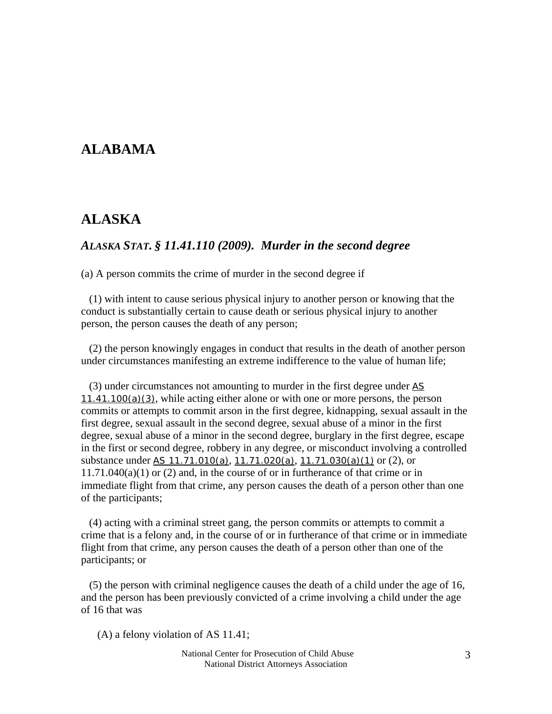### <span id="page-2-0"></span>**ALABAMA**

### **ALASKA**

#### *ALASKA STAT. § 11.41.110 (2009). Murder in the second degree*

(a) A person commits the crime of murder in the second degree if

 (1) with intent to cause serious physical injury to another person or knowing that the conduct is substantially certain to cause death or serious physical injury to another person, the person causes the death of any person;

 (2) the person knowingly engages in conduct that results in the death of another person under circumstances manifesting an extreme indifference to the value of human life;

 (3) under circumstances not amounting to murder in the first degree under [AS](https://www.lexis.com/research/buttonTFLink?_m=15d62539937d56d5daac8242c72cb6c4&_xfercite=%3ccite%20cc%3d%22USA%22%3e%3c%21%5bCDATA%5bAlaska%20Stat.%20%a7%2011.41.110%5d%5d%3e%3c%2fcite%3e&_butType=4&_butStat=0&_butNum=2&_butInline=1&_butinfo=AKCODE%2011.41.100&_fmtstr=FULL&docnum=1&_startdoc=1&wchp=dGLbVlW-zSkAt&_md5=863057a88f378532aba6a4fdcd315012)  [11.41.100\(a\)\(3\)](https://www.lexis.com/research/buttonTFLink?_m=15d62539937d56d5daac8242c72cb6c4&_xfercite=%3ccite%20cc%3d%22USA%22%3e%3c%21%5bCDATA%5bAlaska%20Stat.%20%a7%2011.41.110%5d%5d%3e%3c%2fcite%3e&_butType=4&_butStat=0&_butNum=2&_butInline=1&_butinfo=AKCODE%2011.41.100&_fmtstr=FULL&docnum=1&_startdoc=1&wchp=dGLbVlW-zSkAt&_md5=863057a88f378532aba6a4fdcd315012), while acting either alone or with one or more persons, the person commits or attempts to commit arson in the first degree, kidnapping, sexual assault in the first degree, sexual assault in the second degree, sexual abuse of a minor in the first degree, sexual abuse of a minor in the second degree, burglary in the first degree, escape in the first or second degree, robbery in any degree, or misconduct involving a controlled substance under [AS 11.71.010\(a\)](https://www.lexis.com/research/buttonTFLink?_m=15d62539937d56d5daac8242c72cb6c4&_xfercite=%3ccite%20cc%3d%22USA%22%3e%3c%21%5bCDATA%5bAlaska%20Stat.%20%a7%2011.41.110%5d%5d%3e%3c%2fcite%3e&_butType=4&_butStat=0&_butNum=3&_butInline=1&_butinfo=AKCODE%2011.71.010&_fmtstr=FULL&docnum=1&_startdoc=1&wchp=dGLbVlW-zSkAt&_md5=8fa5fb2610c5491b51cf3d0d8410c696), [11.71.020\(a\)](https://www.lexis.com/research/buttonTFLink?_m=15d62539937d56d5daac8242c72cb6c4&_xfercite=%3ccite%20cc%3d%22USA%22%3e%3c%21%5bCDATA%5bAlaska%20Stat.%20%a7%2011.41.110%5d%5d%3e%3c%2fcite%3e&_butType=4&_butStat=0&_butNum=4&_butInline=1&_butinfo=AKCODE%2011.71.020&_fmtstr=FULL&docnum=1&_startdoc=1&wchp=dGLbVlW-zSkAt&_md5=4f22abf1c418953dc91cc5afc913d285), [11.71.030\(a\)\(1\)](https://www.lexis.com/research/buttonTFLink?_m=15d62539937d56d5daac8242c72cb6c4&_xfercite=%3ccite%20cc%3d%22USA%22%3e%3c%21%5bCDATA%5bAlaska%20Stat.%20%a7%2011.41.110%5d%5d%3e%3c%2fcite%3e&_butType=4&_butStat=0&_butNum=5&_butInline=1&_butinfo=AKCODE%2011.71.030&_fmtstr=FULL&docnum=1&_startdoc=1&wchp=dGLbVlW-zSkAt&_md5=02754e41c4379fe764881f6729d8e94a) or (2), or  $11.71.040(a)(1)$  or (2) and, in the course of or in furtherance of that crime or in immediate flight from that crime, any person causes the death of a person other than one of the participants;

 (4) acting with a criminal street gang, the person commits or attempts to commit a crime that is a felony and, in the course of or in furtherance of that crime or in immediate flight from that crime, any person causes the death of a person other than one of the participants; or

 (5) the person with criminal negligence causes the death of a child under the age of 16, and the person has been previously convicted of a crime involving a child under the age of 16 that was

(A) a felony violation of AS 11.41;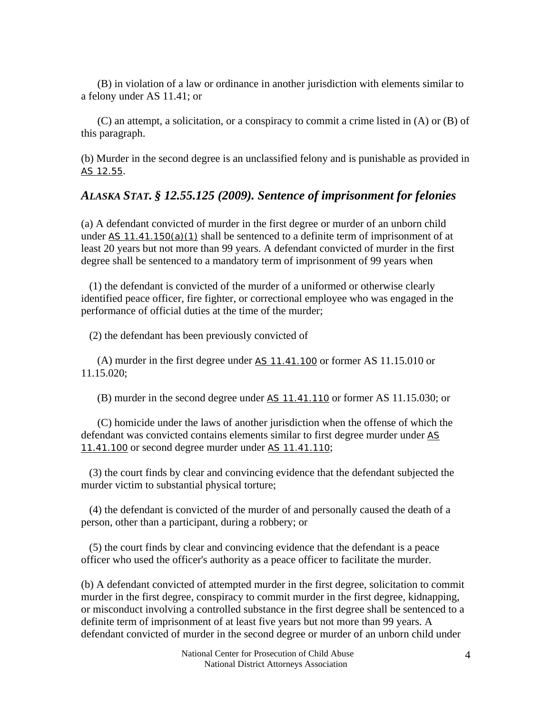<span id="page-3-0"></span> (B) in violation of a law or ordinance in another jurisdiction with elements similar to a felony under AS 11.41; or

 (C) an attempt, a solicitation, or a conspiracy to commit a crime listed in (A) or (B) of this paragraph.

(b) Murder in the second degree is an unclassified felony and is punishable as provided in [AS 12.55](https://www.lexis.com/research/buttonTFLink?_m=15d62539937d56d5daac8242c72cb6c4&_xfercite=%3ccite%20cc%3d%22USA%22%3e%3c%21%5bCDATA%5bAlaska%20Stat.%20%a7%2011.41.110%5d%5d%3e%3c%2fcite%3e&_butType=4&_butStat=0&_butNum=6&_butInline=1&_butinfo=AKCODE%2012.55.010&_fmtstr=FULL&docnum=1&_startdoc=1&wchp=dGLbVlW-zSkAt&_md5=a98bbc3a5836bf8db548b23ce4f4460b).

#### *ALASKA STAT. § 12.55.125 (2009). Sentence of imprisonment for felonies*

(a) A defendant convicted of murder in the first degree or murder of an unborn child under [AS 11.41.150\(a\)\(1\)](https://www.lexis.com/research/buttonTFLink?_m=ed4927d5e39f18fcbf6b1a23329f53cc&_xfercite=%3ccite%20cc%3d%22USA%22%3e%3c%21%5bCDATA%5bAlaska%20Stat.%20%a7%2012.55.125%5d%5d%3e%3c%2fcite%3e&_butType=4&_butStat=0&_butNum=2&_butInline=1&_butinfo=AKCODE%2011.41.150&_fmtstr=FULL&docnum=1&_startdoc=1&wchp=dGLbVlW-zSkAt&_md5=392aee458ceb195d95ad114e62482b7b) shall be sentenced to a definite term of imprisonment of at least 20 years but not more than 99 years. A defendant convicted of murder in the first degree shall be sentenced to a mandatory term of imprisonment of 99 years when

 (1) the defendant is convicted of the murder of a uniformed or otherwise clearly identified peace officer, fire fighter, or correctional employee who was engaged in the performance of official duties at the time of the murder;

(2) the defendant has been previously convicted of

 (A) murder in the first degree under [AS 11.41.100](https://www.lexis.com/research/buttonTFLink?_m=ed4927d5e39f18fcbf6b1a23329f53cc&_xfercite=%3ccite%20cc%3d%22USA%22%3e%3c%21%5bCDATA%5bAlaska%20Stat.%20%a7%2012.55.125%5d%5d%3e%3c%2fcite%3e&_butType=4&_butStat=0&_butNum=3&_butInline=1&_butinfo=AKCODE%2011.41.100&_fmtstr=FULL&docnum=1&_startdoc=1&wchp=dGLbVlW-zSkAt&_md5=04129626bd7b607ced313678ec0c419e) or former AS 11.15.010 or 11.15.020;

(B) murder in the second degree under [AS 11.41.110](https://www.lexis.com/research/buttonTFLink?_m=ed4927d5e39f18fcbf6b1a23329f53cc&_xfercite=%3ccite%20cc%3d%22USA%22%3e%3c%21%5bCDATA%5bAlaska%20Stat.%20%a7%2012.55.125%5d%5d%3e%3c%2fcite%3e&_butType=4&_butStat=0&_butNum=4&_butInline=1&_butinfo=AKCODE%2011.41.110&_fmtstr=FULL&docnum=1&_startdoc=1&wchp=dGLbVlW-zSkAt&_md5=36ca17e1af27d5149e505399b821a140) or former AS 11.15.030; or

 (C) homicide under the laws of another jurisdiction when the offense of which the defendant was convicted contains elements similar to first degree murder under AS [11.41.100](https://www.lexis.com/research/buttonTFLink?_m=ed4927d5e39f18fcbf6b1a23329f53cc&_xfercite=%3ccite%20cc%3d%22USA%22%3e%3c%21%5bCDATA%5bAlaska%20Stat.%20%a7%2012.55.125%5d%5d%3e%3c%2fcite%3e&_butType=4&_butStat=0&_butNum=5&_butInline=1&_butinfo=AKCODE%2011.41.100&_fmtstr=FULL&docnum=1&_startdoc=1&wchp=dGLbVlW-zSkAt&_md5=eedad0975fb1848668cd4ad7e481b603) or second degree murder under [AS 11.41.110](https://www.lexis.com/research/buttonTFLink?_m=ed4927d5e39f18fcbf6b1a23329f53cc&_xfercite=%3ccite%20cc%3d%22USA%22%3e%3c%21%5bCDATA%5bAlaska%20Stat.%20%a7%2012.55.125%5d%5d%3e%3c%2fcite%3e&_butType=4&_butStat=0&_butNum=6&_butInline=1&_butinfo=AKCODE%2011.41.110&_fmtstr=FULL&docnum=1&_startdoc=1&wchp=dGLbVlW-zSkAt&_md5=d415e0e14db7df4ecd30defe92a39a5b);

 (3) the court finds by clear and convincing evidence that the defendant subjected the murder victim to substantial physical torture;

 (4) the defendant is convicted of the murder of and personally caused the death of a person, other than a participant, during a robbery; or

 (5) the court finds by clear and convincing evidence that the defendant is a peace officer who used the officer's authority as a peace officer to facilitate the murder.

(b) A defendant convicted of attempted murder in the first degree, solicitation to commit murder in the first degree, conspiracy to commit murder in the first degree, kidnapping, or misconduct involving a controlled substance in the first degree shall be sentenced to a definite term of imprisonment of at least five years but not more than 99 years. A defendant convicted of murder in the second degree or murder of an unborn child under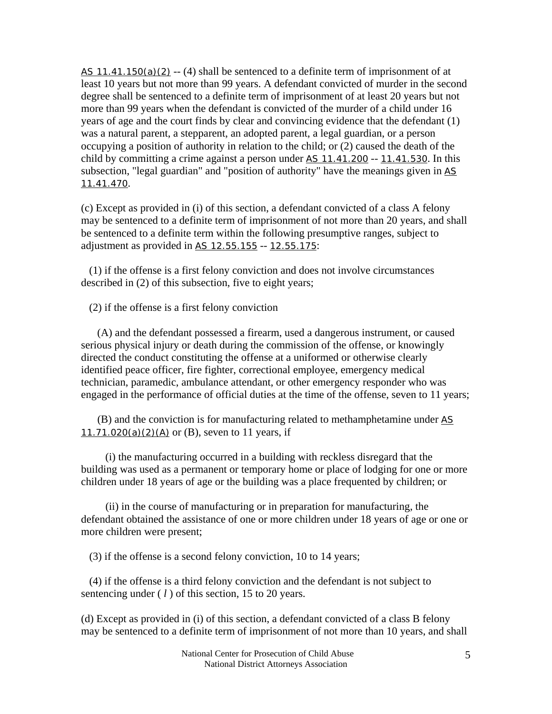[AS 11.41.150\(a\)\(2\)](https://www.lexis.com/research/buttonTFLink?_m=ed4927d5e39f18fcbf6b1a23329f53cc&_xfercite=%3ccite%20cc%3d%22USA%22%3e%3c%21%5bCDATA%5bAlaska%20Stat.%20%a7%2012.55.125%5d%5d%3e%3c%2fcite%3e&_butType=4&_butStat=0&_butNum=7&_butInline=1&_butinfo=AKCODE%2011.41.150&_fmtstr=FULL&docnum=1&_startdoc=1&wchp=dGLbVlW-zSkAt&_md5=dac2052ab292b1d23dd8d5087f4e168c) -- (4) shall be sentenced to a definite term of imprisonment of at least 10 years but not more than 99 years. A defendant convicted of murder in the second degree shall be sentenced to a definite term of imprisonment of at least 20 years but not more than 99 years when the defendant is convicted of the murder of a child under 16 years of age and the court finds by clear and convincing evidence that the defendant (1) was a natural parent, a stepparent, an adopted parent, a legal guardian, or a person occupying a position of authority in relation to the child; or (2) caused the death of the child by committing a crime against a person under [AS 11.41.200](https://www.lexis.com/research/buttonTFLink?_m=ed4927d5e39f18fcbf6b1a23329f53cc&_xfercite=%3ccite%20cc%3d%22USA%22%3e%3c%21%5bCDATA%5bAlaska%20Stat.%20%a7%2012.55.125%5d%5d%3e%3c%2fcite%3e&_butType=4&_butStat=0&_butNum=8&_butInline=1&_butinfo=AKCODE%2011.41.200&_fmtstr=FULL&docnum=1&_startdoc=1&wchp=dGLbVlW-zSkAt&_md5=7021132084bc3efe354164ddd5d6527c) -- [11.41.530](https://www.lexis.com/research/buttonTFLink?_m=ed4927d5e39f18fcbf6b1a23329f53cc&_xfercite=%3ccite%20cc%3d%22USA%22%3e%3c%21%5bCDATA%5bAlaska%20Stat.%20%a7%2012.55.125%5d%5d%3e%3c%2fcite%3e&_butType=4&_butStat=0&_butNum=9&_butInline=1&_butinfo=AKCODE%2011.41.530&_fmtstr=FULL&docnum=1&_startdoc=1&wchp=dGLbVlW-zSkAt&_md5=11c0aed02cb06518feb2961321c3d06d). In this subsection, "legal guardian" and "position of authority" have the meanings given in  $\underline{AS}$ [11.41.470](https://www.lexis.com/research/buttonTFLink?_m=ed4927d5e39f18fcbf6b1a23329f53cc&_xfercite=%3ccite%20cc%3d%22USA%22%3e%3c%21%5bCDATA%5bAlaska%20Stat.%20%a7%2012.55.125%5d%5d%3e%3c%2fcite%3e&_butType=4&_butStat=0&_butNum=10&_butInline=1&_butinfo=AKCODE%2011.41.470&_fmtstr=FULL&docnum=1&_startdoc=1&wchp=dGLbVlW-zSkAt&_md5=602bc2bce1b6f33d87c2bac8e63806df).

(c) Except as provided in (i) of this section, a defendant convicted of a class A felony may be sentenced to a definite term of imprisonment of not more than 20 years, and shall be sentenced to a definite term within the following presumptive ranges, subject to adjustment as provided in [AS 12.55.155](https://www.lexis.com/research/buttonTFLink?_m=ed4927d5e39f18fcbf6b1a23329f53cc&_xfercite=%3ccite%20cc%3d%22USA%22%3e%3c%21%5bCDATA%5bAlaska%20Stat.%20%a7%2012.55.125%5d%5d%3e%3c%2fcite%3e&_butType=4&_butStat=0&_butNum=11&_butInline=1&_butinfo=AKCODE%2012.55.155&_fmtstr=FULL&docnum=1&_startdoc=1&wchp=dGLbVlW-zSkAt&_md5=e00d7d89ccf116a9067001f9a9db99ed) -- [12.55.175](https://www.lexis.com/research/buttonTFLink?_m=ed4927d5e39f18fcbf6b1a23329f53cc&_xfercite=%3ccite%20cc%3d%22USA%22%3e%3c%21%5bCDATA%5bAlaska%20Stat.%20%a7%2012.55.125%5d%5d%3e%3c%2fcite%3e&_butType=4&_butStat=0&_butNum=12&_butInline=1&_butinfo=AKCODE%2012.55.175&_fmtstr=FULL&docnum=1&_startdoc=1&wchp=dGLbVlW-zSkAt&_md5=218ffe1c73beea3db20ad8994406438c):

 (1) if the offense is a first felony conviction and does not involve circumstances described in (2) of this subsection, five to eight years;

(2) if the offense is a first felony conviction

 (A) and the defendant possessed a firearm, used a dangerous instrument, or caused serious physical injury or death during the commission of the offense, or knowingly directed the conduct constituting the offense at a uniformed or otherwise clearly identified peace officer, fire fighter, correctional employee, emergency medical technician, paramedic, ambulance attendant, or other emergency responder who was engaged in the performance of official duties at the time of the offense, seven to 11 years;

 (B) and the conviction is for manufacturing related to methamphetamine under [AS](https://www.lexis.com/research/buttonTFLink?_m=ed4927d5e39f18fcbf6b1a23329f53cc&_xfercite=%3ccite%20cc%3d%22USA%22%3e%3c%21%5bCDATA%5bAlaska%20Stat.%20%a7%2012.55.125%5d%5d%3e%3c%2fcite%3e&_butType=4&_butStat=0&_butNum=13&_butInline=1&_butinfo=AKCODE%2011.71.020&_fmtstr=FULL&docnum=1&_startdoc=1&wchp=dGLbVlW-zSkAt&_md5=518476e3df63b4857c71a4b89b8a923d)   $11.71.020(a)(2)(A)$  or (B), seven to 11 years, if

 (i) the manufacturing occurred in a building with reckless disregard that the building was used as a permanent or temporary home or place of lodging for one or more children under 18 years of age or the building was a place frequented by children; or

 (ii) in the course of manufacturing or in preparation for manufacturing, the defendant obtained the assistance of one or more children under 18 years of age or one or more children were present;

(3) if the offense is a second felony conviction, 10 to 14 years;

 (4) if the offense is a third felony conviction and the defendant is not subject to sentencing under (*l*) of this section, 15 to 20 years.

(d) Except as provided in (i) of this section, a defendant convicted of a class B felony may be sentenced to a definite term of imprisonment of not more than 10 years, and shall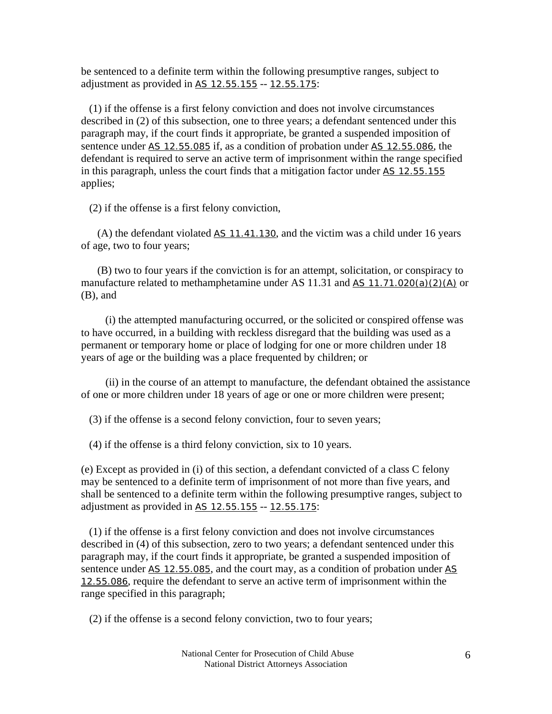be sentenced to a definite term within the following presumptive ranges, subject to adjustment as provided in [AS 12.55.155](https://www.lexis.com/research/buttonTFLink?_m=ed4927d5e39f18fcbf6b1a23329f53cc&_xfercite=%3ccite%20cc%3d%22USA%22%3e%3c%21%5bCDATA%5bAlaska%20Stat.%20%a7%2012.55.125%5d%5d%3e%3c%2fcite%3e&_butType=4&_butStat=0&_butNum=14&_butInline=1&_butinfo=AKCODE%2012.55.155&_fmtstr=FULL&docnum=1&_startdoc=1&wchp=dGLbVlW-zSkAt&_md5=8df1c195982e37445bac987387e66214) -- [12.55.175](https://www.lexis.com/research/buttonTFLink?_m=ed4927d5e39f18fcbf6b1a23329f53cc&_xfercite=%3ccite%20cc%3d%22USA%22%3e%3c%21%5bCDATA%5bAlaska%20Stat.%20%a7%2012.55.125%5d%5d%3e%3c%2fcite%3e&_butType=4&_butStat=0&_butNum=15&_butInline=1&_butinfo=AKCODE%2012.55.175&_fmtstr=FULL&docnum=1&_startdoc=1&wchp=dGLbVlW-zSkAt&_md5=87fce049d662686b344aa38b404af9a5):

 (1) if the offense is a first felony conviction and does not involve circumstances described in (2) of this subsection, one to three years; a defendant sentenced under this paragraph may, if the court finds it appropriate, be granted a suspended imposition of sentence under [AS 12.55.085](https://www.lexis.com/research/buttonTFLink?_m=ed4927d5e39f18fcbf6b1a23329f53cc&_xfercite=%3ccite%20cc%3d%22USA%22%3e%3c%21%5bCDATA%5bAlaska%20Stat.%20%a7%2012.55.125%5d%5d%3e%3c%2fcite%3e&_butType=4&_butStat=0&_butNum=16&_butInline=1&_butinfo=AKCODE%2012.55.085&_fmtstr=FULL&docnum=1&_startdoc=1&wchp=dGLbVlW-zSkAt&_md5=9327f5ac2f24b31edcff156f2241a148) if, as a condition of probation under [AS 12.55.086](https://www.lexis.com/research/buttonTFLink?_m=ed4927d5e39f18fcbf6b1a23329f53cc&_xfercite=%3ccite%20cc%3d%22USA%22%3e%3c%21%5bCDATA%5bAlaska%20Stat.%20%a7%2012.55.125%5d%5d%3e%3c%2fcite%3e&_butType=4&_butStat=0&_butNum=17&_butInline=1&_butinfo=AKCODE%2012.55.086&_fmtstr=FULL&docnum=1&_startdoc=1&wchp=dGLbVlW-zSkAt&_md5=adf0ade32055bc286830e063fee8efed), the defendant is required to serve an active term of imprisonment within the range specified in this paragraph, unless the court finds that a mitigation factor under [AS 12.55.155](https://www.lexis.com/research/buttonTFLink?_m=ed4927d5e39f18fcbf6b1a23329f53cc&_xfercite=%3ccite%20cc%3d%22USA%22%3e%3c%21%5bCDATA%5bAlaska%20Stat.%20%a7%2012.55.125%5d%5d%3e%3c%2fcite%3e&_butType=4&_butStat=0&_butNum=18&_butInline=1&_butinfo=AKCODE%2012.55.155&_fmtstr=FULL&docnum=1&_startdoc=1&wchp=dGLbVlW-zSkAt&_md5=d6732b50624e09c8a4109d40f577e8b5) applies;

(2) if the offense is a first felony conviction,

(A) the defendant violated  $\overline{AS}$  11.41.130, and the victim was a child under 16 years of age, two to four years;

 (B) two to four years if the conviction is for an attempt, solicitation, or conspiracy to manufacture related to methamphetamine under AS 11.31 and [AS 11.71.020\(a\)\(2\)\(A\)](https://www.lexis.com/research/buttonTFLink?_m=ed4927d5e39f18fcbf6b1a23329f53cc&_xfercite=%3ccite%20cc%3d%22USA%22%3e%3c%21%5bCDATA%5bAlaska%20Stat.%20%a7%2012.55.125%5d%5d%3e%3c%2fcite%3e&_butType=4&_butStat=0&_butNum=20&_butInline=1&_butinfo=AKCODE%2011.71.020&_fmtstr=FULL&docnum=1&_startdoc=1&wchp=dGLbVlW-zSkAt&_md5=879e836f64b9ef23cfd0566e6754a5b1) or (B), and

 (i) the attempted manufacturing occurred, or the solicited or conspired offense was to have occurred, in a building with reckless disregard that the building was used as a permanent or temporary home or place of lodging for one or more children under 18 years of age or the building was a place frequented by children; or

 (ii) in the course of an attempt to manufacture, the defendant obtained the assistance of one or more children under 18 years of age or one or more children were present;

(3) if the offense is a second felony conviction, four to seven years;

(4) if the offense is a third felony conviction, six to 10 years.

(e) Except as provided in (i) of this section, a defendant convicted of a class C felony may be sentenced to a definite term of imprisonment of not more than five years, and shall be sentenced to a definite term within the following presumptive ranges, subject to adjustment as provided in [AS 12.55.155](https://www.lexis.com/research/buttonTFLink?_m=ed4927d5e39f18fcbf6b1a23329f53cc&_xfercite=%3ccite%20cc%3d%22USA%22%3e%3c%21%5bCDATA%5bAlaska%20Stat.%20%a7%2012.55.125%5d%5d%3e%3c%2fcite%3e&_butType=4&_butStat=0&_butNum=21&_butInline=1&_butinfo=AKCODE%2012.55.155&_fmtstr=FULL&docnum=1&_startdoc=1&wchp=dGLbVlW-zSkAt&_md5=fd97f7776953131f28cca3e2b68d0d18) -- [12.55.175](https://www.lexis.com/research/buttonTFLink?_m=ed4927d5e39f18fcbf6b1a23329f53cc&_xfercite=%3ccite%20cc%3d%22USA%22%3e%3c%21%5bCDATA%5bAlaska%20Stat.%20%a7%2012.55.125%5d%5d%3e%3c%2fcite%3e&_butType=4&_butStat=0&_butNum=22&_butInline=1&_butinfo=AKCODE%2012.55.175&_fmtstr=FULL&docnum=1&_startdoc=1&wchp=dGLbVlW-zSkAt&_md5=58427a85d9eaf5dbaf1465cd4e0ae76b):

 (1) if the offense is a first felony conviction and does not involve circumstances described in (4) of this subsection, zero to two years; a defendant sentenced under this paragraph may, if the court finds it appropriate, be granted a suspended imposition of sentence under [AS 12.55.085](https://www.lexis.com/research/buttonTFLink?_m=ed4927d5e39f18fcbf6b1a23329f53cc&_xfercite=%3ccite%20cc%3d%22USA%22%3e%3c%21%5bCDATA%5bAlaska%20Stat.%20%a7%2012.55.125%5d%5d%3e%3c%2fcite%3e&_butType=4&_butStat=0&_butNum=23&_butInline=1&_butinfo=AKCODE%2012.55.085&_fmtstr=FULL&docnum=1&_startdoc=1&wchp=dGLbVlW-zSkAt&_md5=0102df0340e8abac15e10d4f6693e05b), and the court may, as a condition of probation under AS [12.55.086](https://www.lexis.com/research/buttonTFLink?_m=ed4927d5e39f18fcbf6b1a23329f53cc&_xfercite=%3ccite%20cc%3d%22USA%22%3e%3c%21%5bCDATA%5bAlaska%20Stat.%20%a7%2012.55.125%5d%5d%3e%3c%2fcite%3e&_butType=4&_butStat=0&_butNum=24&_butInline=1&_butinfo=AKCODE%2012.55.086&_fmtstr=FULL&docnum=1&_startdoc=1&wchp=dGLbVlW-zSkAt&_md5=f73a83ae5c098c5d3459cb0efea3fc5f), require the defendant to serve an active term of imprisonment within the range specified in this paragraph;

(2) if the offense is a second felony conviction, two to four years;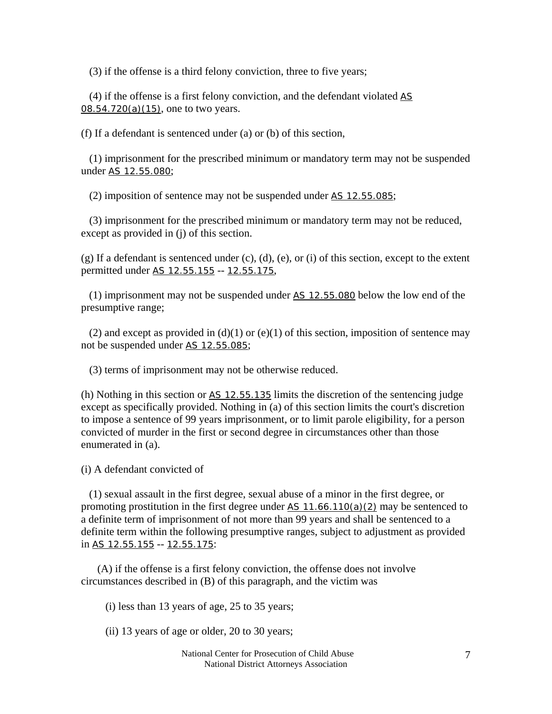(3) if the offense is a third felony conviction, three to five years;

 (4) if the offense is a first felony conviction, and the defendant violated [AS](https://www.lexis.com/research/buttonTFLink?_m=ed4927d5e39f18fcbf6b1a23329f53cc&_xfercite=%3ccite%20cc%3d%22USA%22%3e%3c%21%5bCDATA%5bAlaska%20Stat.%20%a7%2012.55.125%5d%5d%3e%3c%2fcite%3e&_butType=4&_butStat=0&_butNum=25&_butInline=1&_butinfo=AKCODE%2008.54.720&_fmtstr=FULL&docnum=1&_startdoc=1&wchp=dGLbVlW-zSkAt&_md5=9cc49e2744885c9995b21ec277f67dd2)  [08.54.720\(a\)\(15\)](https://www.lexis.com/research/buttonTFLink?_m=ed4927d5e39f18fcbf6b1a23329f53cc&_xfercite=%3ccite%20cc%3d%22USA%22%3e%3c%21%5bCDATA%5bAlaska%20Stat.%20%a7%2012.55.125%5d%5d%3e%3c%2fcite%3e&_butType=4&_butStat=0&_butNum=25&_butInline=1&_butinfo=AKCODE%2008.54.720&_fmtstr=FULL&docnum=1&_startdoc=1&wchp=dGLbVlW-zSkAt&_md5=9cc49e2744885c9995b21ec277f67dd2), one to two years.

(f) If a defendant is sentenced under (a) or (b) of this section,

 (1) imprisonment for the prescribed minimum or mandatory term may not be suspended under [AS 12.55.080](https://www.lexis.com/research/buttonTFLink?_m=ed4927d5e39f18fcbf6b1a23329f53cc&_xfercite=%3ccite%20cc%3d%22USA%22%3e%3c%21%5bCDATA%5bAlaska%20Stat.%20%a7%2012.55.125%5d%5d%3e%3c%2fcite%3e&_butType=4&_butStat=0&_butNum=26&_butInline=1&_butinfo=AKCODE%2012.55.080&_fmtstr=FULL&docnum=1&_startdoc=1&wchp=dGLbVlW-zSkAt&_md5=b7782e8034ef78234022f1823a2e61dd);

(2) imposition of sentence may not be suspended under [AS 12.55.085](https://www.lexis.com/research/buttonTFLink?_m=ed4927d5e39f18fcbf6b1a23329f53cc&_xfercite=%3ccite%20cc%3d%22USA%22%3e%3c%21%5bCDATA%5bAlaska%20Stat.%20%a7%2012.55.125%5d%5d%3e%3c%2fcite%3e&_butType=4&_butStat=0&_butNum=27&_butInline=1&_butinfo=AKCODE%2012.55.085&_fmtstr=FULL&docnum=1&_startdoc=1&wchp=dGLbVlW-zSkAt&_md5=9e845417b9a14a1c4ef87accee65ce93);

 (3) imprisonment for the prescribed minimum or mandatory term may not be reduced, except as provided in (j) of this section.

(g) If a defendant is sentenced under (c), (d), (e), or (i) of this section, except to the extent permitted under [AS 12.55.155](https://www.lexis.com/research/buttonTFLink?_m=ed4927d5e39f18fcbf6b1a23329f53cc&_xfercite=%3ccite%20cc%3d%22USA%22%3e%3c%21%5bCDATA%5bAlaska%20Stat.%20%a7%2012.55.125%5d%5d%3e%3c%2fcite%3e&_butType=4&_butStat=0&_butNum=28&_butInline=1&_butinfo=AKCODE%2012.55.155&_fmtstr=FULL&docnum=1&_startdoc=1&wchp=dGLbVlW-zSkAt&_md5=ea74cd3299da376f7d5d0e75a92e11ff) -- [12.55.175](https://www.lexis.com/research/buttonTFLink?_m=ed4927d5e39f18fcbf6b1a23329f53cc&_xfercite=%3ccite%20cc%3d%22USA%22%3e%3c%21%5bCDATA%5bAlaska%20Stat.%20%a7%2012.55.125%5d%5d%3e%3c%2fcite%3e&_butType=4&_butStat=0&_butNum=29&_butInline=1&_butinfo=AKCODE%2012.55.175&_fmtstr=FULL&docnum=1&_startdoc=1&wchp=dGLbVlW-zSkAt&_md5=d92d8b568399859983b17f68a1361516),

 (1) imprisonment may not be suspended under [AS 12.55.080](https://www.lexis.com/research/buttonTFLink?_m=ed4927d5e39f18fcbf6b1a23329f53cc&_xfercite=%3ccite%20cc%3d%22USA%22%3e%3c%21%5bCDATA%5bAlaska%20Stat.%20%a7%2012.55.125%5d%5d%3e%3c%2fcite%3e&_butType=4&_butStat=0&_butNum=30&_butInline=1&_butinfo=AKCODE%2012.55.080&_fmtstr=FULL&docnum=1&_startdoc=1&wchp=dGLbVlW-zSkAt&_md5=d0c50f2ce8f9d8b93cbb6dd7252f3f78) below the low end of the presumptive range;

(2) and except as provided in  $(d)(1)$  or  $(e)(1)$  of this section, imposition of sentence may not be suspended under [AS 12.55.085](https://www.lexis.com/research/buttonTFLink?_m=ed4927d5e39f18fcbf6b1a23329f53cc&_xfercite=%3ccite%20cc%3d%22USA%22%3e%3c%21%5bCDATA%5bAlaska%20Stat.%20%a7%2012.55.125%5d%5d%3e%3c%2fcite%3e&_butType=4&_butStat=0&_butNum=31&_butInline=1&_butinfo=AKCODE%2012.55.085&_fmtstr=FULL&docnum=1&_startdoc=1&wchp=dGLbVlW-zSkAt&_md5=c70e75e980240b4f08142f857c9d466c);

(3) terms of imprisonment may not be otherwise reduced.

(h) Nothing in this section or [AS 12.55.135](https://www.lexis.com/research/buttonTFLink?_m=ed4927d5e39f18fcbf6b1a23329f53cc&_xfercite=%3ccite%20cc%3d%22USA%22%3e%3c%21%5bCDATA%5bAlaska%20Stat.%20%a7%2012.55.125%5d%5d%3e%3c%2fcite%3e&_butType=4&_butStat=0&_butNum=32&_butInline=1&_butinfo=AKCODE%2012.55.135&_fmtstr=FULL&docnum=1&_startdoc=1&wchp=dGLbVlW-zSkAt&_md5=87085f082b7899d86e71aa393dc25fdd) limits the discretion of the sentencing judge except as specifically provided. Nothing in (a) of this section limits the court's discretion to impose a sentence of 99 years imprisonment, or to limit parole eligibility, for a person convicted of murder in the first or second degree in circumstances other than those enumerated in (a).

(i) A defendant convicted of

 (1) sexual assault in the first degree, sexual abuse of a minor in the first degree, or promoting prostitution in the first degree under  $\overline{AS}$  11.66.110(a)(2) may be sentenced to a definite term of imprisonment of not more than 99 years and shall be sentenced to a definite term within the following presumptive ranges, subject to adjustment as provided in [AS 12.55.155](https://www.lexis.com/research/buttonTFLink?_m=ed4927d5e39f18fcbf6b1a23329f53cc&_xfercite=%3ccite%20cc%3d%22USA%22%3e%3c%21%5bCDATA%5bAlaska%20Stat.%20%a7%2012.55.125%5d%5d%3e%3c%2fcite%3e&_butType=4&_butStat=0&_butNum=34&_butInline=1&_butinfo=AKCODE%2012.55.155&_fmtstr=FULL&docnum=1&_startdoc=1&wchp=dGLbVlW-zSkAt&_md5=b16d6ce05c66e1140ac1eb24a6b491c9) -- [12.55.175](https://www.lexis.com/research/buttonTFLink?_m=ed4927d5e39f18fcbf6b1a23329f53cc&_xfercite=%3ccite%20cc%3d%22USA%22%3e%3c%21%5bCDATA%5bAlaska%20Stat.%20%a7%2012.55.125%5d%5d%3e%3c%2fcite%3e&_butType=4&_butStat=0&_butNum=35&_butInline=1&_butinfo=AKCODE%2012.55.175&_fmtstr=FULL&docnum=1&_startdoc=1&wchp=dGLbVlW-zSkAt&_md5=5386aa6455df5033b0c8b647a98c18b2):

 (A) if the offense is a first felony conviction, the offense does not involve circumstances described in (B) of this paragraph, and the victim was

(i) less than 13 years of age, 25 to 35 years;

(ii) 13 years of age or older, 20 to 30 years;

National Center for Prosecution of Child Abuse National District Attorneys Association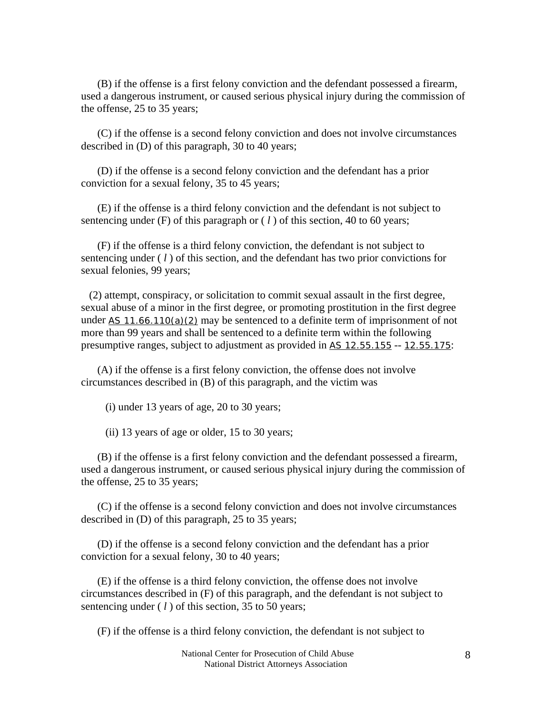(B) if the offense is a first felony conviction and the defendant possessed a firearm, used a dangerous instrument, or caused serious physical injury during the commission of the offense, 25 to 35 years;

 (C) if the offense is a second felony conviction and does not involve circumstances described in (D) of this paragraph, 30 to 40 years;

 (D) if the offense is a second felony conviction and the defendant has a prior conviction for a sexual felony, 35 to 45 years;

 (E) if the offense is a third felony conviction and the defendant is not subject to sentencing under (F) of this paragraph or (*l*) of this section, 40 to 60 years;

 (F) if the offense is a third felony conviction, the defendant is not subject to sentencing under ( *l* ) of this section, and the defendant has two prior convictions for sexual felonies, 99 years;

 (2) attempt, conspiracy, or solicitation to commit sexual assault in the first degree, sexual abuse of a minor in the first degree, or promoting prostitution in the first degree under [AS 11.66.110\(a\)\(2\)](https://www.lexis.com/research/buttonTFLink?_m=ed4927d5e39f18fcbf6b1a23329f53cc&_xfercite=%3ccite%20cc%3d%22USA%22%3e%3c%21%5bCDATA%5bAlaska%20Stat.%20%a7%2012.55.125%5d%5d%3e%3c%2fcite%3e&_butType=4&_butStat=0&_butNum=36&_butInline=1&_butinfo=AKCODE%2011.66.110&_fmtstr=FULL&docnum=1&_startdoc=1&wchp=dGLbVlW-zSkAt&_md5=85d3bcaa9d1a33f3c781890fb456594c) may be sentenced to a definite term of imprisonment of not more than 99 years and shall be sentenced to a definite term within the following presumptive ranges, subject to adjustment as provided in [AS 12.55.155](https://www.lexis.com/research/buttonTFLink?_m=ed4927d5e39f18fcbf6b1a23329f53cc&_xfercite=%3ccite%20cc%3d%22USA%22%3e%3c%21%5bCDATA%5bAlaska%20Stat.%20%a7%2012.55.125%5d%5d%3e%3c%2fcite%3e&_butType=4&_butStat=0&_butNum=37&_butInline=1&_butinfo=AKCODE%2012.55.155&_fmtstr=FULL&docnum=1&_startdoc=1&wchp=dGLbVlW-zSkAt&_md5=be40f0689731df1c5e24e1f36ca18648) -- [12.55.175](https://www.lexis.com/research/buttonTFLink?_m=ed4927d5e39f18fcbf6b1a23329f53cc&_xfercite=%3ccite%20cc%3d%22USA%22%3e%3c%21%5bCDATA%5bAlaska%20Stat.%20%a7%2012.55.125%5d%5d%3e%3c%2fcite%3e&_butType=4&_butStat=0&_butNum=38&_butInline=1&_butinfo=AKCODE%2012.55.175&_fmtstr=FULL&docnum=1&_startdoc=1&wchp=dGLbVlW-zSkAt&_md5=124c6c34161f87f8b1992f41edde2b78):

 (A) if the offense is a first felony conviction, the offense does not involve circumstances described in (B) of this paragraph, and the victim was

(i) under 13 years of age, 20 to 30 years;

(ii) 13 years of age or older, 15 to 30 years;

 (B) if the offense is a first felony conviction and the defendant possessed a firearm, used a dangerous instrument, or caused serious physical injury during the commission of the offense, 25 to 35 years;

 (C) if the offense is a second felony conviction and does not involve circumstances described in (D) of this paragraph, 25 to 35 years;

 (D) if the offense is a second felony conviction and the defendant has a prior conviction for a sexual felony, 30 to 40 years;

 (E) if the offense is a third felony conviction, the offense does not involve circumstances described in (F) of this paragraph, and the defendant is not subject to sentencing under (*l*) of this section, 35 to 50 years;

(F) if the offense is a third felony conviction, the defendant is not subject to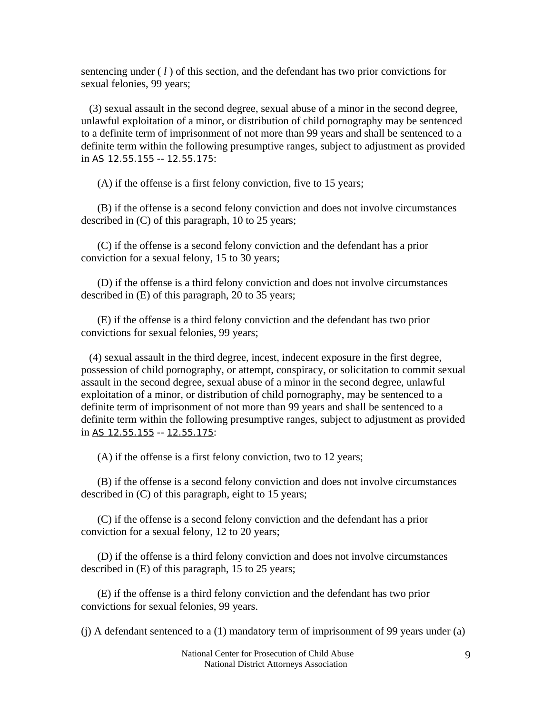sentencing under ( *l* ) of this section, and the defendant has two prior convictions for sexual felonies, 99 years;

 (3) sexual assault in the second degree, sexual abuse of a minor in the second degree, unlawful exploitation of a minor, or distribution of child pornography may be sentenced to a definite term of imprisonment of not more than 99 years and shall be sentenced to a definite term within the following presumptive ranges, subject to adjustment as provided in [AS 12.55.155](https://www.lexis.com/research/buttonTFLink?_m=ed4927d5e39f18fcbf6b1a23329f53cc&_xfercite=%3ccite%20cc%3d%22USA%22%3e%3c%21%5bCDATA%5bAlaska%20Stat.%20%a7%2012.55.125%5d%5d%3e%3c%2fcite%3e&_butType=4&_butStat=0&_butNum=39&_butInline=1&_butinfo=AKCODE%2012.55.155&_fmtstr=FULL&docnum=1&_startdoc=1&wchp=dGLbVlW-zSkAt&_md5=81f3b272e86201b95c533d9d6d73117b) -- [12.55.175](https://www.lexis.com/research/buttonTFLink?_m=ed4927d5e39f18fcbf6b1a23329f53cc&_xfercite=%3ccite%20cc%3d%22USA%22%3e%3c%21%5bCDATA%5bAlaska%20Stat.%20%a7%2012.55.125%5d%5d%3e%3c%2fcite%3e&_butType=4&_butStat=0&_butNum=40&_butInline=1&_butinfo=AKCODE%2012.55.175&_fmtstr=FULL&docnum=1&_startdoc=1&wchp=dGLbVlW-zSkAt&_md5=9c4640f91e8faa54c22bf99afc3c06a6):

(A) if the offense is a first felony conviction, five to 15 years;

 (B) if the offense is a second felony conviction and does not involve circumstances described in (C) of this paragraph, 10 to 25 years;

 (C) if the offense is a second felony conviction and the defendant has a prior conviction for a sexual felony, 15 to 30 years;

 (D) if the offense is a third felony conviction and does not involve circumstances described in (E) of this paragraph, 20 to 35 years;

 (E) if the offense is a third felony conviction and the defendant has two prior convictions for sexual felonies, 99 years;

 (4) sexual assault in the third degree, incest, indecent exposure in the first degree, possession of child pornography, or attempt, conspiracy, or solicitation to commit sexual assault in the second degree, sexual abuse of a minor in the second degree, unlawful exploitation of a minor, or distribution of child pornography, may be sentenced to a definite term of imprisonment of not more than 99 years and shall be sentenced to a definite term within the following presumptive ranges, subject to adjustment as provided in [AS 12.55.155](https://www.lexis.com/research/buttonTFLink?_m=ed4927d5e39f18fcbf6b1a23329f53cc&_xfercite=%3ccite%20cc%3d%22USA%22%3e%3c%21%5bCDATA%5bAlaska%20Stat.%20%a7%2012.55.125%5d%5d%3e%3c%2fcite%3e&_butType=4&_butStat=0&_butNum=41&_butInline=1&_butinfo=AKCODE%2012.55.155&_fmtstr=FULL&docnum=1&_startdoc=1&wchp=dGLbVlW-zSkAt&_md5=ba649304f3c0f1db2d265a36e03f9c68) -- [12.55.175](https://www.lexis.com/research/buttonTFLink?_m=ed4927d5e39f18fcbf6b1a23329f53cc&_xfercite=%3ccite%20cc%3d%22USA%22%3e%3c%21%5bCDATA%5bAlaska%20Stat.%20%a7%2012.55.125%5d%5d%3e%3c%2fcite%3e&_butType=4&_butStat=0&_butNum=42&_butInline=1&_butinfo=AKCODE%2012.55.175&_fmtstr=FULL&docnum=1&_startdoc=1&wchp=dGLbVlW-zSkAt&_md5=ede951e6c3db732f53e2459c698e147f):

(A) if the offense is a first felony conviction, two to 12 years;

 (B) if the offense is a second felony conviction and does not involve circumstances described in (C) of this paragraph, eight to 15 years;

 (C) if the offense is a second felony conviction and the defendant has a prior conviction for a sexual felony, 12 to 20 years;

 (D) if the offense is a third felony conviction and does not involve circumstances described in (E) of this paragraph, 15 to 25 years;

 (E) if the offense is a third felony conviction and the defendant has two prior convictions for sexual felonies, 99 years.

(j) A defendant sentenced to a (1) mandatory term of imprisonment of 99 years under (a)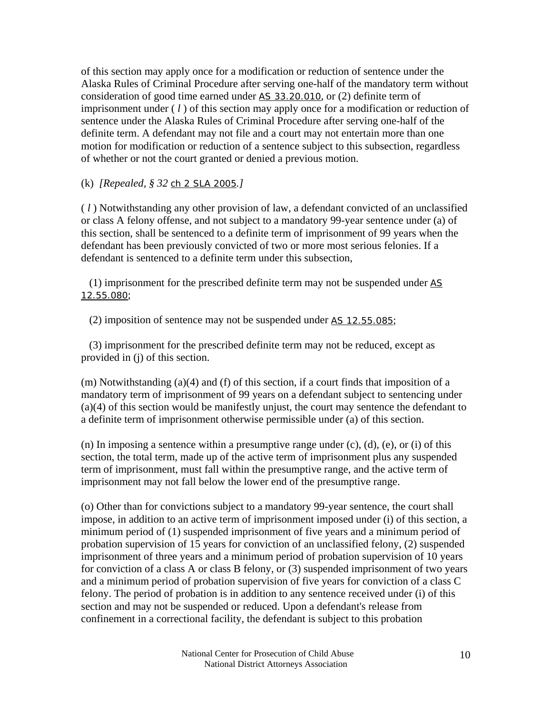of this section may apply once for a modification or reduction of sentence under the Alaska Rules of Criminal Procedure after serving one-half of the mandatory term without consideration of good time earned under [AS 33.20.010](https://www.lexis.com/research/buttonTFLink?_m=ed4927d5e39f18fcbf6b1a23329f53cc&_xfercite=%3ccite%20cc%3d%22USA%22%3e%3c%21%5bCDATA%5bAlaska%20Stat.%20%a7%2012.55.125%5d%5d%3e%3c%2fcite%3e&_butType=4&_butStat=0&_butNum=43&_butInline=1&_butinfo=AKCODE%2033.20.010&_fmtstr=FULL&docnum=1&_startdoc=1&wchp=dGLbVlW-zSkAt&_md5=aec92c99a18f6406bd177db06afed5c9), or (2) definite term of imprisonment under ( *l* ) of this section may apply once for a modification or reduction of sentence under the Alaska Rules of Criminal Procedure after serving one-half of the definite term. A defendant may not file and a court may not entertain more than one motion for modification or reduction of a sentence subject to this subsection, regardless of whether or not the court granted or denied a previous motion.

#### (k) *[Repealed, § 32 [ch 2 SLA 2005](https://www.lexis.com/research/buttonLink?_m=ed4927d5e39f18fcbf6b1a23329f53cc&_xfercite=%3ccite%20cc%3d%22USA%22%3e%3c%21%5bCDATA%5bAlaska%20Stat.%20%a7%2012.55.125%5d%5d%3e%3c%2fcite%3e&_butType=1&_butStat=0&_butNum=44&_butInline=1&_butinfo=LXE_2005_AK_CH_2&_fmtstr=FULL&docnum=1&_startdoc=1&wchp=dGLbVlW-zSkAt&_md5=08a843fb8470b9f5d440889aa107ff23).]*

( *l* ) Notwithstanding any other provision of law, a defendant convicted of an unclassified or class A felony offense, and not subject to a mandatory 99-year sentence under (a) of this section, shall be sentenced to a definite term of imprisonment of 99 years when the defendant has been previously convicted of two or more most serious felonies. If a defendant is sentenced to a definite term under this subsection,

 (1) imprisonment for the prescribed definite term may not be suspended under [AS](https://www.lexis.com/research/buttonTFLink?_m=ed4927d5e39f18fcbf6b1a23329f53cc&_xfercite=%3ccite%20cc%3d%22USA%22%3e%3c%21%5bCDATA%5bAlaska%20Stat.%20%a7%2012.55.125%5d%5d%3e%3c%2fcite%3e&_butType=4&_butStat=0&_butNum=45&_butInline=1&_butinfo=AKCODE%2012.55.080&_fmtstr=FULL&docnum=1&_startdoc=1&wchp=dGLbVlW-zSkAt&_md5=08e0d41b1b52fc976763708c7db8c91a)  [12.55.080](https://www.lexis.com/research/buttonTFLink?_m=ed4927d5e39f18fcbf6b1a23329f53cc&_xfercite=%3ccite%20cc%3d%22USA%22%3e%3c%21%5bCDATA%5bAlaska%20Stat.%20%a7%2012.55.125%5d%5d%3e%3c%2fcite%3e&_butType=4&_butStat=0&_butNum=45&_butInline=1&_butinfo=AKCODE%2012.55.080&_fmtstr=FULL&docnum=1&_startdoc=1&wchp=dGLbVlW-zSkAt&_md5=08e0d41b1b52fc976763708c7db8c91a);

(2) imposition of sentence may not be suspended under [AS 12.55.085](https://www.lexis.com/research/buttonTFLink?_m=ed4927d5e39f18fcbf6b1a23329f53cc&_xfercite=%3ccite%20cc%3d%22USA%22%3e%3c%21%5bCDATA%5bAlaska%20Stat.%20%a7%2012.55.125%5d%5d%3e%3c%2fcite%3e&_butType=4&_butStat=0&_butNum=46&_butInline=1&_butinfo=AKCODE%2012.55.085&_fmtstr=FULL&docnum=1&_startdoc=1&wchp=dGLbVlW-zSkAt&_md5=916d2ad4263b3786662f38a0fdd6bba9);

 (3) imprisonment for the prescribed definite term may not be reduced, except as provided in (j) of this section.

(m) Notwithstanding (a)(4) and (f) of this section, if a court finds that imposition of a mandatory term of imprisonment of 99 years on a defendant subject to sentencing under (a)(4) of this section would be manifestly unjust, the court may sentence the defendant to a definite term of imprisonment otherwise permissible under (a) of this section.

(n) In imposing a sentence within a presumptive range under  $(c)$ ,  $(d)$ ,  $(e)$ , or  $(i)$  of this section, the total term, made up of the active term of imprisonment plus any suspended term of imprisonment, must fall within the presumptive range, and the active term of imprisonment may not fall below the lower end of the presumptive range.

(o) Other than for convictions subject to a mandatory 99-year sentence, the court shall impose, in addition to an active term of imprisonment imposed under (i) of this section, a minimum period of (1) suspended imprisonment of five years and a minimum period of probation supervision of 15 years for conviction of an unclassified felony, (2) suspended imprisonment of three years and a minimum period of probation supervision of 10 years for conviction of a class A or class B felony, or (3) suspended imprisonment of two years and a minimum period of probation supervision of five years for conviction of a class C felony. The period of probation is in addition to any sentence received under (i) of this section and may not be suspended or reduced. Upon a defendant's release from confinement in a correctional facility, the defendant is subject to this probation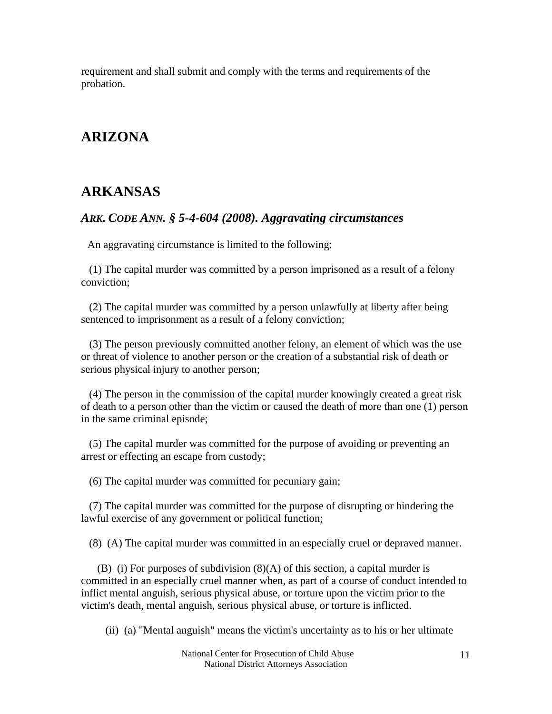<span id="page-10-0"></span>requirement and shall submit and comply with the terms and requirements of the probation.

## **ARIZONA**

## **ARKANSAS**

#### *ARK. CODE ANN. § 5-4-604 (2008). Aggravating circumstances*

An aggravating circumstance is limited to the following:

 (1) The capital murder was committed by a person imprisoned as a result of a felony conviction;

 (2) The capital murder was committed by a person unlawfully at liberty after being sentenced to imprisonment as a result of a felony conviction;

 (3) The person previously committed another felony, an element of which was the use or threat of violence to another person or the creation of a substantial risk of death or serious physical injury to another person;

 (4) The person in the commission of the capital murder knowingly created a great risk of death to a person other than the victim or caused the death of more than one (1) person in the same criminal episode;

 (5) The capital murder was committed for the purpose of avoiding or preventing an arrest or effecting an escape from custody;

(6) The capital murder was committed for pecuniary gain;

 (7) The capital murder was committed for the purpose of disrupting or hindering the lawful exercise of any government or political function;

(8) (A) The capital murder was committed in an especially cruel or depraved manner.

(B) (i) For purposes of subdivision  $(8)(A)$  of this section, a capital murder is committed in an especially cruel manner when, as part of a course of conduct intended to inflict mental anguish, serious physical abuse, or torture upon the victim prior to the victim's death, mental anguish, serious physical abuse, or torture is inflicted.

(ii) (a) "Mental anguish" means the victim's uncertainty as to his or her ultimate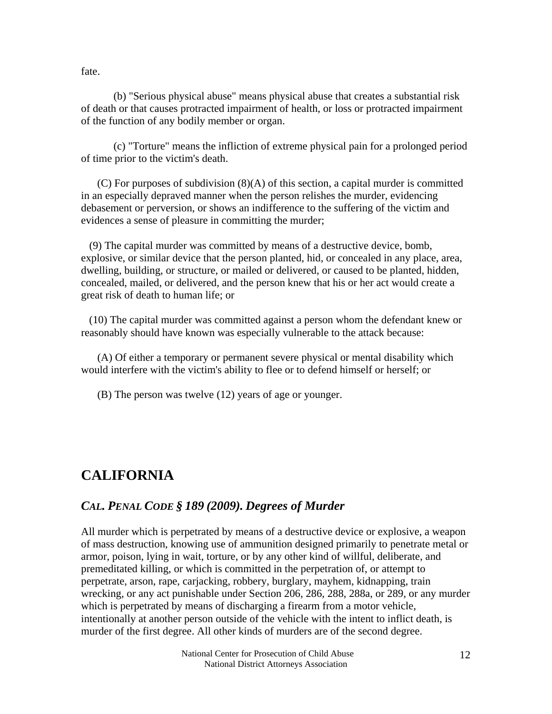<span id="page-11-0"></span>fate.

 (b) "Serious physical abuse" means physical abuse that creates a substantial risk of death or that causes protracted impairment of health, or loss or protracted impairment of the function of any bodily member or organ.

 (c) "Torture" means the infliction of extreme physical pain for a prolonged period of time prior to the victim's death.

 (C) For purposes of subdivision (8)(A) of this section, a capital murder is committed in an especially depraved manner when the person relishes the murder, evidencing debasement or perversion, or shows an indifference to the suffering of the victim and evidences a sense of pleasure in committing the murder;

 (9) The capital murder was committed by means of a destructive device, bomb, explosive, or similar device that the person planted, hid, or concealed in any place, area, dwelling, building, or structure, or mailed or delivered, or caused to be planted, hidden, concealed, mailed, or delivered, and the person knew that his or her act would create a great risk of death to human life; or

 (10) The capital murder was committed against a person whom the defendant knew or reasonably should have known was especially vulnerable to the attack because:

 (A) Of either a temporary or permanent severe physical or mental disability which would interfere with the victim's ability to flee or to defend himself or herself; or

(B) The person was twelve (12) years of age or younger.

## **CALIFORNIA**

#### *CAL. PENAL CODE § 189 (2009). Degrees of Murder*

All murder which is perpetrated by means of a destructive device or explosive, a weapon of mass destruction, knowing use of ammunition designed primarily to penetrate metal or armor, poison, lying in wait, torture, or by any other kind of willful, deliberate, and premeditated killing, or which is committed in the perpetration of, or attempt to perpetrate, arson, rape, carjacking, robbery, burglary, mayhem, kidnapping, train wrecking, or any act punishable under Section 206, 286, 288, 288a, or 289, or any murder which is perpetrated by means of discharging a firearm from a motor vehicle, intentionally at another person outside of the vehicle with the intent to inflict death, is murder of the first degree. All other kinds of murders are of the second degree.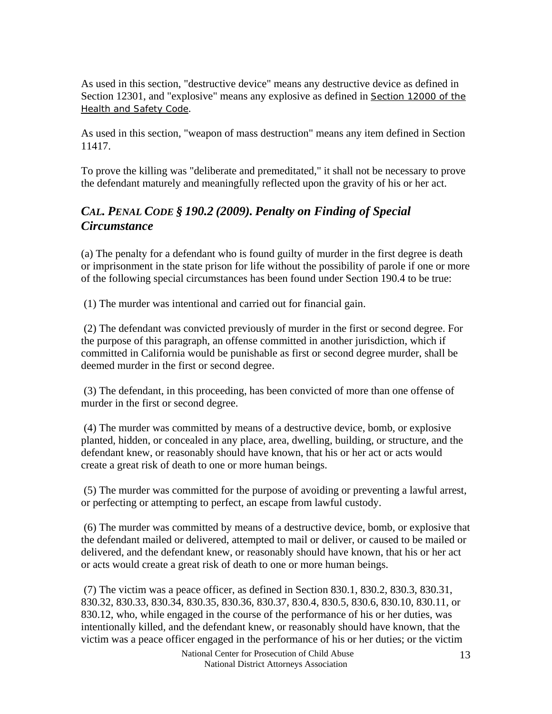<span id="page-12-0"></span>As used in this section, "destructive device" means any destructive device as defined in Section 12301, and "explosive" means any explosive as defined in [Section 12000 of the](https://www.lexis.com/research/buttonTFLink?_m=f6a01797494508e4f50b60b1bdc3f210&_xfercite=%3ccite%20cc%3d%22USA%22%3e%3c%21%5bCDATA%5bCal%20Pen%20Code%20%a7%20189%5d%5d%3e%3c%2fcite%3e&_butType=4&_butStat=0&_butNum=2&_butInline=1&_butinfo=CA%20HEALTH%20SAF%2012000&_fmtstr=FULL&docnum=1&_startdoc=1&wchp=dGLbVtb-zSkAb&_md5=6989beed0cf3193f0a86035108603656)  [Health and Safety Code](https://www.lexis.com/research/buttonTFLink?_m=f6a01797494508e4f50b60b1bdc3f210&_xfercite=%3ccite%20cc%3d%22USA%22%3e%3c%21%5bCDATA%5bCal%20Pen%20Code%20%a7%20189%5d%5d%3e%3c%2fcite%3e&_butType=4&_butStat=0&_butNum=2&_butInline=1&_butinfo=CA%20HEALTH%20SAF%2012000&_fmtstr=FULL&docnum=1&_startdoc=1&wchp=dGLbVtb-zSkAb&_md5=6989beed0cf3193f0a86035108603656).

As used in this section, "weapon of mass destruction" means any item defined in Section 11417.

To prove the killing was "deliberate and premeditated," it shall not be necessary to prove the defendant maturely and meaningfully reflected upon the gravity of his or her act.

### *CAL. PENAL CODE § 190.2 (2009). Penalty on Finding of Special Circumstance*

(a) The penalty for a defendant who is found guilty of murder in the first degree is death or imprisonment in the state prison for life without the possibility of parole if one or more of the following special circumstances has been found under Section 190.4 to be true:

(1) The murder was intentional and carried out for financial gain.

 (2) The defendant was convicted previously of murder in the first or second degree. For the purpose of this paragraph, an offense committed in another jurisdiction, which if committed in California would be punishable as first or second degree murder, shall be deemed murder in the first or second degree.

 (3) The defendant, in this proceeding, has been convicted of more than one offense of murder in the first or second degree.

 (4) The murder was committed by means of a destructive device, bomb, or explosive planted, hidden, or concealed in any place, area, dwelling, building, or structure, and the defendant knew, or reasonably should have known, that his or her act or acts would create a great risk of death to one or more human beings.

 (5) The murder was committed for the purpose of avoiding or preventing a lawful arrest, or perfecting or attempting to perfect, an escape from lawful custody.

 (6) The murder was committed by means of a destructive device, bomb, or explosive that the defendant mailed or delivered, attempted to mail or deliver, or caused to be mailed or delivered, and the defendant knew, or reasonably should have known, that his or her act or acts would create a great risk of death to one or more human beings.

 (7) The victim was a peace officer, as defined in Section 830.1, 830.2, 830.3, 830.31, 830.32, 830.33, 830.34, 830.35, 830.36, 830.37, 830.4, 830.5, 830.6, 830.10, 830.11, or 830.12, who, while engaged in the course of the performance of his or her duties, was intentionally killed, and the defendant knew, or reasonably should have known, that the victim was a peace officer engaged in the performance of his or her duties; or the victim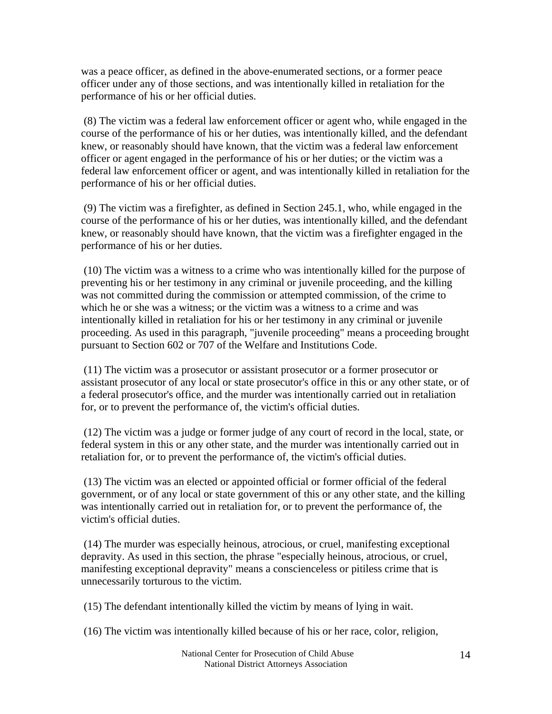was a peace officer, as defined in the above-enumerated sections, or a former peace officer under any of those sections, and was intentionally killed in retaliation for the performance of his or her official duties.

 (8) The victim was a federal law enforcement officer or agent who, while engaged in the course of the performance of his or her duties, was intentionally killed, and the defendant knew, or reasonably should have known, that the victim was a federal law enforcement officer or agent engaged in the performance of his or her duties; or the victim was a federal law enforcement officer or agent, and was intentionally killed in retaliation for the performance of his or her official duties.

 (9) The victim was a firefighter, as defined in Section 245.1, who, while engaged in the course of the performance of his or her duties, was intentionally killed, and the defendant knew, or reasonably should have known, that the victim was a firefighter engaged in the performance of his or her duties.

 (10) The victim was a witness to a crime who was intentionally killed for the purpose of preventing his or her testimony in any criminal or juvenile proceeding, and the killing was not committed during the commission or attempted commission, of the crime to which he or she was a witness; or the victim was a witness to a crime and was intentionally killed in retaliation for his or her testimony in any criminal or juvenile proceeding. As used in this paragraph, "juvenile proceeding" means a proceeding brought pursuant to [Section 602 or 707 of the Welfare and Institutions Code.](https://www.lexis.com/research/buttonTFLink?_m=e5d25b6d0692c7a62e88bd16f2358e42&_xfercite=%3ccite%20cc%3d%22USA%22%3e%3c%21%5bCDATA%5bCal%20Pen%20Code%20%a7%20190.2%5d%5d%3e%3c%2fcite%3e&_butType=4&_butStat=0&_butNum=2&_butInline=1&_butinfo=CA%20WEL%20INST%20602&_fmtstr=FULL&docnum=1&_startdoc=1&wchp=dGLbVtb-zSkAb&_md5=068087d4c8cb6ef5eda2d89c532a5167)

 (11) The victim was a prosecutor or assistant prosecutor or a former prosecutor or assistant prosecutor of any local or state prosecutor's office in this or any other state, or of a federal prosecutor's office, and the murder was intentionally carried out in retaliation for, or to prevent the performance of, the victim's official duties.

 (12) The victim was a judge or former judge of any court of record in the local, state, or federal system in this or any other state, and the murder was intentionally carried out in retaliation for, or to prevent the performance of, the victim's official duties.

 (13) The victim was an elected or appointed official or former official of the federal government, or of any local or state government of this or any other state, and the killing was intentionally carried out in retaliation for, or to prevent the performance of, the victim's official duties.

 (14) The murder was especially heinous, atrocious, or cruel, manifesting exceptional depravity. As used in this section, the phrase "especially heinous, atrocious, or cruel, manifesting exceptional depravity" means a conscienceless or pitiless crime that is unnecessarily torturous to the victim.

(15) The defendant intentionally killed the victim by means of lying in wait.

(16) The victim was intentionally killed because of his or her race, color, religion,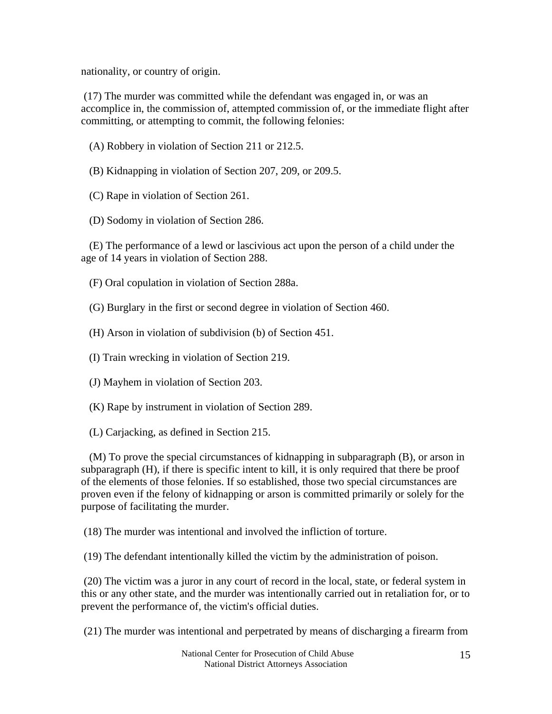nationality, or country of origin.

 (17) The murder was committed while the defendant was engaged in, or was an accomplice in, the commission of, attempted commission of, or the immediate flight after committing, or attempting to commit, the following felonies:

- (A) Robbery in violation of Section 211 or 212.5.
- (B) Kidnapping in violation of Section 207, 209, or 209.5.
- (C) Rape in violation of Section 261.

(D) Sodomy in violation of Section 286.

 (E) The performance of a lewd or lascivious act upon the person of a child under the age of 14 years in violation of Section 288.

(F) Oral copulation in violation of Section 288a.

(G) Burglary in the first or second degree in violation of Section 460.

(H) Arson in violation of subdivision (b) of Section 451.

(I) Train wrecking in violation of Section 219.

(J) Mayhem in violation of Section 203.

(K) Rape by instrument in violation of Section 289.

(L) Carjacking, as defined in Section 215.

 (M) To prove the special circumstances of kidnapping in subparagraph (B), or arson in subparagraph (H), if there is specific intent to kill, it is only required that there be proof of the elements of those felonies. If so established, those two special circumstances are proven even if the felony of kidnapping or arson is committed primarily or solely for the purpose of facilitating the murder.

(18) The murder was intentional and involved the infliction of torture.

(19) The defendant intentionally killed the victim by the administration of poison.

 (20) The victim was a juror in any court of record in the local, state, or federal system in this or any other state, and the murder was intentionally carried out in retaliation for, or to prevent the performance of, the victim's official duties.

(21) The murder was intentional and perpetrated by means of discharging a firearm from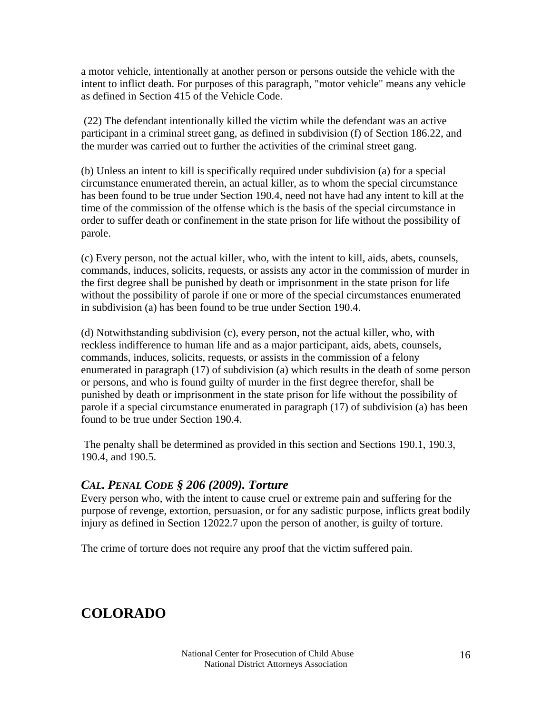<span id="page-15-0"></span>a motor vehicle, intentionally at another person or persons outside the vehicle with the intent to inflict death. For purposes of this paragraph, "motor vehicle" means any vehicle as defined in [Section 415 of the Vehicle Code.](https://www.lexis.com/research/buttonTFLink?_m=e5d25b6d0692c7a62e88bd16f2358e42&_xfercite=%3ccite%20cc%3d%22USA%22%3e%3c%21%5bCDATA%5bCal%20Pen%20Code%20%a7%20190.2%5d%5d%3e%3c%2fcite%3e&_butType=4&_butStat=0&_butNum=3&_butInline=1&_butinfo=CA%20VEH%20415&_fmtstr=FULL&docnum=1&_startdoc=1&wchp=dGLbVtb-zSkAb&_md5=5ff66683ca9c89204f737272a5b61878)

 (22) The defendant intentionally killed the victim while the defendant was an active participant in a criminal street gang, as defined in subdivision (f) of Section 186.22, and the murder was carried out to further the activities of the criminal street gang.

(b) Unless an intent to kill is specifically required under subdivision (a) for a special circumstance enumerated therein, an actual killer, as to whom the special circumstance has been found to be true under Section 190.4, need not have had any intent to kill at the time of the commission of the offense which is the basis of the special circumstance in order to suffer death or confinement in the state prison for life without the possibility of parole.

(c) Every person, not the actual killer, who, with the intent to kill, aids, abets, counsels, commands, induces, solicits, requests, or assists any actor in the commission of murder in the first degree shall be punished by death or imprisonment in the state prison for life without the possibility of parole if one or more of the special circumstances enumerated in subdivision (a) has been found to be true under Section 190.4.

(d) Notwithstanding subdivision (c), every person, not the actual killer, who, with reckless indifference to human life and as a major participant, aids, abets, counsels, commands, induces, solicits, requests, or assists in the commission of a felony enumerated in paragraph (17) of subdivision (a) which results in the death of some person or persons, and who is found guilty of murder in the first degree therefor, shall be punished by death or imprisonment in the state prison for life without the possibility of parole if a special circumstance enumerated in paragraph (17) of subdivision (a) has been found to be true under Section 190.4.

 The penalty shall be determined as provided in this section and Sections 190.1, 190.3, 190.4, and 190.5.

#### *CAL. PENAL CODE § 206 (2009). Torture*

Every person who, with the intent to cause cruel or extreme pain and suffering for the purpose of revenge, extortion, persuasion, or for any sadistic purpose, inflicts great bodily injury as defined in Section 12022.7 upon the person of another, is guilty of torture.

The crime of torture does not require any proof that the victim suffered pain.

## **COLORADO**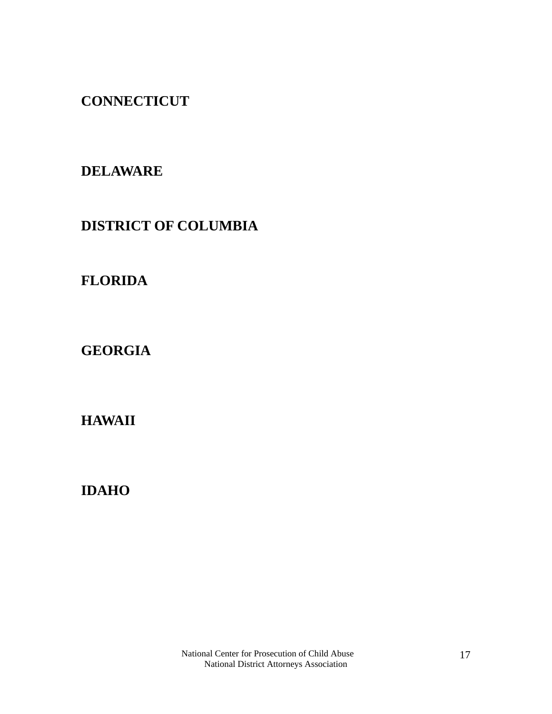<span id="page-16-0"></span>**CONNECTICUT** 

## **DELAWARE**

## **DISTRICT OF COLUMBIA**

## **FLORIDA**

**GEORGIA** 

**HAWAII** 

**IDAHO**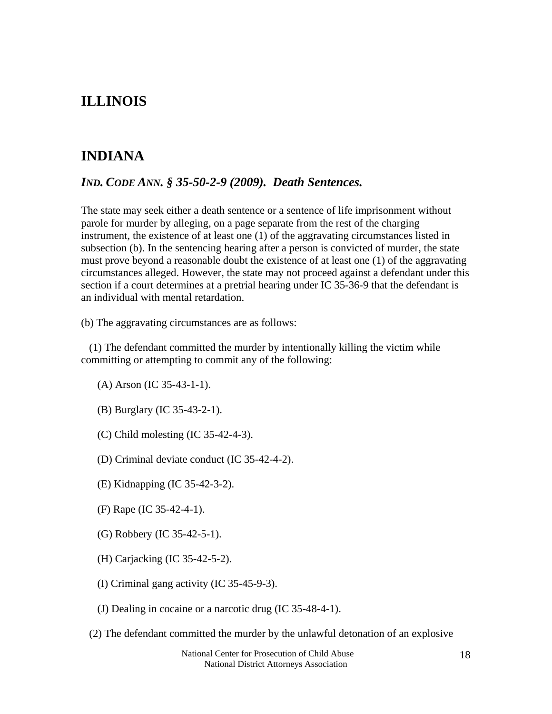## <span id="page-17-0"></span>**ILLINOIS**

## **INDIANA**

#### *IND. CODE ANN. § 35-50-2-9 (2009). Death Sentences.*

The state may seek either a death sentence or a sentence of life imprisonment without parole for murder by alleging, on a page separate from the rest of the charging instrument, the existence of at least one (1) of the aggravating circumstances listed in subsection (b). In the sentencing hearing after a person is convicted of murder, the state must prove beyond a reasonable doubt the existence of at least one (1) of the aggravating circumstances alleged. However, the state may not proceed against a defendant under this section if a court determines at a pretrial hearing under IC 35-36-9 that the defendant is an individual with mental retardation.

(b) The aggravating circumstances are as follows:

 (1) The defendant committed the murder by intentionally killing the victim while committing or attempting to commit any of the following:

- (A) Arson ([IC 35-43-1-1\)](https://www.lexis.com/research/buttonTFLink?_m=203bef922a07d45e8f3e5e0f1c5b99c5&_xfercite=%3ccite%20cc%3d%22USA%22%3e%3c%21%5bCDATA%5bBurns%20Ind.%20Code%20Ann.%20%a7%2035-50-2-9%5d%5d%3e%3c%2fcite%3e&_butType=4&_butStat=0&_butNum=2&_butInline=1&_butinfo=INCODE%2035-43-1-1&_fmtstr=FULL&docnum=1&_startdoc=1&wchp=dGLzVlz-zSkAt&_md5=8e200ba3489604edecdcaa3e58012fa8).
- (B) Burglary ([IC 35-43-2-1\)](https://www.lexis.com/research/buttonTFLink?_m=203bef922a07d45e8f3e5e0f1c5b99c5&_xfercite=%3ccite%20cc%3d%22USA%22%3e%3c%21%5bCDATA%5bBurns%20Ind.%20Code%20Ann.%20%a7%2035-50-2-9%5d%5d%3e%3c%2fcite%3e&_butType=4&_butStat=0&_butNum=3&_butInline=1&_butinfo=INCODE%2035-43-2-1&_fmtstr=FULL&docnum=1&_startdoc=1&wchp=dGLzVlz-zSkAt&_md5=d6c697805753948dc5f362bb40ad79be).
- (C) Child molesting ([IC 35-42-4-3\)](https://www.lexis.com/research/buttonTFLink?_m=203bef922a07d45e8f3e5e0f1c5b99c5&_xfercite=%3ccite%20cc%3d%22USA%22%3e%3c%21%5bCDATA%5bBurns%20Ind.%20Code%20Ann.%20%a7%2035-50-2-9%5d%5d%3e%3c%2fcite%3e&_butType=4&_butStat=0&_butNum=4&_butInline=1&_butinfo=INCODE%2035-42-4-3&_fmtstr=FULL&docnum=1&_startdoc=1&wchp=dGLzVlz-zSkAt&_md5=3dbd5dec389a57dc630e7baaa3b1c6ef).
- (D) Criminal deviate conduct ([IC 35-42-4-2\)](https://www.lexis.com/research/buttonTFLink?_m=203bef922a07d45e8f3e5e0f1c5b99c5&_xfercite=%3ccite%20cc%3d%22USA%22%3e%3c%21%5bCDATA%5bBurns%20Ind.%20Code%20Ann.%20%a7%2035-50-2-9%5d%5d%3e%3c%2fcite%3e&_butType=4&_butStat=0&_butNum=5&_butInline=1&_butinfo=INCODE%2035-42-4-2&_fmtstr=FULL&docnum=1&_startdoc=1&wchp=dGLzVlz-zSkAt&_md5=5ca8a5c64c89b03cf07eef032897a61a).
- (E) Kidnapping [\(IC 35-42-3-2\)](https://www.lexis.com/research/buttonTFLink?_m=203bef922a07d45e8f3e5e0f1c5b99c5&_xfercite=%3ccite%20cc%3d%22USA%22%3e%3c%21%5bCDATA%5bBurns%20Ind.%20Code%20Ann.%20%a7%2035-50-2-9%5d%5d%3e%3c%2fcite%3e&_butType=4&_butStat=0&_butNum=6&_butInline=1&_butinfo=INCODE%2035-42-3-2&_fmtstr=FULL&docnum=1&_startdoc=1&wchp=dGLzVlz-zSkAt&_md5=b5471ff35d383957a92b19c9974d056d).
- (F) Rape [\(IC 35-42-4-1](https://www.lexis.com/research/buttonTFLink?_m=203bef922a07d45e8f3e5e0f1c5b99c5&_xfercite=%3ccite%20cc%3d%22USA%22%3e%3c%21%5bCDATA%5bBurns%20Ind.%20Code%20Ann.%20%a7%2035-50-2-9%5d%5d%3e%3c%2fcite%3e&_butType=4&_butStat=0&_butNum=7&_butInline=1&_butinfo=INCODE%2035-42-4-1&_fmtstr=FULL&docnum=1&_startdoc=1&wchp=dGLzVlz-zSkAt&_md5=bc8eb70ed2644f5bf362302704738ccd)).
- (G) Robbery [\(IC 35-42-5-1\)](https://www.lexis.com/research/buttonTFLink?_m=203bef922a07d45e8f3e5e0f1c5b99c5&_xfercite=%3ccite%20cc%3d%22USA%22%3e%3c%21%5bCDATA%5bBurns%20Ind.%20Code%20Ann.%20%a7%2035-50-2-9%5d%5d%3e%3c%2fcite%3e&_butType=4&_butStat=0&_butNum=8&_butInline=1&_butinfo=INCODE%2035-42-5-1&_fmtstr=FULL&docnum=1&_startdoc=1&wchp=dGLzVlz-zSkAt&_md5=338b0506daa02563f89bc82450b0b433).
- (H) Carjacking [\(IC 35-42-5-2](https://www.lexis.com/research/buttonTFLink?_m=203bef922a07d45e8f3e5e0f1c5b99c5&_xfercite=%3ccite%20cc%3d%22USA%22%3e%3c%21%5bCDATA%5bBurns%20Ind.%20Code%20Ann.%20%a7%2035-50-2-9%5d%5d%3e%3c%2fcite%3e&_butType=4&_butStat=0&_butNum=9&_butInline=1&_butinfo=INCODE%2035-42-5-2&_fmtstr=FULL&docnum=1&_startdoc=1&wchp=dGLzVlz-zSkAt&_md5=73c27255cf3f9de9ad01331f91d96ebe)).
- (I) Criminal gang activity [\(IC 35-45-9-3\)](https://www.lexis.com/research/buttonTFLink?_m=203bef922a07d45e8f3e5e0f1c5b99c5&_xfercite=%3ccite%20cc%3d%22USA%22%3e%3c%21%5bCDATA%5bBurns%20Ind.%20Code%20Ann.%20%a7%2035-50-2-9%5d%5d%3e%3c%2fcite%3e&_butType=4&_butStat=0&_butNum=10&_butInline=1&_butinfo=INCODE%2035-45-9-3&_fmtstr=FULL&docnum=1&_startdoc=1&wchp=dGLzVlz-zSkAt&_md5=5f5c2dac676edf567b86278dfef01318).
- (J) Dealing in cocaine or a narcotic drug ([IC 35-48-4-1\)](https://www.lexis.com/research/buttonTFLink?_m=203bef922a07d45e8f3e5e0f1c5b99c5&_xfercite=%3ccite%20cc%3d%22USA%22%3e%3c%21%5bCDATA%5bBurns%20Ind.%20Code%20Ann.%20%a7%2035-50-2-9%5d%5d%3e%3c%2fcite%3e&_butType=4&_butStat=0&_butNum=11&_butInline=1&_butinfo=INCODE%2035-48-4-1&_fmtstr=FULL&docnum=1&_startdoc=1&wchp=dGLzVlz-zSkAt&_md5=dfced183c59f77031c2e33e60e6f304a).
- (2) The defendant committed the murder by the unlawful detonation of an explosive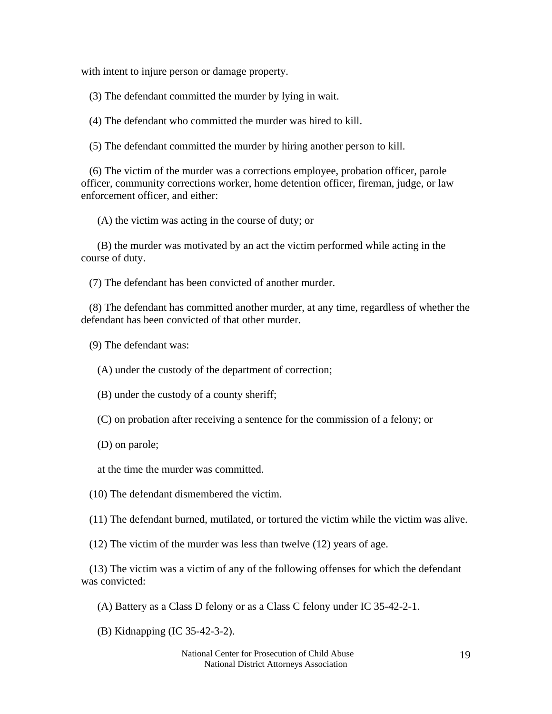with intent to injure person or damage property.

(3) The defendant committed the murder by lying in wait.

(4) The defendant who committed the murder was hired to kill.

(5) The defendant committed the murder by hiring another person to kill.

 (6) The victim of the murder was a corrections employee, probation officer, parole officer, community corrections worker, home detention officer, fireman, judge, or law enforcement officer, and either:

(A) the victim was acting in the course of duty; or

 (B) the murder was motivated by an act the victim performed while acting in the course of duty.

(7) The defendant has been convicted of another murder.

 (8) The defendant has committed another murder, at any time, regardless of whether the defendant has been convicted of that other murder.

(9) The defendant was:

(A) under the custody of the department of correction;

(B) under the custody of a county sheriff;

(C) on probation after receiving a sentence for the commission of a felony; or

(D) on parole;

at the time the murder was committed.

(10) The defendant dismembered the victim.

(11) The defendant burned, mutilated, or tortured the victim while the victim was alive.

(12) The victim of the murder was less than twelve (12) years of age.

 (13) The victim was a victim of any of the following offenses for which the defendant was convicted:

(A) Battery as a Class D felony or as a Class C felony under [IC 35-42-2-1.](https://www.lexis.com/research/buttonTFLink?_m=203bef922a07d45e8f3e5e0f1c5b99c5&_xfercite=%3ccite%20cc%3d%22USA%22%3e%3c%21%5bCDATA%5bBurns%20Ind.%20Code%20Ann.%20%a7%2035-50-2-9%5d%5d%3e%3c%2fcite%3e&_butType=4&_butStat=0&_butNum=12&_butInline=1&_butinfo=INCODE%2035-42-2-1&_fmtstr=FULL&docnum=1&_startdoc=1&wchp=dGLzVlz-zSkAt&_md5=0bca92a5914d490102f7e1c2075d8e35)

(B) Kidnapping ([IC 35-42-3-2\)](https://www.lexis.com/research/buttonTFLink?_m=203bef922a07d45e8f3e5e0f1c5b99c5&_xfercite=%3ccite%20cc%3d%22USA%22%3e%3c%21%5bCDATA%5bBurns%20Ind.%20Code%20Ann.%20%a7%2035-50-2-9%5d%5d%3e%3c%2fcite%3e&_butType=4&_butStat=0&_butNum=13&_butInline=1&_butinfo=INCODE%2035-42-3-2&_fmtstr=FULL&docnum=1&_startdoc=1&wchp=dGLzVlz-zSkAt&_md5=b48e6fd6a48721c2b3944d1bf0d477d2).

National Center for Prosecution of Child Abuse National District Attorneys Association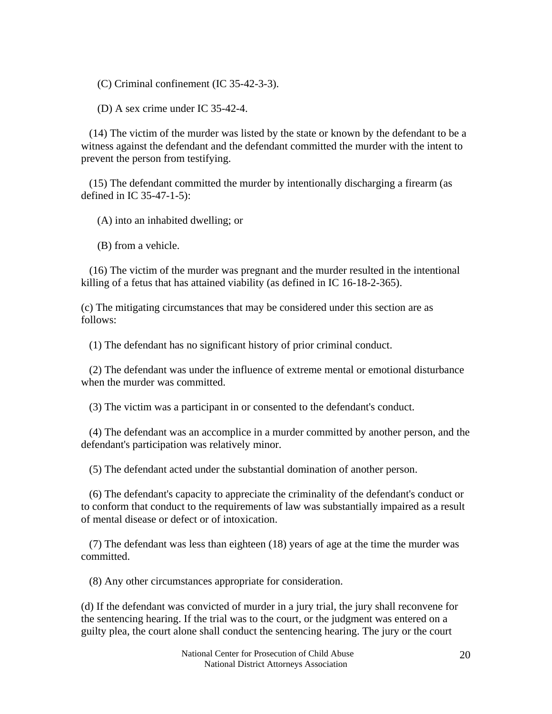(C) Criminal confinement ([IC 35-42-3-3\)](https://www.lexis.com/research/buttonTFLink?_m=203bef922a07d45e8f3e5e0f1c5b99c5&_xfercite=%3ccite%20cc%3d%22USA%22%3e%3c%21%5bCDATA%5bBurns%20Ind.%20Code%20Ann.%20%a7%2035-50-2-9%5d%5d%3e%3c%2fcite%3e&_butType=4&_butStat=0&_butNum=14&_butInline=1&_butinfo=INCODE%2035-42-3-3&_fmtstr=FULL&docnum=1&_startdoc=1&wchp=dGLzVlz-zSkAt&_md5=185b8f388719703235380449dcb8c6ac).

(D) A sex crime under IC 35-42-4.

 (14) The victim of the murder was listed by the state or known by the defendant to be a witness against the defendant and the defendant committed the murder with the intent to prevent the person from testifying.

 (15) The defendant committed the murder by intentionally discharging a firearm (as defined in [IC 35-47-1-5](https://www.lexis.com/research/buttonTFLink?_m=203bef922a07d45e8f3e5e0f1c5b99c5&_xfercite=%3ccite%20cc%3d%22USA%22%3e%3c%21%5bCDATA%5bBurns%20Ind.%20Code%20Ann.%20%a7%2035-50-2-9%5d%5d%3e%3c%2fcite%3e&_butType=4&_butStat=0&_butNum=15&_butInline=1&_butinfo=INCODE%2035-47-1-5&_fmtstr=FULL&docnum=1&_startdoc=1&wchp=dGLzVlz-zSkAt&_md5=7dff9bdd5d8702e3d73459b00c81c42b)):

(A) into an inhabited dwelling; or

(B) from a vehicle.

 (16) The victim of the murder was pregnant and the murder resulted in the intentional killing of a fetus that has attained viability (as defined in [IC 16-18-2-365](https://www.lexis.com/research/buttonTFLink?_m=203bef922a07d45e8f3e5e0f1c5b99c5&_xfercite=%3ccite%20cc%3d%22USA%22%3e%3c%21%5bCDATA%5bBurns%20Ind.%20Code%20Ann.%20%a7%2035-50-2-9%5d%5d%3e%3c%2fcite%3e&_butType=4&_butStat=0&_butNum=16&_butInline=1&_butinfo=INCODE%2016-18-2-365&_fmtstr=FULL&docnum=1&_startdoc=1&wchp=dGLzVlz-zSkAt&_md5=080058ccfec32f496cf1742854ec2087)).

(c) The mitigating circumstances that may be considered under this section are as follows:

(1) The defendant has no significant history of prior criminal conduct.

 (2) The defendant was under the influence of extreme mental or emotional disturbance when the murder was committed.

(3) The victim was a participant in or consented to the defendant's conduct.

 (4) The defendant was an accomplice in a murder committed by another person, and the defendant's participation was relatively minor.

(5) The defendant acted under the substantial domination of another person.

 (6) The defendant's capacity to appreciate the criminality of the defendant's conduct or to conform that conduct to the requirements of law was substantially impaired as a result of mental disease or defect or of intoxication.

 (7) The defendant was less than eighteen (18) years of age at the time the murder was committed.

(8) Any other circumstances appropriate for consideration.

(d) If the defendant was convicted of murder in a jury trial, the jury shall reconvene for the sentencing hearing. If the trial was to the court, or the judgment was entered on a guilty plea, the court alone shall conduct the sentencing hearing. The jury or the court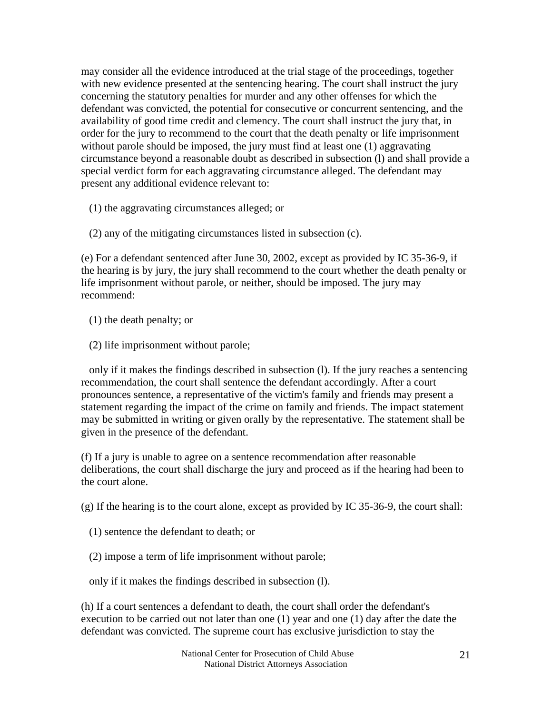may consider all the evidence introduced at the trial stage of the proceedings, together with new evidence presented at the sentencing hearing. The court shall instruct the jury concerning the statutory penalties for murder and any other offenses for which the defendant was convicted, the potential for consecutive or concurrent sentencing, and the availability of good time credit and clemency. The court shall instruct the jury that, in order for the jury to recommend to the court that the death penalty or life imprisonment without parole should be imposed, the jury must find at least one (1) aggravating circumstance beyond a reasonable doubt as described in subsection (l) and shall provide a special verdict form for each aggravating circumstance alleged. The defendant may present any additional evidence relevant to:

(1) the aggravating circumstances alleged; or

(2) any of the mitigating circumstances listed in subsection (c).

(e) For a defendant sentenced after June 30, 2002, except as provided by IC 35-36-9, if the hearing is by jury, the jury shall recommend to the court whether the death penalty or life imprisonment without parole, or neither, should be imposed. The jury may recommend:

(1) the death penalty; or

(2) life imprisonment without parole;

 only if it makes the findings described in subsection (l). If the jury reaches a sentencing recommendation, the court shall sentence the defendant accordingly. After a court pronounces sentence, a representative of the victim's family and friends may present a statement regarding the impact of the crime on family and friends. The impact statement may be submitted in writing or given orally by the representative. The statement shall be given in the presence of the defendant.

(f) If a jury is unable to agree on a sentence recommendation after reasonable deliberations, the court shall discharge the jury and proceed as if the hearing had been to the court alone.

(g) If the hearing is to the court alone, except as provided by IC 35-36-9, the court shall:

(1) sentence the defendant to death; or

(2) impose a term of life imprisonment without parole;

only if it makes the findings described in subsection (l).

(h) If a court sentences a defendant to death, the court shall order the defendant's execution to be carried out not later than one (1) year and one (1) day after the date the defendant was convicted. The supreme court has exclusive jurisdiction to stay the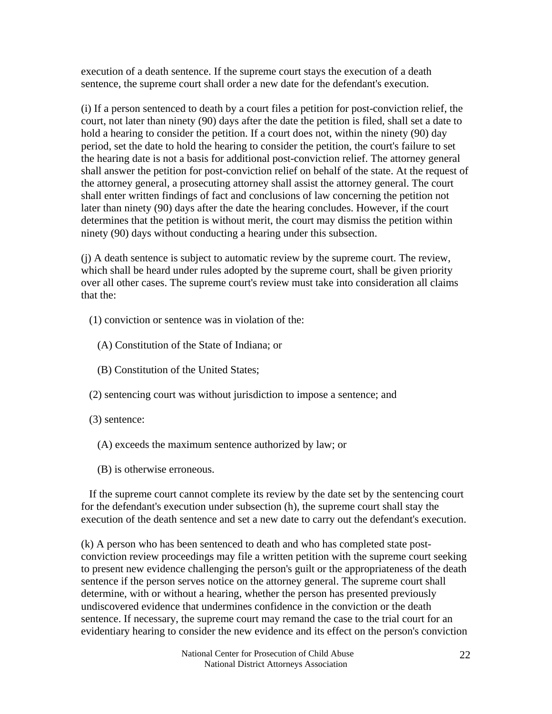execution of a death sentence. If the supreme court stays the execution of a death sentence, the supreme court shall order a new date for the defendant's execution.

(i) If a person sentenced to death by a court files a petition for post-conviction relief, the court, not later than ninety (90) days after the date the petition is filed, shall set a date to hold a hearing to consider the petition. If a court does not, within the ninety (90) day period, set the date to hold the hearing to consider the petition, the court's failure to set the hearing date is not a basis for additional post-conviction relief. The attorney general shall answer the petition for post-conviction relief on behalf of the state. At the request of the attorney general, a prosecuting attorney shall assist the attorney general. The court shall enter written findings of fact and conclusions of law concerning the petition not later than ninety (90) days after the date the hearing concludes. However, if the court determines that the petition is without merit, the court may dismiss the petition within ninety (90) days without conducting a hearing under this subsection.

(j) A death sentence is subject to automatic review by the supreme court. The review, which shall be heard under rules adopted by the supreme court, shall be given priority over all other cases. The supreme court's review must take into consideration all claims that the:

- (1) conviction or sentence was in violation of the:
	- (A) Constitution of the State of Indiana; or
	- (B) Constitution of the United States;
- (2) sentencing court was without jurisdiction to impose a sentence; and
- (3) sentence:
	- (A) exceeds the maximum sentence authorized by law; or
	- (B) is otherwise erroneous.

 If the supreme court cannot complete its review by the date set by the sentencing court for the defendant's execution under subsection (h), the supreme court shall stay the execution of the death sentence and set a new date to carry out the defendant's execution.

(k) A person who has been sentenced to death and who has completed state postconviction review proceedings may file a written petition with the supreme court seeking to present new evidence challenging the person's guilt or the appropriateness of the death sentence if the person serves notice on the attorney general. The supreme court shall determine, with or without a hearing, whether the person has presented previously undiscovered evidence that undermines confidence in the conviction or the death sentence. If necessary, the supreme court may remand the case to the trial court for an evidentiary hearing to consider the new evidence and its effect on the person's conviction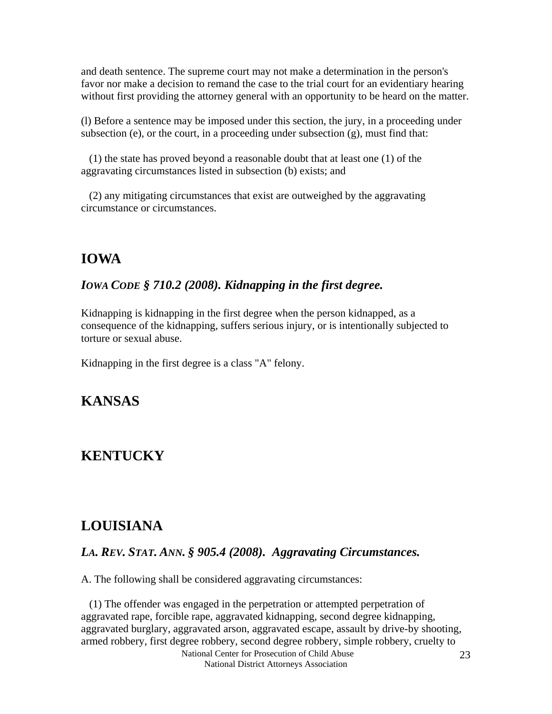<span id="page-22-0"></span>and death sentence. The supreme court may not make a determination in the person's favor nor make a decision to remand the case to the trial court for an evidentiary hearing without first providing the attorney general with an opportunity to be heard on the matter.

(l) Before a sentence may be imposed under this section, the jury, in a proceeding under subsection (e), or the court, in a proceeding under subsection (g), must find that:

 (1) the state has proved beyond a reasonable doubt that at least one (1) of the aggravating circumstances listed in subsection (b) exists; and

 (2) any mitigating circumstances that exist are outweighed by the aggravating circumstance or circumstances.

#### **IOWA**

#### *IOWA CODE § 710.2 (2008). Kidnapping in the first degree.*

Kidnapping is kidnapping in the first degree when the person kidnapped, as a consequence of the kidnapping, suffers serious injury, or is intentionally subjected to torture or sexual abuse.

Kidnapping in the first degree is a class "A" felony.

#### **KANSAS**

#### **KENTUCKY**

#### **LOUISIANA**

#### *LA. REV. STAT. ANN. § 905.4 (2008). Aggravating Circumstances.*

A. The following shall be considered aggravating circumstances:

National Center for Prosecution of Child Abuse (1) The offender was engaged in the perpetration or attempted perpetration of aggravated rape, forcible rape, aggravated kidnapping, second degree kidnapping, aggravated burglary, aggravated arson, aggravated escape, assault by drive-by shooting, armed robbery, first degree robbery, second degree robbery, simple robbery, cruelty to

National District Attorneys Association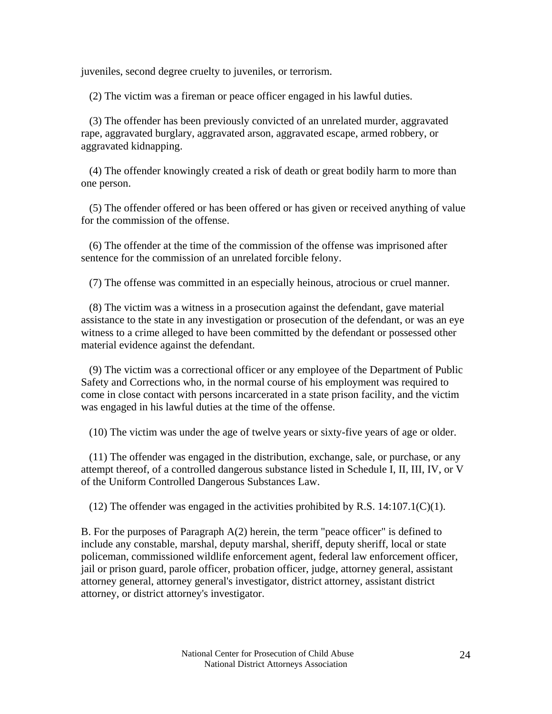juveniles, second degree cruelty to juveniles, or terrorism.

(2) The victim was a fireman or peace officer engaged in his lawful duties.

 (3) The offender has been previously convicted of an unrelated murder, aggravated rape, aggravated burglary, aggravated arson, aggravated escape, armed robbery, or aggravated kidnapping.

 (4) The offender knowingly created a risk of death or great bodily harm to more than one person.

 (5) The offender offered or has been offered or has given or received anything of value for the commission of the offense.

 (6) The offender at the time of the commission of the offense was imprisoned after sentence for the commission of an unrelated forcible felony.

(7) The offense was committed in an especially heinous, atrocious or cruel manner.

 (8) The victim was a witness in a prosecution against the defendant, gave material assistance to the state in any investigation or prosecution of the defendant, or was an eye witness to a crime alleged to have been committed by the defendant or possessed other material evidence against the defendant.

 (9) The victim was a correctional officer or any employee of the Department of Public Safety and Corrections who, in the normal course of his employment was required to come in close contact with persons incarcerated in a state prison facility, and the victim was engaged in his lawful duties at the time of the offense.

(10) The victim was under the age of twelve years or sixty-five years of age or older.

 (11) The offender was engaged in the distribution, exchange, sale, or purchase, or any attempt thereof, of a controlled dangerous substance listed in Schedule I, II, III, IV, or V of the Uniform Controlled Dangerous Substances Law.

(12) The offender was engaged in the activities prohibited by [R.S. 14:107.1\(C\)\(1\).](https://www.lexis.com/research/buttonTFLink?_m=ab57272b346e9ded1a14c2ee8ff8dd32&_xfercite=%3ccite%20cc%3d%22USA%22%3e%3c%21%5bCDATA%5bLa.%20C.Cr.P.%20Art.%20905.4%5d%5d%3e%3c%2fcite%3e&_butType=4&_butStat=0&_butNum=2&_butInline=1&_butinfo=LACODE%2014%3a107.1&_fmtstr=FULL&docnum=1&_startdoc=1&wchp=dGLbVtb-zSkAb&_md5=18ac4578979089fe4eef78ed4887a8d6)

B. For the purposes of Paragraph A(2) herein, the term "peace officer" is defined to include any constable, marshal, deputy marshal, sheriff, deputy sheriff, local or state policeman, commissioned wildlife enforcement agent, federal law enforcement officer, jail or prison guard, parole officer, probation officer, judge, attorney general, assistant attorney general, attorney general's investigator, district attorney, assistant district attorney, or district attorney's investigator.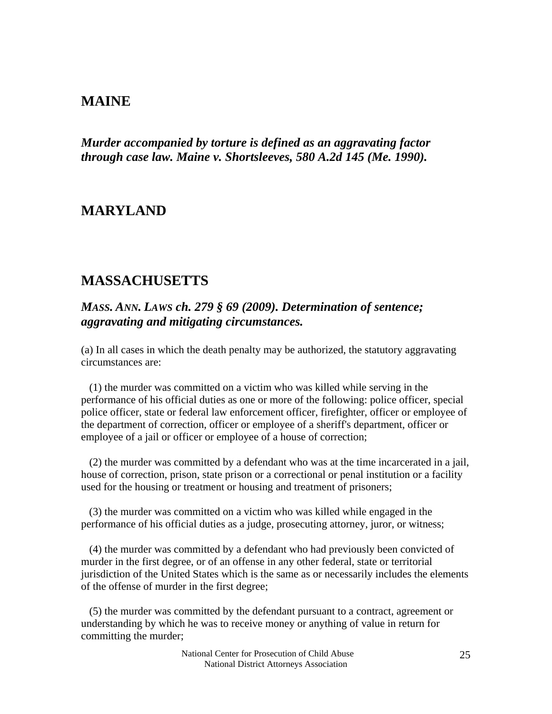#### <span id="page-24-0"></span>**MAINE**

*Murder accompanied by torture is defined as an aggravating factor through case law. Maine v. Shortsleeves, 580 A.2d 145 (Me. 1990).* 

#### **MARYLAND**

### **MASSACHUSETTS**

#### *MASS. ANN. LAWS ch. 279 § 69 (2009). Determination of sentence; aggravating and mitigating circumstances.*

(a) In all cases in which the death penalty may be authorized, the statutory aggravating circumstances are:

 (1) the murder was committed on a victim who was killed while serving in the performance of his official duties as one or more of the following: police officer, special police officer, state or federal law enforcement officer, firefighter, officer or employee of the department of correction, officer or employee of a sheriff's department, officer or employee of a jail or officer or employee of a house of correction;

 (2) the murder was committed by a defendant who was at the time incarcerated in a jail, house of correction, prison, state prison or a correctional or penal institution or a facility used for the housing or treatment or housing and treatment of prisoners;

 (3) the murder was committed on a victim who was killed while engaged in the performance of his official duties as a judge, prosecuting attorney, juror, or witness;

 (4) the murder was committed by a defendant who had previously been convicted of murder in the first degree, or of an offense in any other federal, state or territorial jurisdiction of the United States which is the same as or necessarily includes the elements of the offense of murder in the first degree;

 (5) the murder was committed by the defendant pursuant to a contract, agreement or understanding by which he was to receive money or anything of value in return for committing the murder;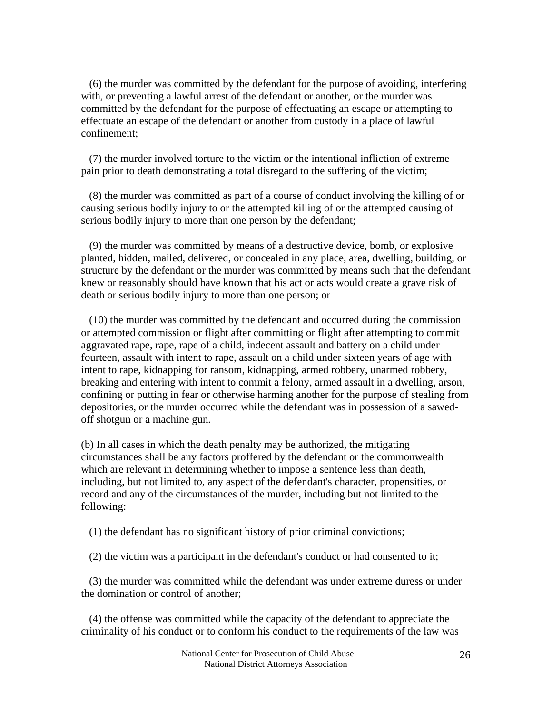(6) the murder was committed by the defendant for the purpose of avoiding, interfering with, or preventing a lawful arrest of the defendant or another, or the murder was committed by the defendant for the purpose of effectuating an escape or attempting to effectuate an escape of the defendant or another from custody in a place of lawful confinement;

 (7) the murder involved torture to the victim or the intentional infliction of extreme pain prior to death demonstrating a total disregard to the suffering of the victim;

 (8) the murder was committed as part of a course of conduct involving the killing of or causing serious bodily injury to or the attempted killing of or the attempted causing of serious bodily injury to more than one person by the defendant;

 (9) the murder was committed by means of a destructive device, bomb, or explosive planted, hidden, mailed, delivered, or concealed in any place, area, dwelling, building, or structure by the defendant or the murder was committed by means such that the defendant knew or reasonably should have known that his act or acts would create a grave risk of death or serious bodily injury to more than one person; or

 (10) the murder was committed by the defendant and occurred during the commission or attempted commission or flight after committing or flight after attempting to commit aggravated rape, rape, rape of a child, indecent assault and battery on a child under fourteen, assault with intent to rape, assault on a child under sixteen years of age with intent to rape, kidnapping for ransom, kidnapping, armed robbery, unarmed robbery, breaking and entering with intent to commit a felony, armed assault in a dwelling, arson, confining or putting in fear or otherwise harming another for the purpose of stealing from depositories, or the murder occurred while the defendant was in possession of a sawedoff shotgun or a machine gun.

(b) In all cases in which the death penalty may be authorized, the mitigating circumstances shall be any factors proffered by the defendant or the commonwealth which are relevant in determining whether to impose a sentence less than death, including, but not limited to, any aspect of the defendant's character, propensities, or record and any of the circumstances of the murder, including but not limited to the following:

(1) the defendant has no significant history of prior criminal convictions;

(2) the victim was a participant in the defendant's conduct or had consented to it;

 (3) the murder was committed while the defendant was under extreme duress or under the domination or control of another;

 (4) the offense was committed while the capacity of the defendant to appreciate the criminality of his conduct or to conform his conduct to the requirements of the law was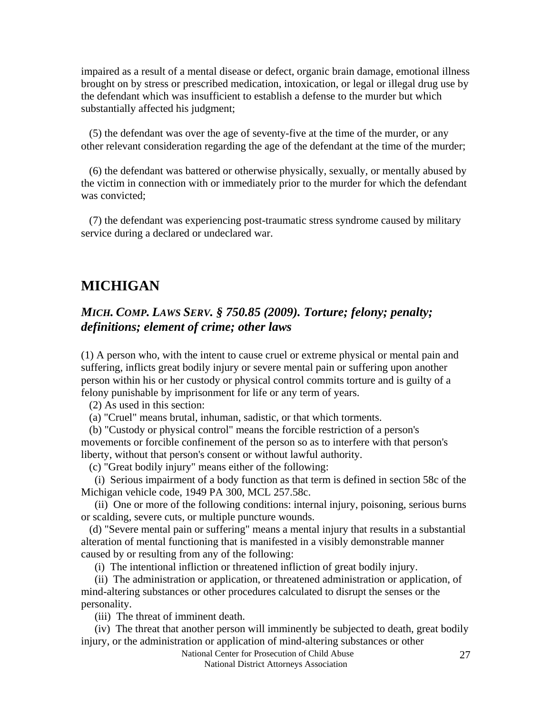<span id="page-26-0"></span>impaired as a result of a mental disease or defect, organic brain damage, emotional illness brought on by stress or prescribed medication, intoxication, or legal or illegal drug use by the defendant which was insufficient to establish a defense to the murder but which substantially affected his judgment;

 (5) the defendant was over the age of seventy-five at the time of the murder, or any other relevant consideration regarding the age of the defendant at the time of the murder;

 (6) the defendant was battered or otherwise physically, sexually, or mentally abused by the victim in connection with or immediately prior to the murder for which the defendant was convicted;

 (7) the defendant was experiencing post-traumatic stress syndrome caused by military service during a declared or undeclared war.

#### **MICHIGAN**

#### *MICH. COMP. LAWS SERV. § 750.85 (2009). Torture; felony; penalty; definitions; element of crime; other laws*

(1) A person who, with the intent to cause cruel or extreme physical or mental pain and suffering, inflicts great bodily injury or severe mental pain or suffering upon another person within his or her custody or physical control commits torture and is guilty of a felony punishable by imprisonment for life or any term of years.

(2) As used in this section:

(a) "Cruel" means brutal, inhuman, sadistic, or that which torments.

 (b) "Custody or physical control" means the forcible restriction of a person's movements or forcible confinement of the person so as to interfere with that person's liberty, without that person's consent or without lawful authority.

(c) "Great bodily injury" means either of the following:

 (i) Serious impairment of a body function as that term is defined in section 58c of the Michigan vehicle code, 1949 PA 300, [MCL 257.58c.](https://www.lexis.com/research/buttonTFLink?_m=35d79f0895078842c919228c3dddd8c4&_xfercite=%3ccite%20cc%3d%22USA%22%3e%3c%21%5bCDATA%5bMCLS%20%a7%20750.85%5d%5d%3e%3c%2fcite%3e&_butType=4&_butStat=0&_butNum=3&_butInline=1&_butinfo=MICODE%20257.58C&_fmtstr=FULL&docnum=1&_startdoc=1&wchp=dGLbVtb-zSkAb&_md5=b23148b2b67b14d5d378be5928c05970)

 (ii) One or more of the following conditions: internal injury, poisoning, serious burns or scalding, severe cuts, or multiple puncture wounds.

 (d) "Severe mental pain or suffering" means a mental injury that results in a substantial alteration of mental functioning that is manifested in a visibly demonstrable manner caused by or resulting from any of the following:

(i) The intentional infliction or threatened infliction of great bodily injury.

 (ii) The administration or application, or threatened administration or application, of mind-altering substances or other procedures calculated to disrupt the senses or the personality.

(iii) The threat of imminent death.

 (iv) The threat that another person will imminently be subjected to death, great bodily injury, or the administration or application of mind-altering substances or other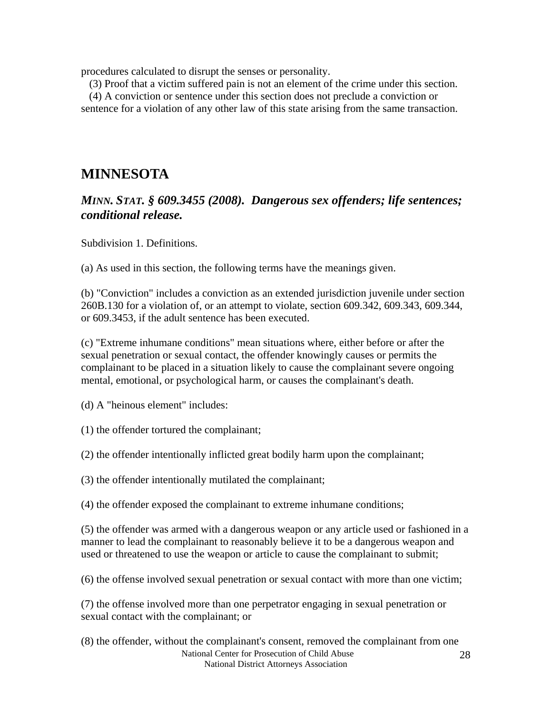<span id="page-27-0"></span>procedures calculated to disrupt the senses or personality.

(3) Proof that a victim suffered pain is not an element of the crime under this section.

 (4) A conviction or sentence under this section does not preclude a conviction or sentence for a violation of any other law of this state arising from the same transaction.

## **MINNESOTA**

#### *MINN. STAT. § 609.3455 (2008). Dangerous sex offenders; life sentences; conditional release.*

Subdivision 1. Definitions.

(a) As used in this section, the following terms have the meanings given.

(b) "Conviction" includes a conviction as an extended jurisdiction juvenile under section 260B.130 for a violation of, or an attempt to violate, section 609.342, 609.343, 609.344, or 609.3453, if the adult sentence has been executed.

(c) "Extreme inhumane conditions" mean situations where, either before or after the sexual penetration or sexual contact, the offender knowingly causes or permits the complainant to be placed in a situation likely to cause the complainant severe ongoing mental, emotional, or psychological harm, or causes the complainant's death.

(d) A "heinous element" includes:

(1) the offender tortured the complainant;

(2) the offender intentionally inflicted great bodily harm upon the complainant;

(3) the offender intentionally mutilated the complainant;

(4) the offender exposed the complainant to extreme inhumane conditions;

(5) the offender was armed with a dangerous weapon or any article used or fashioned in a manner to lead the complainant to reasonably believe it to be a dangerous weapon and used or threatened to use the weapon or article to cause the complainant to submit;

(6) the offense involved sexual penetration or sexual contact with more than one victim;

(7) the offense involved more than one perpetrator engaging in sexual penetration or sexual contact with the complainant; or

National Center for Prosecution of Child Abuse National District Attorneys Association 28 (8) the offender, without the complainant's consent, removed the complainant from one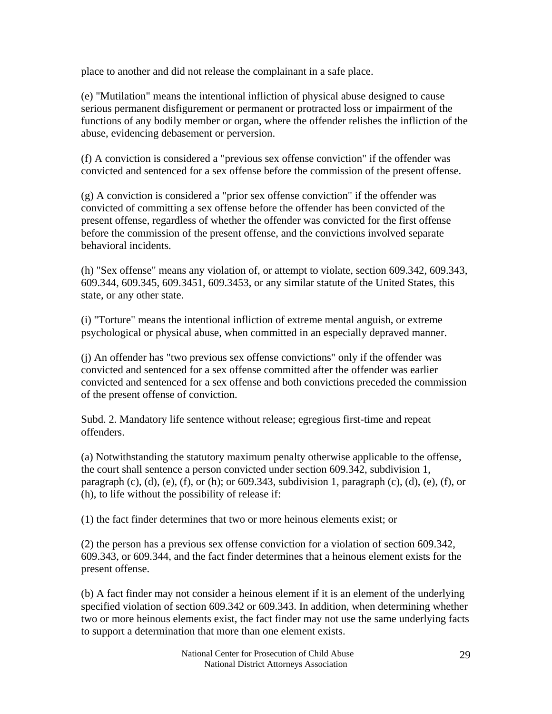place to another and did not release the complainant in a safe place.

(e) "Mutilation" means the intentional infliction of physical abuse designed to cause serious permanent disfigurement or permanent or protracted loss or impairment of the functions of any bodily member or organ, where the offender relishes the infliction of the abuse, evidencing debasement or perversion.

(f) A conviction is considered a "previous sex offense conviction" if the offender was convicted and sentenced for a sex offense before the commission of the present offense.

(g) A conviction is considered a "prior sex offense conviction" if the offender was convicted of committing a sex offense before the offender has been convicted of the present offense, regardless of whether the offender was convicted for the first offense before the commission of the present offense, and the convictions involved separate behavioral incidents.

(h) "Sex offense" means any violation of, or attempt to violate, section 609.342, 609.343, 609.344, 609.345, 609.3451, 609.3453, or any similar statute of the United States, this state, or any other state.

(i) "Torture" means the intentional infliction of extreme mental anguish, or extreme psychological or physical abuse, when committed in an especially depraved manner.

(j) An offender has "two previous sex offense convictions" only if the offender was convicted and sentenced for a sex offense committed after the offender was earlier convicted and sentenced for a sex offense and both convictions preceded the commission of the present offense of conviction.

Subd. 2. Mandatory life sentence without release; egregious first-time and repeat offenders.

(a) Notwithstanding the statutory maximum penalty otherwise applicable to the offense, the court shall sentence a person convicted under section 609.342, subdivision 1, paragraph (c), (d), (e), (f), or (h); or  $609.343$ , subdivision 1, paragraph (c), (d), (e), (f), or (h), to life without the possibility of release if:

(1) the fact finder determines that two or more heinous elements exist; or

(2) the person has a previous sex offense conviction for a violation of section 609.342, 609.343, or 609.344, and the fact finder determines that a heinous element exists for the present offense.

(b) A fact finder may not consider a heinous element if it is an element of the underlying specified violation of section 609.342 or 609.343. In addition, when determining whether two or more heinous elements exist, the fact finder may not use the same underlying facts to support a determination that more than one element exists.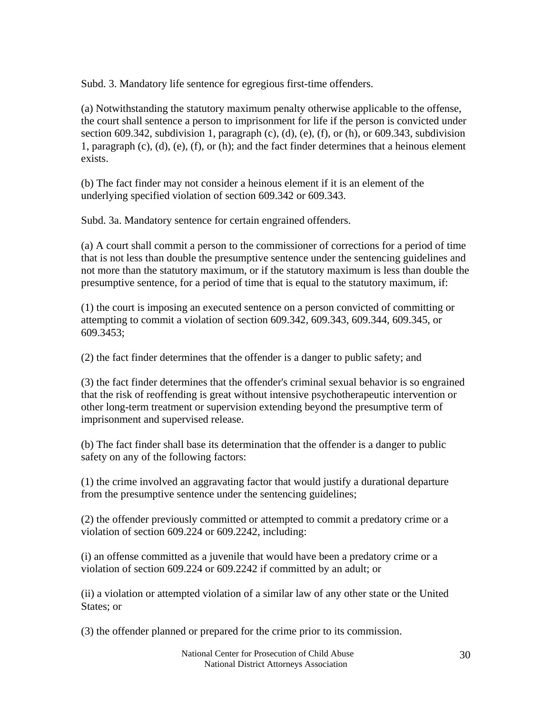Subd. 3. Mandatory life sentence for egregious first-time offenders.

(a) Notwithstanding the statutory maximum penalty otherwise applicable to the offense, the court shall sentence a person to imprisonment for life if the person is convicted under section 609.342, subdivision 1, paragraph (c), (d), (e), (f), or (h), or 609.343, subdivision 1, paragraph (c), (d), (e), (f), or (h); and the fact finder determines that a heinous element exists.

(b) The fact finder may not consider a heinous element if it is an element of the underlying specified violation of section 609.342 or 609.343.

Subd. 3a. Mandatory sentence for certain engrained offenders.

(a) A court shall commit a person to the commissioner of corrections for a period of time that is not less than double the presumptive sentence under the sentencing guidelines and not more than the statutory maximum, or if the statutory maximum is less than double the presumptive sentence, for a period of time that is equal to the statutory maximum, if:

(1) the court is imposing an executed sentence on a person convicted of committing or attempting to commit a violation of section 609.342, 609.343, 609.344, 609.345, or 609.3453;

(2) the fact finder determines that the offender is a danger to public safety; and

(3) the fact finder determines that the offender's criminal sexual behavior is so engrained that the risk of reoffending is great without intensive psychotherapeutic intervention or other long-term treatment or supervision extending beyond the presumptive term of imprisonment and supervised release.

(b) The fact finder shall base its determination that the offender is a danger to public safety on any of the following factors:

(1) the crime involved an aggravating factor that would justify a durational departure from the presumptive sentence under the sentencing guidelines;

(2) the offender previously committed or attempted to commit a predatory crime or a violation of section 609.224 or 609.2242, including:

(i) an offense committed as a juvenile that would have been a predatory crime or a violation of section 609.224 or 609.2242 if committed by an adult; or

(ii) a violation or attempted violation of a similar law of any other state or the United States; or

(3) the offender planned or prepared for the crime prior to its commission.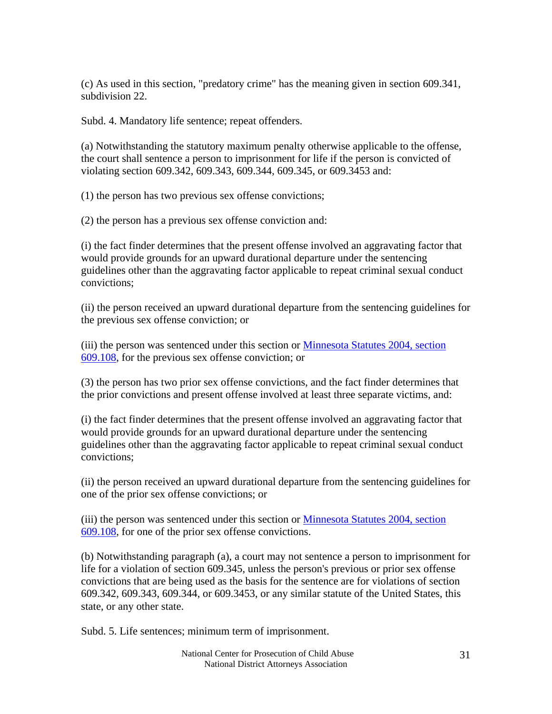(c) As used in this section, "predatory crime" has the meaning given in section 609.341, subdivision 22.

Subd. 4. Mandatory life sentence; repeat offenders.

(a) Notwithstanding the statutory maximum penalty otherwise applicable to the offense, the court shall sentence a person to imprisonment for life if the person is convicted of violating section 609.342, 609.343, 609.344, 609.345, or 609.3453 and:

(1) the person has two previous sex offense convictions;

(2) the person has a previous sex offense conviction and:

(i) the fact finder determines that the present offense involved an aggravating factor that would provide grounds for an upward durational departure under the sentencing guidelines other than the aggravating factor applicable to repeat criminal sexual conduct convictions;

(ii) the person received an upward durational departure from the sentencing guidelines for the previous sex offense conviction; or

(iii) the person was sentenced under this section or [Minnesota Statutes 2004, section](https://www.lexis.com/research/buttonTFLink?_m=ed267ad4455da6f3556f79ea4e40ab06&_xfercite=%3ccite%20cc%3d%22USA%22%3e%3c%21%5bCDATA%5bMinn.%20Stat.%20%a7%20609.3455%5d%5d%3e%3c%2fcite%3e&_butType=4&_butStat=0&_butNum=2&_butInline=1&_butinfo=MNCODE%20609.108&_fmtstr=FULL&docnum=1&_startdoc=1&wchp=dGLbVtb-zSkAb&_md5=bf79dd190376b93cd9dd3323fb5d1582)  [609.108](https://www.lexis.com/research/buttonTFLink?_m=ed267ad4455da6f3556f79ea4e40ab06&_xfercite=%3ccite%20cc%3d%22USA%22%3e%3c%21%5bCDATA%5bMinn.%20Stat.%20%a7%20609.3455%5d%5d%3e%3c%2fcite%3e&_butType=4&_butStat=0&_butNum=2&_butInline=1&_butinfo=MNCODE%20609.108&_fmtstr=FULL&docnum=1&_startdoc=1&wchp=dGLbVtb-zSkAb&_md5=bf79dd190376b93cd9dd3323fb5d1582), for the previous sex offense conviction; or

(3) the person has two prior sex offense convictions, and the fact finder determines that the prior convictions and present offense involved at least three separate victims, and:

(i) the fact finder determines that the present offense involved an aggravating factor that would provide grounds for an upward durational departure under the sentencing guidelines other than the aggravating factor applicable to repeat criminal sexual conduct convictions;

(ii) the person received an upward durational departure from the sentencing guidelines for one of the prior sex offense convictions; or

(iii) the person was sentenced under this section or [Minnesota Statutes 2004, section](https://www.lexis.com/research/buttonTFLink?_m=ed267ad4455da6f3556f79ea4e40ab06&_xfercite=%3ccite%20cc%3d%22USA%22%3e%3c%21%5bCDATA%5bMinn.%20Stat.%20%a7%20609.3455%5d%5d%3e%3c%2fcite%3e&_butType=4&_butStat=0&_butNum=3&_butInline=1&_butinfo=MNCODE%20609.108&_fmtstr=FULL&docnum=1&_startdoc=1&wchp=dGLbVtb-zSkAb&_md5=cb6d99d704210aa4acd519b24d87e8bc)  [609.108](https://www.lexis.com/research/buttonTFLink?_m=ed267ad4455da6f3556f79ea4e40ab06&_xfercite=%3ccite%20cc%3d%22USA%22%3e%3c%21%5bCDATA%5bMinn.%20Stat.%20%a7%20609.3455%5d%5d%3e%3c%2fcite%3e&_butType=4&_butStat=0&_butNum=3&_butInline=1&_butinfo=MNCODE%20609.108&_fmtstr=FULL&docnum=1&_startdoc=1&wchp=dGLbVtb-zSkAb&_md5=cb6d99d704210aa4acd519b24d87e8bc), for one of the prior sex offense convictions.

(b) Notwithstanding paragraph (a), a court may not sentence a person to imprisonment for life for a violation of section 609.345, unless the person's previous or prior sex offense convictions that are being used as the basis for the sentence are for violations of section 609.342, 609.343, 609.344, or 609.3453, or any similar statute of the United States, this state, or any other state.

Subd. 5. Life sentences; minimum term of imprisonment.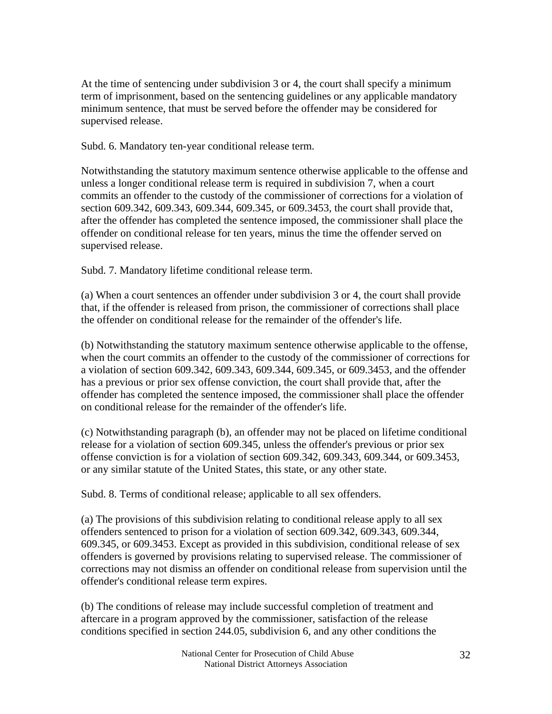At the time of sentencing under subdivision 3 or 4, the court shall specify a minimum term of imprisonment, based on the sentencing guidelines or any applicable mandatory minimum sentence, that must be served before the offender may be considered for supervised release.

Subd. 6. Mandatory ten-year conditional release term.

Notwithstanding the statutory maximum sentence otherwise applicable to the offense and unless a longer conditional release term is required in subdivision 7, when a court commits an offender to the custody of the commissioner of corrections for a violation of section 609.342, 609.343, 609.344, 609.345, or 609.3453, the court shall provide that, after the offender has completed the sentence imposed, the commissioner shall place the offender on conditional release for ten years, minus the time the offender served on supervised release.

Subd. 7. Mandatory lifetime conditional release term.

(a) When a court sentences an offender under subdivision 3 or 4, the court shall provide that, if the offender is released from prison, the commissioner of corrections shall place the offender on conditional release for the remainder of the offender's life.

(b) Notwithstanding the statutory maximum sentence otherwise applicable to the offense, when the court commits an offender to the custody of the commissioner of corrections for a violation of section 609.342, 609.343, 609.344, 609.345, or 609.3453, and the offender has a previous or prior sex offense conviction, the court shall provide that, after the offender has completed the sentence imposed, the commissioner shall place the offender on conditional release for the remainder of the offender's life.

(c) Notwithstanding paragraph (b), an offender may not be placed on lifetime conditional release for a violation of section 609.345, unless the offender's previous or prior sex offense conviction is for a violation of section 609.342, 609.343, 609.344, or 609.3453, or any similar statute of the United States, this state, or any other state.

Subd. 8. Terms of conditional release; applicable to all sex offenders.

(a) The provisions of this subdivision relating to conditional release apply to all sex offenders sentenced to prison for a violation of section 609.342, 609.343, 609.344, 609.345, or 609.3453. Except as provided in this subdivision, conditional release of sex offenders is governed by provisions relating to supervised release. The commissioner of corrections may not dismiss an offender on conditional release from supervision until the offender's conditional release term expires.

(b) The conditions of release may include successful completion of treatment and aftercare in a program approved by the commissioner, satisfaction of the release conditions specified in section 244.05, subdivision 6, and any other conditions the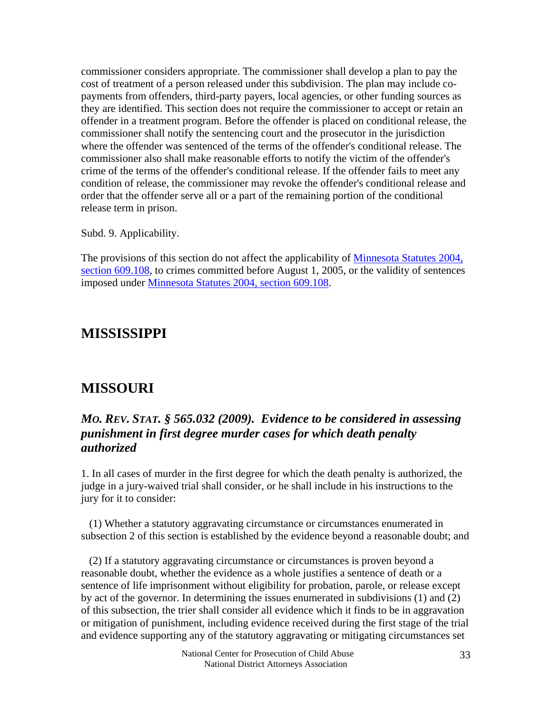<span id="page-32-0"></span>commissioner considers appropriate. The commissioner shall develop a plan to pay the cost of treatment of a person released under this subdivision. The plan may include copayments from offenders, third-party payers, local agencies, or other funding sources as they are identified. This section does not require the commissioner to accept or retain an offender in a treatment program. Before the offender is placed on conditional release, the commissioner shall notify the sentencing court and the prosecutor in the jurisdiction where the offender was sentenced of the terms of the offender's conditional release. The commissioner also shall make reasonable efforts to notify the victim of the offender's crime of the terms of the offender's conditional release. If the offender fails to meet any condition of release, the commissioner may revoke the offender's conditional release and order that the offender serve all or a part of the remaining portion of the conditional release term in prison.

Subd. 9. Applicability.

The provisions of this section do not affect the applicability of [Minnesota Statutes 2004,](https://www.lexis.com/research/buttonTFLink?_m=ed267ad4455da6f3556f79ea4e40ab06&_xfercite=%3ccite%20cc%3d%22USA%22%3e%3c%21%5bCDATA%5bMinn.%20Stat.%20%a7%20609.3455%5d%5d%3e%3c%2fcite%3e&_butType=4&_butStat=0&_butNum=4&_butInline=1&_butinfo=MNCODE%20609.108&_fmtstr=FULL&docnum=1&_startdoc=1&wchp=dGLbVtb-zSkAb&_md5=7eadf6b9407949d0ffff7289ddf72a14)  [section 609.108,](https://www.lexis.com/research/buttonTFLink?_m=ed267ad4455da6f3556f79ea4e40ab06&_xfercite=%3ccite%20cc%3d%22USA%22%3e%3c%21%5bCDATA%5bMinn.%20Stat.%20%a7%20609.3455%5d%5d%3e%3c%2fcite%3e&_butType=4&_butStat=0&_butNum=4&_butInline=1&_butinfo=MNCODE%20609.108&_fmtstr=FULL&docnum=1&_startdoc=1&wchp=dGLbVtb-zSkAb&_md5=7eadf6b9407949d0ffff7289ddf72a14) to crimes committed before August 1, 2005, or the validity of sentences imposed under [Minnesota Statutes 2004, section 609.108.](https://www.lexis.com/research/buttonTFLink?_m=ed267ad4455da6f3556f79ea4e40ab06&_xfercite=%3ccite%20cc%3d%22USA%22%3e%3c%21%5bCDATA%5bMinn.%20Stat.%20%a7%20609.3455%5d%5d%3e%3c%2fcite%3e&_butType=4&_butStat=0&_butNum=5&_butInline=1&_butinfo=MNCODE%20609.108&_fmtstr=FULL&docnum=1&_startdoc=1&wchp=dGLbVtb-zSkAb&_md5=753e13ce5d18bbaf4fb96d01d68af129)

## **MISSISSIPPI**

## **MISSOURI**

#### *MO. REV. STAT. § 565.032 (2009). Evidence to be considered in assessing punishment in first degree murder cases for which death penalty authorized*

1. In all cases of murder in the first degree for which the death penalty is authorized, the judge in a jury-waived trial shall consider, or he shall include in his instructions to the jury for it to consider:

 (1) Whether a statutory aggravating circumstance or circumstances enumerated in subsection 2 of this section is established by the evidence beyond a reasonable doubt; and

 (2) If a statutory aggravating circumstance or circumstances is proven beyond a reasonable doubt, whether the evidence as a whole justifies a sentence of death or a sentence of life imprisonment without eligibility for probation, parole, or release except by act of the governor. In determining the issues enumerated in subdivisions (1) and (2) of this subsection, the trier shall consider all evidence which it finds to be in aggravation or mitigation of punishment, including evidence received during the first stage of the trial and evidence supporting any of the statutory aggravating or mitigating circumstances set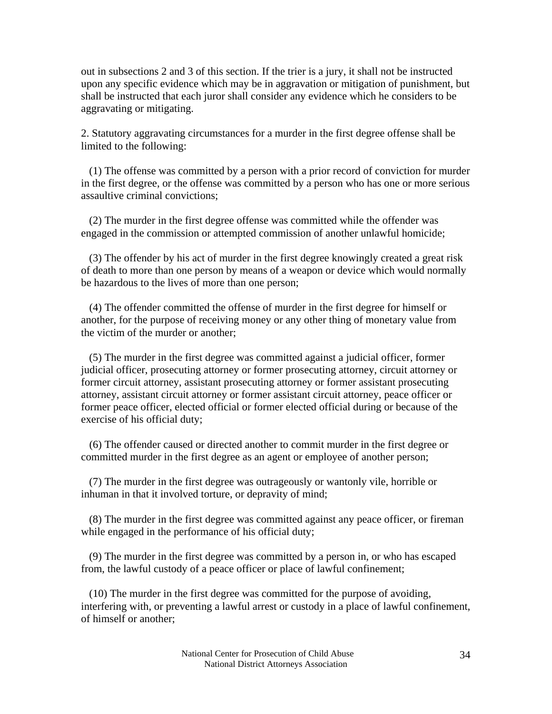out in subsections 2 and 3 of this section. If the trier is a jury, it shall not be instructed upon any specific evidence which may be in aggravation or mitigation of punishment, but shall be instructed that each juror shall consider any evidence which he considers to be aggravating or mitigating.

2. Statutory aggravating circumstances for a murder in the first degree offense shall be limited to the following:

 (1) The offense was committed by a person with a prior record of conviction for murder in the first degree, or the offense was committed by a person who has one or more serious assaultive criminal convictions;

 (2) The murder in the first degree offense was committed while the offender was engaged in the commission or attempted commission of another unlawful homicide;

 (3) The offender by his act of murder in the first degree knowingly created a great risk of death to more than one person by means of a weapon or device which would normally be hazardous to the lives of more than one person;

 (4) The offender committed the offense of murder in the first degree for himself or another, for the purpose of receiving money or any other thing of monetary value from the victim of the murder or another;

 (5) The murder in the first degree was committed against a judicial officer, former judicial officer, prosecuting attorney or former prosecuting attorney, circuit attorney or former circuit attorney, assistant prosecuting attorney or former assistant prosecuting attorney, assistant circuit attorney or former assistant circuit attorney, peace officer or former peace officer, elected official or former elected official during or because of the exercise of his official duty;

 (6) The offender caused or directed another to commit murder in the first degree or committed murder in the first degree as an agent or employee of another person;

 (7) The murder in the first degree was outrageously or wantonly vile, horrible or inhuman in that it involved torture, or depravity of mind;

 (8) The murder in the first degree was committed against any peace officer, or fireman while engaged in the performance of his official duty;

 (9) The murder in the first degree was committed by a person in, or who has escaped from, the lawful custody of a peace officer or place of lawful confinement;

 (10) The murder in the first degree was committed for the purpose of avoiding, interfering with, or preventing a lawful arrest or custody in a place of lawful confinement, of himself or another;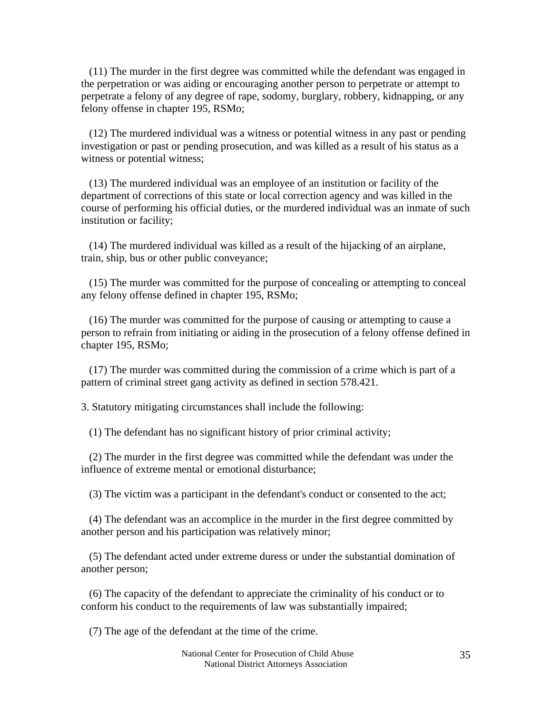(11) The murder in the first degree was committed while the defendant was engaged in the perpetration or was aiding or encouraging another person to perpetrate or attempt to perpetrate a felony of any degree of rape, sodomy, burglary, robbery, kidnapping, or any felony offense in chapter 195, RSMo;

 (12) The murdered individual was a witness or potential witness in any past or pending investigation or past or pending prosecution, and was killed as a result of his status as a witness or potential witness;

 (13) The murdered individual was an employee of an institution or facility of the department of corrections of this state or local correction agency and was killed in the course of performing his official duties, or the murdered individual was an inmate of such institution or facility;

 (14) The murdered individual was killed as a result of the hijacking of an airplane, train, ship, bus or other public conveyance;

 (15) The murder was committed for the purpose of concealing or attempting to conceal any felony offense defined in chapter 195, RSMo;

 (16) The murder was committed for the purpose of causing or attempting to cause a person to refrain from initiating or aiding in the prosecution of a felony offense defined in chapter 195, RSMo;

 (17) The murder was committed during the commission of a crime which is part of a pattern of criminal street gang activity as defined in [section 578.421.](https://www.lexis.com/research/buttonTFLink?_m=149ac7be2a0265267786a4907c188c07&_xfercite=%3ccite%20cc%3d%22USA%22%3e%3c%21%5bCDATA%5b%a7%20565.032%20R.S.Mo.%5d%5d%3e%3c%2fcite%3e&_butType=4&_butStat=0&_butNum=2&_butInline=1&_butinfo=MOCODE%20578.421&_fmtstr=FULL&docnum=1&_startdoc=1&wchp=dGLbVtb-zSkAb&_md5=a5717f5d306c91a862571c8d7e0b02a0)

3. Statutory mitigating circumstances shall include the following:

(1) The defendant has no significant history of prior criminal activity;

 (2) The murder in the first degree was committed while the defendant was under the influence of extreme mental or emotional disturbance;

(3) The victim was a participant in the defendant's conduct or consented to the act;

 (4) The defendant was an accomplice in the murder in the first degree committed by another person and his participation was relatively minor;

 (5) The defendant acted under extreme duress or under the substantial domination of another person;

 (6) The capacity of the defendant to appreciate the criminality of his conduct or to conform his conduct to the requirements of law was substantially impaired;

(7) The age of the defendant at the time of the crime.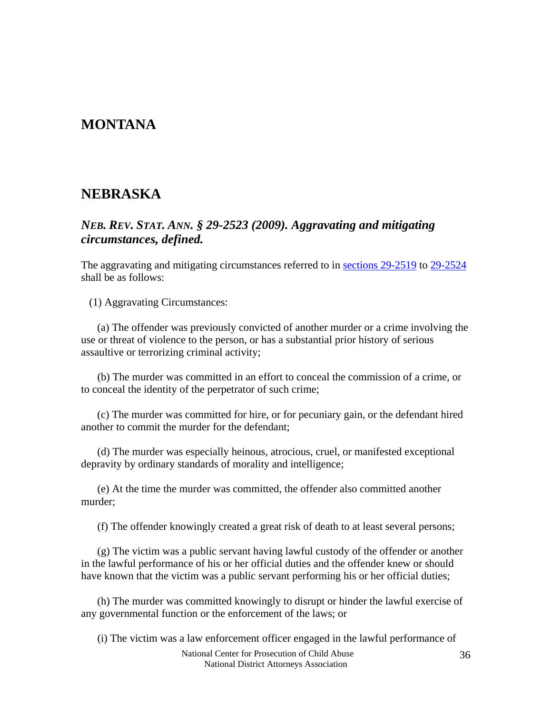## <span id="page-35-0"></span>**MONTANA**

### **NEBRASKA**

#### *NEB. REV. STAT. ANN. § 29-2523 (2009). Aggravating and mitigating circumstances, defined.*

The aggravating and mitigating circumstances referred to in [sections 29-2519](https://www.lexis.com/research/buttonTFLink?_m=606aff2b0ad3d8abc27da4048e60c894&_xfercite=%3ccite%20cc%3d%22USA%22%3e%3c%21%5bCDATA%5bR.R.S.%20Neb.%20%a7%2029-2523%5d%5d%3e%3c%2fcite%3e&_butType=4&_butStat=0&_butNum=1&_butInline=1&_butinfo=NECODE%2029-2519&_fmtstr=FULL&docnum=1&_startdoc=1&wchp=dGLbVtb-zSkAb&_md5=b41aef15f9e0a603171209958b45b5da) to [29-2524](https://www.lexis.com/research/buttonTFLink?_m=606aff2b0ad3d8abc27da4048e60c894&_xfercite=%3ccite%20cc%3d%22USA%22%3e%3c%21%5bCDATA%5bR.R.S.%20Neb.%20%a7%2029-2523%5d%5d%3e%3c%2fcite%3e&_butType=4&_butStat=0&_butNum=2&_butInline=1&_butinfo=NECODE%2029-2524&_fmtstr=FULL&docnum=1&_startdoc=1&wchp=dGLbVtb-zSkAb&_md5=4013b132cb7d6d3422189f64b1fa544b) shall be as follows:

(1) Aggravating Circumstances:

 (a) The offender was previously convicted of another murder or a crime involving the use or threat of violence to the person, or has a substantial prior history of serious assaultive or terrorizing criminal activity;

 (b) The murder was committed in an effort to conceal the commission of a crime, or to conceal the identity of the perpetrator of such crime;

 (c) The murder was committed for hire, or for pecuniary gain, or the defendant hired another to commit the murder for the defendant;

 (d) The murder was especially heinous, atrocious, cruel, or manifested exceptional depravity by ordinary standards of morality and intelligence;

 (e) At the time the murder was committed, the offender also committed another murder;

(f) The offender knowingly created a great risk of death to at least several persons;

 (g) The victim was a public servant having lawful custody of the offender or another in the lawful performance of his or her official duties and the offender knew or should have known that the victim was a public servant performing his or her official duties;

 (h) The murder was committed knowingly to disrupt or hinder the lawful exercise of any governmental function or the enforcement of the laws; or

(i) The victim was a law enforcement officer engaged in the lawful performance of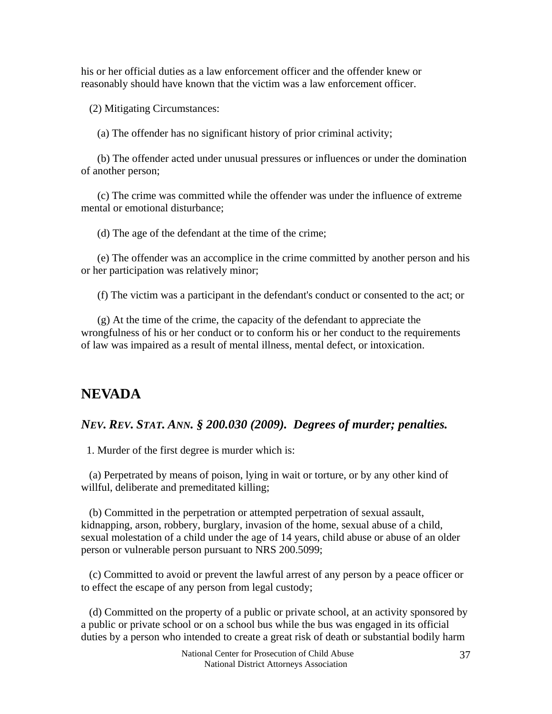his or her official duties as a law enforcement officer and the offender knew or reasonably should have known that the victim was a law enforcement officer.

(2) Mitigating Circumstances:

(a) The offender has no significant history of prior criminal activity;

 (b) The offender acted under unusual pressures or influences or under the domination of another person;

 (c) The crime was committed while the offender was under the influence of extreme mental or emotional disturbance;

(d) The age of the defendant at the time of the crime;

 (e) The offender was an accomplice in the crime committed by another person and his or her participation was relatively minor;

(f) The victim was a participant in the defendant's conduct or consented to the act; or

 (g) At the time of the crime, the capacity of the defendant to appreciate the wrongfulness of his or her conduct or to conform his or her conduct to the requirements of law was impaired as a result of mental illness, mental defect, or intoxication.

## **NEVADA**

### *NEV. REV. STAT. ANN. § 200.030 (2009). Degrees of murder; penalties.*

1. Murder of the first degree is murder which is:

 (a) Perpetrated by means of poison, lying in wait or torture, or by any other kind of willful, deliberate and premeditated killing;

 (b) Committed in the perpetration or attempted perpetration of sexual assault, kidnapping, arson, robbery, burglary, invasion of the home, sexual abuse of a child, sexual molestation of a child under the age of 14 years, child abuse or abuse of an older person or vulnerable person pursuant to [NRS 200.5099;](https://www.lexis.com/research/buttonTFLink?_m=eed3d1489d8fab0cdb161b88702c4954&_xfercite=%3ccite%20cc%3d%22USA%22%3e%3c%21%5bCDATA%5bNev.%20Rev.%20Stat.%20Ann.%20%a7%20200.030%5d%5d%3e%3c%2fcite%3e&_butType=4&_butStat=0&_butNum=1&_butInline=1&_butinfo=NVCODE%20200.5099&_fmtstr=FULL&docnum=1&_startdoc=1&wchp=dGLbVtb-zSkAb&_md5=2525adbca78125d37a58f32700f787e4)

 (c) Committed to avoid or prevent the lawful arrest of any person by a peace officer or to effect the escape of any person from legal custody;

 (d) Committed on the property of a public or private school, at an activity sponsored by a public or private school or on a school bus while the bus was engaged in its official duties by a person who intended to create a great risk of death or substantial bodily harm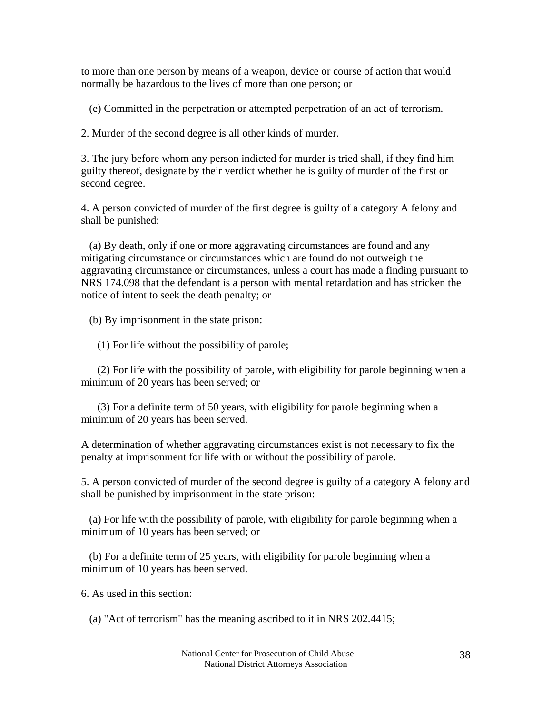to more than one person by means of a weapon, device or course of action that would normally be hazardous to the lives of more than one person; or

(e) Committed in the perpetration or attempted perpetration of an act of terrorism.

2. Murder of the second degree is all other kinds of murder.

3. The jury before whom any person indicted for murder is tried shall, if they find him guilty thereof, designate by their verdict whether he is guilty of murder of the first or second degree.

4. A person convicted of murder of the first degree is guilty of a category A felony and shall be punished:

 (a) By death, only if one or more aggravating circumstances are found and any mitigating circumstance or circumstances which are found do not outweigh the aggravating circumstance or circumstances, unless a court has made a finding pursuant to [NRS 174.098](https://www.lexis.com/research/buttonTFLink?_m=eed3d1489d8fab0cdb161b88702c4954&_xfercite=%3ccite%20cc%3d%22USA%22%3e%3c%21%5bCDATA%5bNev.%20Rev.%20Stat.%20Ann.%20%a7%20200.030%5d%5d%3e%3c%2fcite%3e&_butType=4&_butStat=0&_butNum=2&_butInline=1&_butinfo=NVCODE%20174.098&_fmtstr=FULL&docnum=1&_startdoc=1&wchp=dGLbVtb-zSkAb&_md5=cbbf40c785f32a66282fd309bf6c3d61) that the defendant is a person with mental retardation and has stricken the notice of intent to seek the death penalty; or

(b) By imprisonment in the state prison:

(1) For life without the possibility of parole;

 (2) For life with the possibility of parole, with eligibility for parole beginning when a minimum of 20 years has been served; or

 (3) For a definite term of 50 years, with eligibility for parole beginning when a minimum of 20 years has been served.

A determination of whether aggravating circumstances exist is not necessary to fix the penalty at imprisonment for life with or without the possibility of parole.

5. A person convicted of murder of the second degree is guilty of a category A felony and shall be punished by imprisonment in the state prison:

 (a) For life with the possibility of parole, with eligibility for parole beginning when a minimum of 10 years has been served; or

 (b) For a definite term of 25 years, with eligibility for parole beginning when a minimum of 10 years has been served.

6. As used in this section:

(a) "Act of terrorism" has the meaning ascribed to it in [NRS 202.4415](https://www.lexis.com/research/buttonTFLink?_m=eed3d1489d8fab0cdb161b88702c4954&_xfercite=%3ccite%20cc%3d%22USA%22%3e%3c%21%5bCDATA%5bNev.%20Rev.%20Stat.%20Ann.%20%a7%20200.030%5d%5d%3e%3c%2fcite%3e&_butType=4&_butStat=0&_butNum=3&_butInline=1&_butinfo=NVCODE%20202.4415&_fmtstr=FULL&docnum=1&_startdoc=1&wchp=dGLbVtb-zSkAb&_md5=2a800172b7f9f6bc755cfc84d2018868);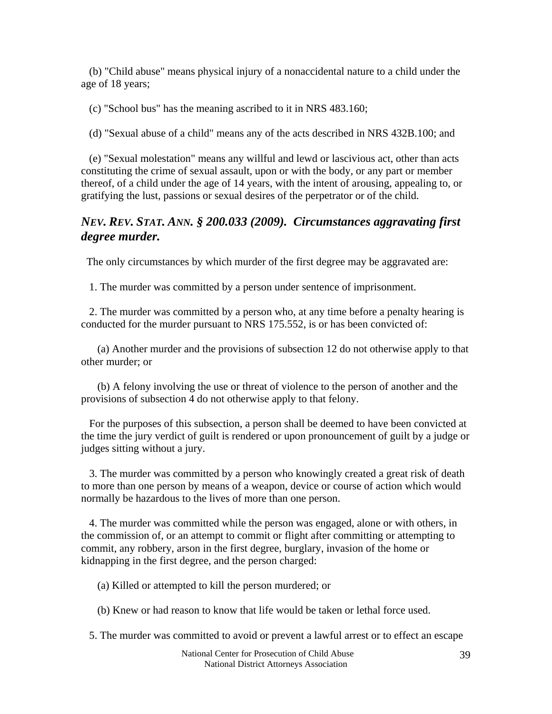(b) "Child abuse" means physical injury of a nonaccidental nature to a child under the age of 18 years;

(c) "School bus" has the meaning ascribed to it in [NRS 483.160;](https://www.lexis.com/research/buttonTFLink?_m=eed3d1489d8fab0cdb161b88702c4954&_xfercite=%3ccite%20cc%3d%22USA%22%3e%3c%21%5bCDATA%5bNev.%20Rev.%20Stat.%20Ann.%20%a7%20200.030%5d%5d%3e%3c%2fcite%3e&_butType=4&_butStat=0&_butNum=4&_butInline=1&_butinfo=NVCODE%20483.160&_fmtstr=FULL&docnum=1&_startdoc=1&wchp=dGLbVtb-zSkAb&_md5=3e9df2d1d0ad6d91e6a43e61fe0a5f92)

(d) "Sexual abuse of a child" means any of the acts described in [NRS 432B.100](https://www.lexis.com/research/buttonTFLink?_m=eed3d1489d8fab0cdb161b88702c4954&_xfercite=%3ccite%20cc%3d%22USA%22%3e%3c%21%5bCDATA%5bNev.%20Rev.%20Stat.%20Ann.%20%a7%20200.030%5d%5d%3e%3c%2fcite%3e&_butType=4&_butStat=0&_butNum=5&_butInline=1&_butinfo=NVCODE%20432B.100&_fmtstr=FULL&docnum=1&_startdoc=1&wchp=dGLbVtb-zSkAb&_md5=689765732aa6d7d49ba8abae6c74aaba); and

 (e) "Sexual molestation" means any willful and lewd or lascivious act, other than acts constituting the crime of sexual assault, upon or with the body, or any part or member thereof, of a child under the age of 14 years, with the intent of arousing, appealing to, or gratifying the lust, passions or sexual desires of the perpetrator or of the child.

## *NEV. REV. STAT. ANN. § 200.033 (2009). Circumstances aggravating first degree murder.*

The only circumstances by which murder of the first degree may be aggravated are:

1. The murder was committed by a person under sentence of imprisonment.

 2. The murder was committed by a person who, at any time before a penalty hearing is conducted for the murder pursuant to [NRS 175.552,](https://www.lexis.com/research/buttonTFLink?_m=7eb426af3a7de0f6c138a215cc57a790&_xfercite=%3ccite%20cc%3d%22USA%22%3e%3c%21%5bCDATA%5bNev.%20Rev.%20Stat.%20Ann.%20%a7%20200.033%5d%5d%3e%3c%2fcite%3e&_butType=4&_butStat=0&_butNum=1&_butInline=1&_butinfo=NVCODE%20175.552&_fmtstr=FULL&docnum=1&_startdoc=1&wchp=dGLbVtb-zSkAb&_md5=a46998e93f01e403bbcd0f7a10d0054a) is or has been convicted of:

 (a) Another murder and the provisions of subsection 12 do not otherwise apply to that other murder; or

 (b) A felony involving the use or threat of violence to the person of another and the provisions of subsection 4 do not otherwise apply to that felony.

 For the purposes of this subsection, a person shall be deemed to have been convicted at the time the jury verdict of guilt is rendered or upon pronouncement of guilt by a judge or judges sitting without a jury.

 3. The murder was committed by a person who knowingly created a great risk of death to more than one person by means of a weapon, device or course of action which would normally be hazardous to the lives of more than one person.

 4. The murder was committed while the person was engaged, alone or with others, in the commission of, or an attempt to commit or flight after committing or attempting to commit, any robbery, arson in the first degree, burglary, invasion of the home or kidnapping in the first degree, and the person charged:

(a) Killed or attempted to kill the person murdered; or

(b) Knew or had reason to know that life would be taken or lethal force used.

5. The murder was committed to avoid or prevent a lawful arrest or to effect an escape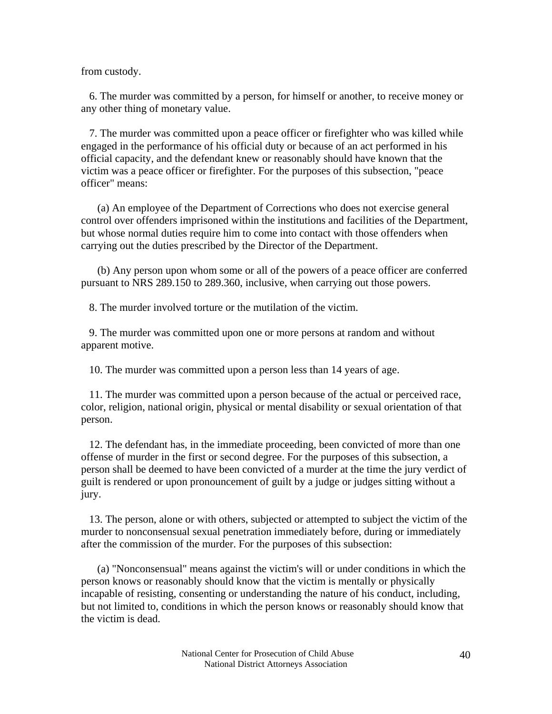from custody.

 6. The murder was committed by a person, for himself or another, to receive money or any other thing of monetary value.

 7. The murder was committed upon a peace officer or firefighter who was killed while engaged in the performance of his official duty or because of an act performed in his official capacity, and the defendant knew or reasonably should have known that the victim was a peace officer or firefighter. For the purposes of this subsection, "peace officer" means:

 (a) An employee of the Department of Corrections who does not exercise general control over offenders imprisoned within the institutions and facilities of the Department, but whose normal duties require him to come into contact with those offenders when carrying out the duties prescribed by the Director of the Department.

 (b) Any person upon whom some or all of the powers of a peace officer are conferred pursuant to [NRS 289.150 to 289.360](https://www.lexis.com/research/buttonTFLink?_m=7eb426af3a7de0f6c138a215cc57a790&_xfercite=%3ccite%20cc%3d%22USA%22%3e%3c%21%5bCDATA%5bNev.%20Rev.%20Stat.%20Ann.%20%a7%20200.033%5d%5d%3e%3c%2fcite%3e&_butType=4&_butStat=0&_butNum=2&_butInline=1&_butinfo=NVCODE%20289.150&_fmtstr=FULL&docnum=1&_startdoc=1&wchp=dGLbVtb-zSkAb&_md5=8b54463e2c7eceef4842f76c05678b80), inclusive, when carrying out those powers.

8. The murder involved torture or the mutilation of the victim.

 9. The murder was committed upon one or more persons at random and without apparent motive.

10. The murder was committed upon a person less than 14 years of age.

 11. The murder was committed upon a person because of the actual or perceived race, color, religion, national origin, physical or mental disability or sexual orientation of that person.

 12. The defendant has, in the immediate proceeding, been convicted of more than one offense of murder in the first or second degree. For the purposes of this subsection, a person shall be deemed to have been convicted of a murder at the time the jury verdict of guilt is rendered or upon pronouncement of guilt by a judge or judges sitting without a jury.

 13. The person, alone or with others, subjected or attempted to subject the victim of the murder to nonconsensual sexual penetration immediately before, during or immediately after the commission of the murder. For the purposes of this subsection:

 (a) "Nonconsensual" means against the victim's will or under conditions in which the person knows or reasonably should know that the victim is mentally or physically incapable of resisting, consenting or understanding the nature of his conduct, including, but not limited to, conditions in which the person knows or reasonably should know that the victim is dead.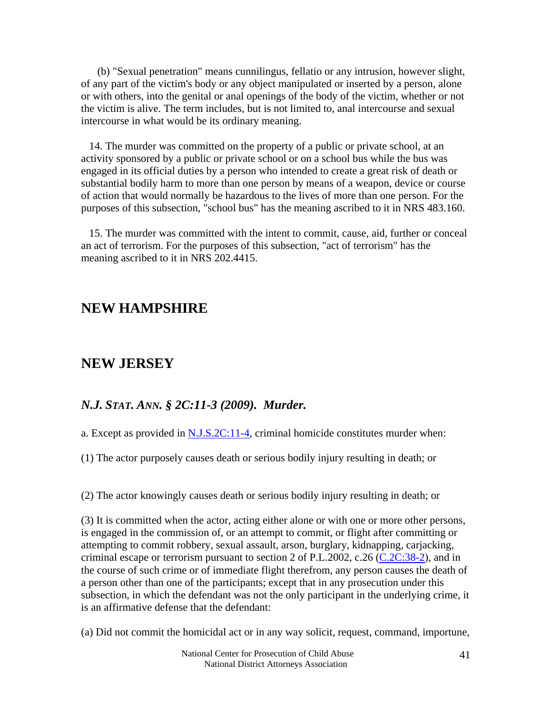(b) "Sexual penetration" means cunnilingus, fellatio or any intrusion, however slight, of any part of the victim's body or any object manipulated or inserted by a person, alone or with others, into the genital or anal openings of the body of the victim, whether or not the victim is alive. The term includes, but is not limited to, anal intercourse and sexual intercourse in what would be its ordinary meaning.

 14. The murder was committed on the property of a public or private school, at an activity sponsored by a public or private school or on a school bus while the bus was engaged in its official duties by a person who intended to create a great risk of death or substantial bodily harm to more than one person by means of a weapon, device or course of action that would normally be hazardous to the lives of more than one person. For the purposes of this subsection, "school bus" has the meaning ascribed to it in [NRS 483.160](https://www.lexis.com/research/buttonTFLink?_m=7eb426af3a7de0f6c138a215cc57a790&_xfercite=%3ccite%20cc%3d%22USA%22%3e%3c%21%5bCDATA%5bNev.%20Rev.%20Stat.%20Ann.%20%a7%20200.033%5d%5d%3e%3c%2fcite%3e&_butType=4&_butStat=0&_butNum=3&_butInline=1&_butinfo=NVCODE%20483.160&_fmtstr=FULL&docnum=1&_startdoc=1&wchp=dGLbVtb-zSkAb&_md5=33d2ec696bab7ee712b53fc8ff2d74cd).

 15. The murder was committed with the intent to commit, cause, aid, further or conceal an act of terrorism. For the purposes of this subsection, "act of terrorism" has the meaning ascribed to it in [NRS 202.4415.](https://www.lexis.com/research/buttonTFLink?_m=7eb426af3a7de0f6c138a215cc57a790&_xfercite=%3ccite%20cc%3d%22USA%22%3e%3c%21%5bCDATA%5bNev.%20Rev.%20Stat.%20Ann.%20%a7%20200.033%5d%5d%3e%3c%2fcite%3e&_butType=4&_butStat=0&_butNum=4&_butInline=1&_butinfo=NVCODE%20202.4415&_fmtstr=FULL&docnum=1&_startdoc=1&wchp=dGLbVtb-zSkAb&_md5=c6aa1fdc42c91f786d569526868b2055)

# **NEW HAMPSHIRE**

## **NEW JERSEY**

### *N.J. STAT. ANN. § 2C:11-3 (2009). Murder.*

a. Except as provided in  $N.J.S.2C:11-4$ , criminal homicide constitutes murder when:

(1) The actor purposely causes death or serious bodily injury resulting in death; or

(2) The actor knowingly causes death or serious bodily injury resulting in death; or

(3) It is committed when the actor, acting either alone or with one or more other persons, is engaged in the commission of, or an attempt to commit, or flight after committing or attempting to commit robbery, sexual assault, arson, burglary, kidnapping, carjacking, criminal escape or terrorism pursuant to section 2 of P.L.2002, c.26 ([C.2C:38-2](https://www.lexis.com/research/buttonTFLink?_m=8274d5cfc43ec579eb73400c024401dc&_xfercite=%3ccite%20cc%3d%22USA%22%3e%3c%21%5bCDATA%5bN.J.%20Stat.%20%a7%202C%3a11-3%5d%5d%3e%3c%2fcite%3e&_butType=4&_butStat=0&_butNum=3&_butInline=1&_butinfo=NJCODE%202C%3a38-2&_fmtstr=FULL&docnum=1&_startdoc=1&wchp=dGLbVtb-zSkAb&_md5=4ba99d6b5be8f491cf692307d6b35713)), and in the course of such crime or of immediate flight therefrom, any person causes the death of a person other than one of the participants; except that in any prosecution under this subsection, in which the defendant was not the only participant in the underlying crime, it is an affirmative defense that the defendant:

(a) Did not commit the homicidal act or in any way solicit, request, command, importune,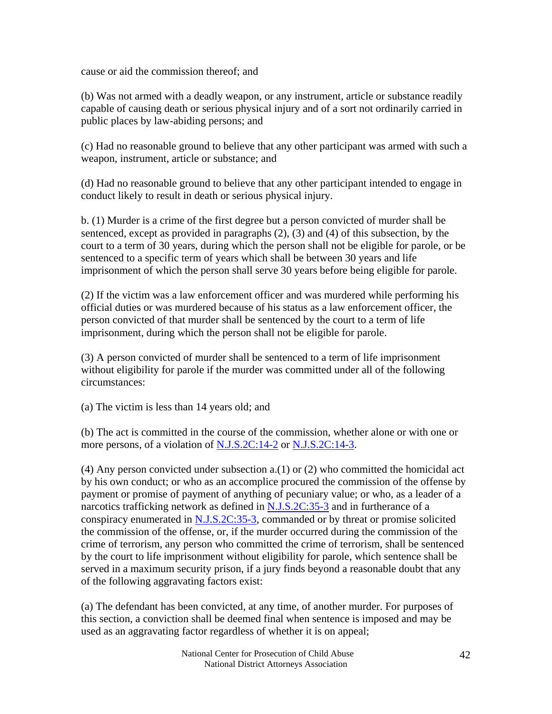cause or aid the commission thereof; and

(b) Was not armed with a deadly weapon, or any instrument, article or substance readily capable of causing death or serious physical injury and of a sort not ordinarily carried in public places by law-abiding persons; and

(c) Had no reasonable ground to believe that any other participant was armed with such a weapon, instrument, article or substance; and

(d) Had no reasonable ground to believe that any other participant intended to engage in conduct likely to result in death or serious physical injury.

b. (1) Murder is a crime of the first degree but a person convicted of murder shall be sentenced, except as provided in paragraphs (2), (3) and (4) of this subsection, by the court to a term of 30 years, during which the person shall not be eligible for parole, or be sentenced to a specific term of years which shall be between 30 years and life imprisonment of which the person shall serve 30 years before being eligible for parole.

(2) If the victim was a law enforcement officer and was murdered while performing his official duties or was murdered because of his status as a law enforcement officer, the person convicted of that murder shall be sentenced by the court to a term of life imprisonment, during which the person shall not be eligible for parole.

(3) A person convicted of murder shall be sentenced to a term of life imprisonment without eligibility for parole if the murder was committed under all of the following circumstances:

(a) The victim is less than 14 years old; and

(b) The act is committed in the course of the commission, whether alone or with one or more persons, of a violation of [N.J.S.2C:14-2](https://www.lexis.com/research/buttonTFLink?_m=8274d5cfc43ec579eb73400c024401dc&_xfercite=%3ccite%20cc%3d%22USA%22%3e%3c%21%5bCDATA%5bN.J.%20Stat.%20%a7%202C%3a11-3%5d%5d%3e%3c%2fcite%3e&_butType=4&_butStat=0&_butNum=4&_butInline=1&_butinfo=NJCODE%202C%3a14-2&_fmtstr=FULL&docnum=1&_startdoc=1&wchp=dGLbVtb-zSkAb&_md5=f468cfaccfcf5ca9452c06aa78dd1882) or [N.J.S.2C:14-3](https://www.lexis.com/research/buttonTFLink?_m=8274d5cfc43ec579eb73400c024401dc&_xfercite=%3ccite%20cc%3d%22USA%22%3e%3c%21%5bCDATA%5bN.J.%20Stat.%20%a7%202C%3a11-3%5d%5d%3e%3c%2fcite%3e&_butType=4&_butStat=0&_butNum=5&_butInline=1&_butinfo=NJCODE%202C%3a14-3&_fmtstr=FULL&docnum=1&_startdoc=1&wchp=dGLbVtb-zSkAb&_md5=554913ce40d14b266c9bf2deabac3411).

(4) Any person convicted under subsection a.(1) or (2) who committed the homicidal act by his own conduct; or who as an accomplice procured the commission of the offense by payment or promise of payment of anything of pecuniary value; or who, as a leader of a narcotics trafficking network as defined in [N.J.S.2C:35-3](https://www.lexis.com/research/buttonTFLink?_m=8274d5cfc43ec579eb73400c024401dc&_xfercite=%3ccite%20cc%3d%22USA%22%3e%3c%21%5bCDATA%5bN.J.%20Stat.%20%a7%202C%3a11-3%5d%5d%3e%3c%2fcite%3e&_butType=4&_butStat=0&_butNum=6&_butInline=1&_butinfo=NJCODE%202C%3a35-3&_fmtstr=FULL&docnum=1&_startdoc=1&wchp=dGLbVtb-zSkAb&_md5=0d4a283aff7e5edc735f029f4a6be04d) and in furtherance of a conspiracy enumerated in  $N.J.S.2C:35-3$ , commanded or by threat or promise solicited the commission of the offense, or, if the murder occurred during the commission of the crime of terrorism, any person who committed the crime of terrorism, shall be sentenced by the court to life imprisonment without eligibility for parole, which sentence shall be served in a maximum security prison, if a jury finds beyond a reasonable doubt that any of the following aggravating factors exist:

(a) The defendant has been convicted, at any time, of another murder. For purposes of this section, a conviction shall be deemed final when sentence is imposed and may be used as an aggravating factor regardless of whether it is on appeal;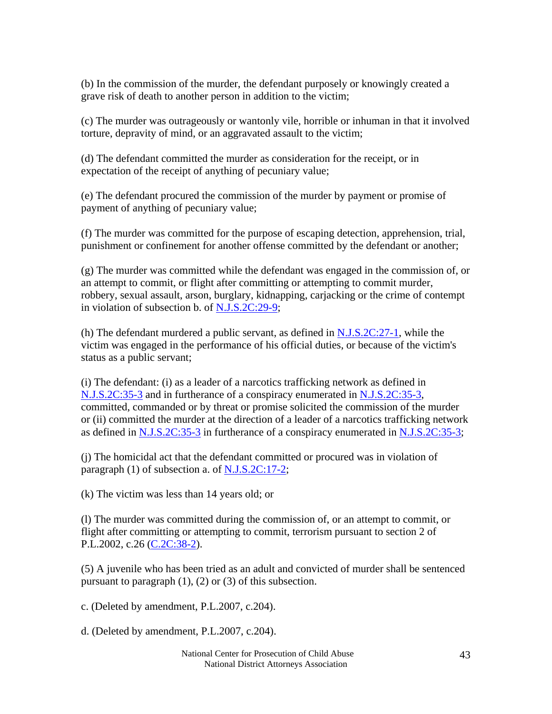(b) In the commission of the murder, the defendant purposely or knowingly created a grave risk of death to another person in addition to the victim;

(c) The murder was outrageously or wantonly vile, horrible or inhuman in that it involved torture, depravity of mind, or an aggravated assault to the victim;

(d) The defendant committed the murder as consideration for the receipt, or in expectation of the receipt of anything of pecuniary value;

(e) The defendant procured the commission of the murder by payment or promise of payment of anything of pecuniary value;

(f) The murder was committed for the purpose of escaping detection, apprehension, trial, punishment or confinement for another offense committed by the defendant or another;

(g) The murder was committed while the defendant was engaged in the commission of, or an attempt to commit, or flight after committing or attempting to commit murder, robbery, sexual assault, arson, burglary, kidnapping, carjacking or the crime of contempt in violation of subsection b. of [N.J.S.2C:29-9](https://www.lexis.com/research/buttonTFLink?_m=8274d5cfc43ec579eb73400c024401dc&_xfercite=%3ccite%20cc%3d%22USA%22%3e%3c%21%5bCDATA%5bN.J.%20Stat.%20%a7%202C%3a11-3%5d%5d%3e%3c%2fcite%3e&_butType=4&_butStat=0&_butNum=8&_butInline=1&_butinfo=NJCODE%202C%3a29-9&_fmtstr=FULL&docnum=1&_startdoc=1&wchp=dGLbVtb-zSkAb&_md5=5224bce66d54d70a525e5eabcc30d6be);

(h) The defendant murdered a public servant, as defined in [N.J.S.2C:27-1,](https://www.lexis.com/research/buttonTFLink?_m=8274d5cfc43ec579eb73400c024401dc&_xfercite=%3ccite%20cc%3d%22USA%22%3e%3c%21%5bCDATA%5bN.J.%20Stat.%20%a7%202C%3a11-3%5d%5d%3e%3c%2fcite%3e&_butType=4&_butStat=0&_butNum=9&_butInline=1&_butinfo=NJCODE%202C%3a27-1&_fmtstr=FULL&docnum=1&_startdoc=1&wchp=dGLbVtb-zSkAb&_md5=03b9de75a9530f6873d2f104b7dc8e3e) while the victim was engaged in the performance of his official duties, or because of the victim's status as a public servant;

(i) The defendant: (i) as a leader of a narcotics trafficking network as defined in [N.J.S.2C:35-3](https://www.lexis.com/research/buttonTFLink?_m=8274d5cfc43ec579eb73400c024401dc&_xfercite=%3ccite%20cc%3d%22USA%22%3e%3c%21%5bCDATA%5bN.J.%20Stat.%20%a7%202C%3a11-3%5d%5d%3e%3c%2fcite%3e&_butType=4&_butStat=0&_butNum=10&_butInline=1&_butinfo=NJCODE%202C%3a35-3&_fmtstr=FULL&docnum=1&_startdoc=1&wchp=dGLbVtb-zSkAb&_md5=37749efb99efc4774b71328a431815ef) and in furtherance of a conspiracy enumerated in [N.J.S.2C:35-3,](https://www.lexis.com/research/buttonTFLink?_m=8274d5cfc43ec579eb73400c024401dc&_xfercite=%3ccite%20cc%3d%22USA%22%3e%3c%21%5bCDATA%5bN.J.%20Stat.%20%a7%202C%3a11-3%5d%5d%3e%3c%2fcite%3e&_butType=4&_butStat=0&_butNum=11&_butInline=1&_butinfo=NJCODE%202C%3a35-3&_fmtstr=FULL&docnum=1&_startdoc=1&wchp=dGLbVtb-zSkAb&_md5=2a54af0d81a749f0bad1673d9287f874) committed, commanded or by threat or promise solicited the commission of the murder or (ii) committed the murder at the direction of a leader of a narcotics trafficking network as defined in [N.J.S.2C:35-3](https://www.lexis.com/research/buttonTFLink?_m=8274d5cfc43ec579eb73400c024401dc&_xfercite=%3ccite%20cc%3d%22USA%22%3e%3c%21%5bCDATA%5bN.J.%20Stat.%20%a7%202C%3a11-3%5d%5d%3e%3c%2fcite%3e&_butType=4&_butStat=0&_butNum=12&_butInline=1&_butinfo=NJCODE%202C%3a35-3&_fmtstr=FULL&docnum=1&_startdoc=1&wchp=dGLbVtb-zSkAb&_md5=92bbbd814ecd398224f23d01a8cfdf05) in furtherance of a conspiracy enumerated in [N.J.S.2C:35-3;](https://www.lexis.com/research/buttonTFLink?_m=8274d5cfc43ec579eb73400c024401dc&_xfercite=%3ccite%20cc%3d%22USA%22%3e%3c%21%5bCDATA%5bN.J.%20Stat.%20%a7%202C%3a11-3%5d%5d%3e%3c%2fcite%3e&_butType=4&_butStat=0&_butNum=13&_butInline=1&_butinfo=NJCODE%202C%3a35-3&_fmtstr=FULL&docnum=1&_startdoc=1&wchp=dGLbVtb-zSkAb&_md5=a2f4f23cf37fda902a97ade29ebe2140)

(j) The homicidal act that the defendant committed or procured was in violation of paragraph (1) of subsection a. of [N.J.S.2C:17-2](https://www.lexis.com/research/buttonTFLink?_m=8274d5cfc43ec579eb73400c024401dc&_xfercite=%3ccite%20cc%3d%22USA%22%3e%3c%21%5bCDATA%5bN.J.%20Stat.%20%a7%202C%3a11-3%5d%5d%3e%3c%2fcite%3e&_butType=4&_butStat=0&_butNum=14&_butInline=1&_butinfo=NJCODE%202C%3a17-2&_fmtstr=FULL&docnum=1&_startdoc=1&wchp=dGLbVtb-zSkAb&_md5=3c460859de25029a1501249ab221b390);

(k) The victim was less than 14 years old; or

(l) The murder was committed during the commission of, or an attempt to commit, or flight after committing or attempting to commit, terrorism pursuant to section 2 of P.L.2002, c.26 [\(C.2C:38-2\)](https://www.lexis.com/research/buttonTFLink?_m=8274d5cfc43ec579eb73400c024401dc&_xfercite=%3ccite%20cc%3d%22USA%22%3e%3c%21%5bCDATA%5bN.J.%20Stat.%20%a7%202C%3a11-3%5d%5d%3e%3c%2fcite%3e&_butType=4&_butStat=0&_butNum=15&_butInline=1&_butinfo=NJCODE%202C%3a38-2&_fmtstr=FULL&docnum=1&_startdoc=1&wchp=dGLbVtb-zSkAb&_md5=11d371c98aed82e8082ff42fcf88a14c).

(5) A juvenile who has been tried as an adult and convicted of murder shall be sentenced pursuant to paragraph  $(1)$ ,  $(2)$  or  $(3)$  of this subsection.

c. (Deleted by amendment, P.L.2007, c.204).

d. (Deleted by amendment, P.L.2007, c.204).

National Center for Prosecution of Child Abuse National District Attorneys Association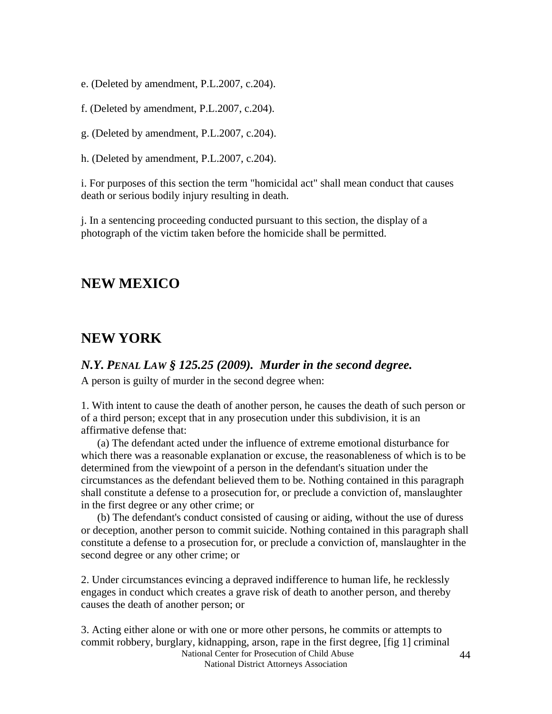e. (Deleted by amendment, P.L.2007, c.204).

f. (Deleted by amendment, P.L.2007, c.204).

g. (Deleted by amendment, P.L.2007, c.204).

h. (Deleted by amendment, P.L.2007, c.204).

i. For purposes of this section the term "homicidal act" shall mean conduct that causes death or serious bodily injury resulting in death.

j. In a sentencing proceeding conducted pursuant to this section, the display of a photograph of the victim taken before the homicide shall be permitted.

# **NEW MEXICO**

# **NEW YORK**

### *N.Y. PENAL LAW § 125.25 (2009). Murder in the second degree.*

A person is guilty of murder in the second degree when:

1. With intent to cause the death of another person, he causes the death of such person or of a third person; except that in any prosecution under this subdivision, it is an affirmative defense that:

 (a) The defendant acted under the influence of extreme emotional disturbance for which there was a reasonable explanation or excuse, the reasonableness of which is to be determined from the viewpoint of a person in the defendant's situation under the circumstances as the defendant believed them to be. Nothing contained in this paragraph shall constitute a defense to a prosecution for, or preclude a conviction of, manslaughter in the first degree or any other crime; or

 (b) The defendant's conduct consisted of causing or aiding, without the use of duress or deception, another person to commit suicide. Nothing contained in this paragraph shall constitute a defense to a prosecution for, or preclude a conviction of, manslaughter in the second degree or any other crime; or

2. Under circumstances evincing a depraved indifference to human life, he recklessly engages in conduct which creates a grave risk of death to another person, and thereby causes the death of another person; or

National Center for Prosecution of Child Abuse National District Attorneys Association 3. Acting either alone or with one or more other persons, he commits or attempts to commit robbery, burglary, kidnapping, arson, rape in the first degree, [fig 1] criminal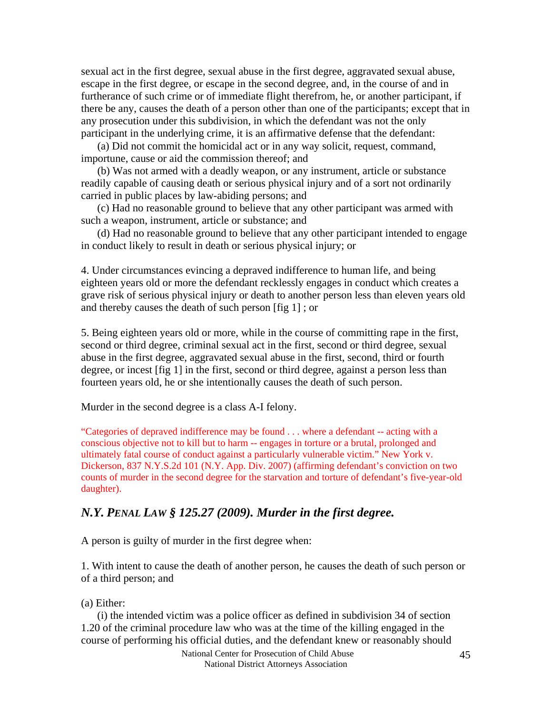sexual act in the first degree, sexual abuse in the first degree, aggravated sexual abuse, escape in the first degree, or escape in the second degree, and, in the course of and in furtherance of such crime or of immediate flight therefrom, he, or another participant, if there be any, causes the death of a person other than one of the participants; except that in any prosecution under this subdivision, in which the defendant was not the only participant in the underlying crime, it is an affirmative defense that the defendant:

 (a) Did not commit the homicidal act or in any way solicit, request, command, importune, cause or aid the commission thereof; and

 (b) Was not armed with a deadly weapon, or any instrument, article or substance readily capable of causing death or serious physical injury and of a sort not ordinarily carried in public places by law-abiding persons; and

 (c) Had no reasonable ground to believe that any other participant was armed with such a weapon, instrument, article or substance; and

 (d) Had no reasonable ground to believe that any other participant intended to engage in conduct likely to result in death or serious physical injury; or

4. Under circumstances evincing a depraved indifference to human life, and being eighteen years old or more the defendant recklessly engages in conduct which creates a grave risk of serious physical injury or death to another person less than eleven years old and thereby causes the death of such person [fig 1] ; or

5. Being eighteen years old or more, while in the course of committing rape in the first, second or third degree, criminal sexual act in the first, second or third degree, sexual abuse in the first degree, aggravated sexual abuse in the first, second, third or fourth degree, or incest [fig 1] in the first, second or third degree, against a person less than fourteen years old, he or she intentionally causes the death of such person.

Murder in the second degree is a class A-I felony.

"Categories of depraved indifference may be found . . . where a defendant -- acting with a conscious objective not to kill but to harm -- engages in torture or a brutal, prolonged and ultimately fatal course of conduct against a particularly vulnerable victim." New York v. Dickerson, 837 N.Y.S.2d 101 (N.Y. App. Div. 2007) (affirming defendant's conviction on two counts of murder in the second degree for the starvation and torture of defendant's five-year-old daughter).

### *N.Y. PENAL LAW § 125.27 (2009). Murder in the first degree.*

A person is guilty of murder in the first degree when:

1. With intent to cause the death of another person, he causes the death of such person or of a third person; and

(a) Either:

 (i) the intended victim was a police officer as defined in subdivision 34 of [section](https://www.lexis.com/research/buttonTFLink?_m=1d77bbdbc5c22e130c5f55c26d8cbc54&_xfercite=%3ccite%20cc%3d%22USA%22%3e%3c%21%5bCDATA%5bNY%20CLS%20Penal%20%a7%20125.27%5d%5d%3e%3c%2fcite%3e&_butType=4&_butStat=0&_butNum=2&_butInline=1&_butinfo=NY%20CPL%201.20&_fmtstr=FULL&docnum=3&_startdoc=1&wchp=dGLbVtb-zSkAb&_md5=ec6115adc7d7c7ed455de3d4f4c4d9bb)  [1.20 of the criminal procedure law](https://www.lexis.com/research/buttonTFLink?_m=1d77bbdbc5c22e130c5f55c26d8cbc54&_xfercite=%3ccite%20cc%3d%22USA%22%3e%3c%21%5bCDATA%5bNY%20CLS%20Penal%20%a7%20125.27%5d%5d%3e%3c%2fcite%3e&_butType=4&_butStat=0&_butNum=2&_butInline=1&_butinfo=NY%20CPL%201.20&_fmtstr=FULL&docnum=3&_startdoc=1&wchp=dGLbVtb-zSkAb&_md5=ec6115adc7d7c7ed455de3d4f4c4d9bb) who was at the time of the killing engaged in the course of performing his official duties, and the defendant knew or reasonably should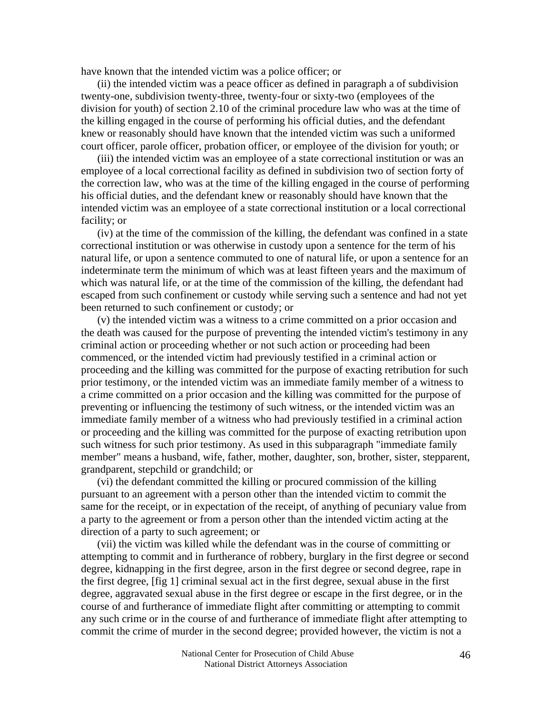have known that the intended victim was a police officer; or

 (ii) the intended victim was a peace officer as defined in paragraph a of subdivision twenty-one, subdivision twenty-three, twenty-four or sixty-two (employees of the division for youth) of [section 2.10 of the criminal procedure law](https://www.lexis.com/research/buttonTFLink?_m=1d77bbdbc5c22e130c5f55c26d8cbc54&_xfercite=%3ccite%20cc%3d%22USA%22%3e%3c%21%5bCDATA%5bNY%20CLS%20Penal%20%a7%20125.27%5d%5d%3e%3c%2fcite%3e&_butType=4&_butStat=0&_butNum=3&_butInline=1&_butinfo=NY%20CPL%202.10&_fmtstr=FULL&docnum=3&_startdoc=1&wchp=dGLbVtb-zSkAb&_md5=d439377c45a273b8c618b1fff51da5dc) who was at the time of the killing engaged in the course of performing his official duties, and the defendant knew or reasonably should have known that the intended victim was such a uniformed court officer, parole officer, probation officer, or employee of the division for youth; or

 (iii) the intended victim was an employee of a state correctional institution or was an employee of a local correctional facility as defined in subdivision two of section forty of the correction law, who was at the time of the killing engaged in the course of performing his official duties, and the defendant knew or reasonably should have known that the intended victim was an employee of a state correctional institution or a local correctional facility; or

 (iv) at the time of the commission of the killing, the defendant was confined in a state correctional institution or was otherwise in custody upon a sentence for the term of his natural life, or upon a sentence commuted to one of natural life, or upon a sentence for an indeterminate term the minimum of which was at least fifteen years and the maximum of which was natural life, or at the time of the commission of the killing, the defendant had escaped from such confinement or custody while serving such a sentence and had not yet been returned to such confinement or custody; or

 (v) the intended victim was a witness to a crime committed on a prior occasion and the death was caused for the purpose of preventing the intended victim's testimony in any criminal action or proceeding whether or not such action or proceeding had been commenced, or the intended victim had previously testified in a criminal action or proceeding and the killing was committed for the purpose of exacting retribution for such prior testimony, or the intended victim was an immediate family member of a witness to a crime committed on a prior occasion and the killing was committed for the purpose of preventing or influencing the testimony of such witness, or the intended victim was an immediate family member of a witness who had previously testified in a criminal action or proceeding and the killing was committed for the purpose of exacting retribution upon such witness for such prior testimony. As used in this subparagraph "immediate family member" means a husband, wife, father, mother, daughter, son, brother, sister, stepparent, grandparent, stepchild or grandchild; or

 (vi) the defendant committed the killing or procured commission of the killing pursuant to an agreement with a person other than the intended victim to commit the same for the receipt, or in expectation of the receipt, of anything of pecuniary value from a party to the agreement or from a person other than the intended victim acting at the direction of a party to such agreement; or

 (vii) the victim was killed while the defendant was in the course of committing or attempting to commit and in furtherance of robbery, burglary in the first degree or second degree, kidnapping in the first degree, arson in the first degree or second degree, rape in the first degree, [fig 1] criminal sexual act in the first degree, sexual abuse in the first degree, aggravated sexual abuse in the first degree or escape in the first degree, or in the course of and furtherance of immediate flight after committing or attempting to commit any such crime or in the course of and furtherance of immediate flight after attempting to commit the crime of murder in the second degree; provided however, the victim is not a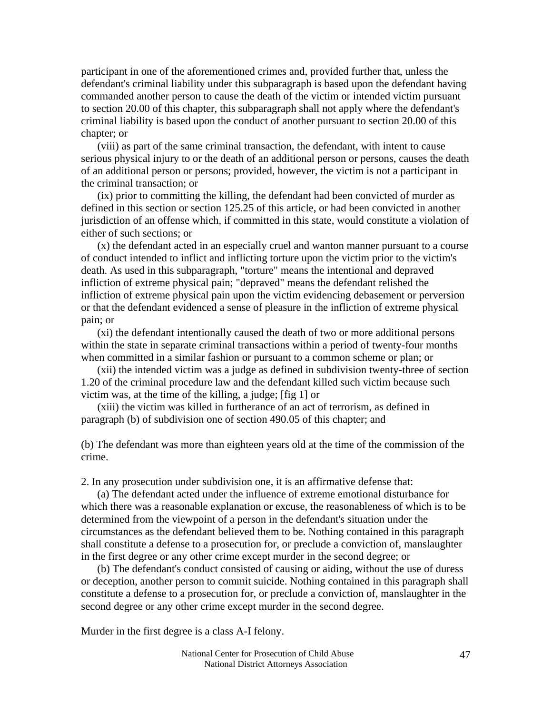participant in one of the aforementioned crimes and, provided further that, unless the defendant's criminal liability under this subparagraph is based upon the defendant having commanded another person to cause the death of the victim or intended victim pursuant to section 20.00 of this chapter, this subparagraph shall not apply where the defendant's criminal liability is based upon the conduct of another pursuant to section 20.00 of this chapter; or

 (viii) as part of the same criminal transaction, the defendant, with intent to cause serious physical injury to or the death of an additional person or persons, causes the death of an additional person or persons; provided, however, the victim is not a participant in the criminal transaction; or

 (ix) prior to committing the killing, the defendant had been convicted of murder as defined in this section or section 125.25 of this article, or had been convicted in another jurisdiction of an offense which, if committed in this state, would constitute a violation of either of such sections; or

 (x) the defendant acted in an especially cruel and wanton manner pursuant to a course of conduct intended to inflict and inflicting torture upon the victim prior to the victim's death. As used in this subparagraph, "torture" means the intentional and depraved infliction of extreme physical pain; "depraved" means the defendant relished the infliction of extreme physical pain upon the victim evidencing debasement or perversion or that the defendant evidenced a sense of pleasure in the infliction of extreme physical pain; or

 (xi) the defendant intentionally caused the death of two or more additional persons within the state in separate criminal transactions within a period of twenty-four months when committed in a similar fashion or pursuant to a common scheme or plan; or

 (xii) the intended victim was a judge as defined in subdivision twenty-three of [section](https://www.lexis.com/research/buttonTFLink?_m=1d77bbdbc5c22e130c5f55c26d8cbc54&_xfercite=%3ccite%20cc%3d%22USA%22%3e%3c%21%5bCDATA%5bNY%20CLS%20Penal%20%a7%20125.27%5d%5d%3e%3c%2fcite%3e&_butType=4&_butStat=0&_butNum=4&_butInline=1&_butinfo=NY%20CPL%201.20&_fmtstr=FULL&docnum=3&_startdoc=1&wchp=dGLbVtb-zSkAb&_md5=5d29d066afbb8a1bbc3adf2019256d01)  [1.20 of the criminal procedure law](https://www.lexis.com/research/buttonTFLink?_m=1d77bbdbc5c22e130c5f55c26d8cbc54&_xfercite=%3ccite%20cc%3d%22USA%22%3e%3c%21%5bCDATA%5bNY%20CLS%20Penal%20%a7%20125.27%5d%5d%3e%3c%2fcite%3e&_butType=4&_butStat=0&_butNum=4&_butInline=1&_butinfo=NY%20CPL%201.20&_fmtstr=FULL&docnum=3&_startdoc=1&wchp=dGLbVtb-zSkAb&_md5=5d29d066afbb8a1bbc3adf2019256d01) and the defendant killed such victim because such victim was, at the time of the killing, a judge; [fig 1] or

 (xiii) the victim was killed in furtherance of an act of terrorism, as defined in paragraph (b) of subdivision one of section 490.05 of this chapter; and

(b) The defendant was more than eighteen years old at the time of the commission of the crime.

2. In any prosecution under subdivision one, it is an affirmative defense that:

 (a) The defendant acted under the influence of extreme emotional disturbance for which there was a reasonable explanation or excuse, the reasonableness of which is to be determined from the viewpoint of a person in the defendant's situation under the circumstances as the defendant believed them to be. Nothing contained in this paragraph shall constitute a defense to a prosecution for, or preclude a conviction of, manslaughter in the first degree or any other crime except murder in the second degree; or

 (b) The defendant's conduct consisted of causing or aiding, without the use of duress or deception, another person to commit suicide. Nothing contained in this paragraph shall constitute a defense to a prosecution for, or preclude a conviction of, manslaughter in the second degree or any other crime except murder in the second degree.

Murder in the first degree is a class A-I felony.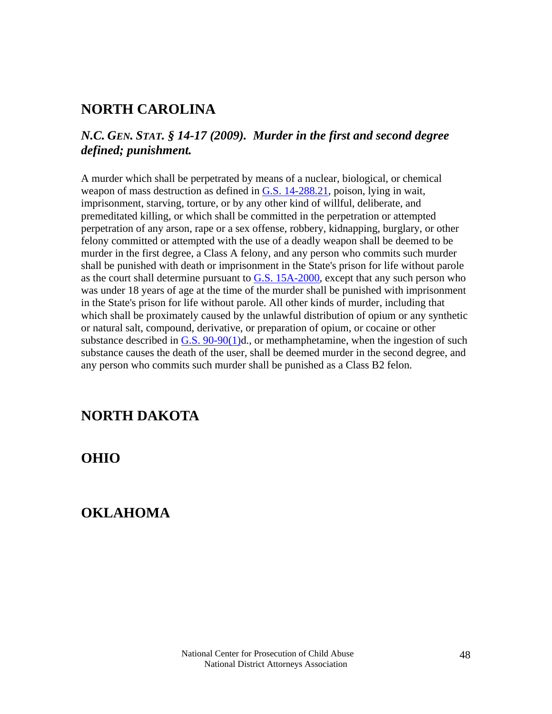## **NORTH CAROLINA**

## *N.C. GEN. STAT. § 14-17 (2009). Murder in the first and second degree defined; punishment.*

A murder which shall be perpetrated by means of a nuclear, biological, or chemical weapon of mass destruction as defined in [G.S. 14-288.21](https://www.lexis.com/research/buttonTFLink?_m=9b34cf29ddfc3eadd338e883c4e1479e&_xfercite=%3ccite%20cc%3d%22USA%22%3e%3c%21%5bCDATA%5bN.C.%20Gen.%20Stat.%20%a7%2014-17%5d%5d%3e%3c%2fcite%3e&_butType=4&_butStat=0&_butNum=2&_butInline=1&_butinfo=NCCODE%2014-288.21&_fmtstr=FULL&docnum=1&_startdoc=1&wchp=dGLbVtb-zSkAb&_md5=3f746a0b42431b86b3ad22cc53194386), poison, lying in wait, imprisonment, starving, torture, or by any other kind of willful, deliberate, and premeditated killing, or which shall be committed in the perpetration or attempted perpetration of any arson, rape or a sex offense, robbery, kidnapping, burglary, or other felony committed or attempted with the use of a deadly weapon shall be deemed to be murder in the first degree, a Class A felony, and any person who commits such murder shall be punished with death or imprisonment in the State's prison for life without parole as the court shall determine pursuant to  $G.S. 15A-2000$ , except that any such person who was under 18 years of age at the time of the murder shall be punished with imprisonment in the State's prison for life without parole. All other kinds of murder, including that which shall be proximately caused by the unlawful distribution of opium or any synthetic or natural salt, compound, derivative, or preparation of opium, or cocaine or other substance described in  $G.S. 90-90(1)d$ , or methamphetamine, when the ingestion of such substance causes the death of the user, shall be deemed murder in the second degree, and any person who commits such murder shall be punished as a Class B2 felon.

# **NORTH DAKOTA**

# **OHIO**

# **OKLAHOMA**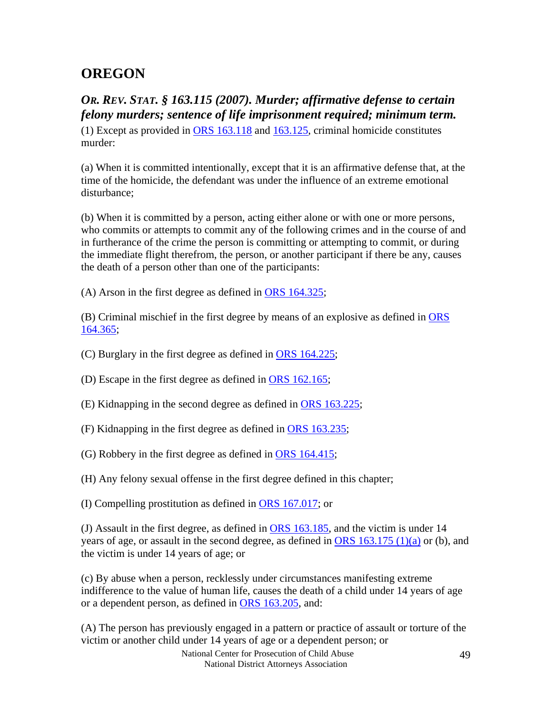# **OREGON**

# *OR. REV. STAT. § 163.115 (2007). Murder; affirmative defense to certain felony murders; sentence of life imprisonment required; minimum term.*

(1) Except as provided in [ORS 163.118](https://www.lexis.com/research/buttonTFLink?_m=42784f9e49eda084c375f49587338fca&_xfercite=%3ccite%20cc%3d%22USA%22%3e%3c%21%5bCDATA%5bORS%20%a7%20163.115%5d%5d%3e%3c%2fcite%3e&_butType=4&_butStat=0&_butNum=2&_butInline=1&_butinfo=ORCODE%20163.118&_fmtstr=FULL&docnum=1&_startdoc=1&wchp=dGLbVzz-zSkAW&_md5=dab76ff1fff93899691b2f9e30158072) and [163.125,](https://www.lexis.com/research/buttonTFLink?_m=42784f9e49eda084c375f49587338fca&_xfercite=%3ccite%20cc%3d%22USA%22%3e%3c%21%5bCDATA%5bORS%20%a7%20163.115%5d%5d%3e%3c%2fcite%3e&_butType=4&_butStat=0&_butNum=3&_butInline=1&_butinfo=ORCODE%20163.125&_fmtstr=FULL&docnum=1&_startdoc=1&wchp=dGLbVzz-zSkAW&_md5=37d9b12f9b826f35bc2a4a25f9a1a81a) criminal homicide constitutes murder:

(a) When it is committed intentionally, except that it is an affirmative defense that, at the time of the homicide, the defendant was under the influence of an extreme emotional disturbance;

(b) When it is committed by a person, acting either alone or with one or more persons, who commits or attempts to commit any of the following crimes and in the course of and in furtherance of the crime the person is committing or attempting to commit, or during the immediate flight therefrom, the person, or another participant if there be any, causes the death of a person other than one of the participants:

(A) Arson in the first degree as defined in [ORS 164.325;](https://www.lexis.com/research/buttonTFLink?_m=42784f9e49eda084c375f49587338fca&_xfercite=%3ccite%20cc%3d%22USA%22%3e%3c%21%5bCDATA%5bORS%20%a7%20163.115%5d%5d%3e%3c%2fcite%3e&_butType=4&_butStat=0&_butNum=4&_butInline=1&_butinfo=ORCODE%20164.325&_fmtstr=FULL&docnum=1&_startdoc=1&wchp=dGLbVzz-zSkAW&_md5=4da7b0ba0d8c449bda67c18f9f233357)

(B) Criminal mischief in the first degree by means of an explosive as defined in [ORS](https://www.lexis.com/research/buttonTFLink?_m=42784f9e49eda084c375f49587338fca&_xfercite=%3ccite%20cc%3d%22USA%22%3e%3c%21%5bCDATA%5bORS%20%a7%20163.115%5d%5d%3e%3c%2fcite%3e&_butType=4&_butStat=0&_butNum=5&_butInline=1&_butinfo=ORCODE%20164.365&_fmtstr=FULL&docnum=1&_startdoc=1&wchp=dGLbVzz-zSkAW&_md5=bb10888a8cd62b71511c64613db223d1)  [164.365](https://www.lexis.com/research/buttonTFLink?_m=42784f9e49eda084c375f49587338fca&_xfercite=%3ccite%20cc%3d%22USA%22%3e%3c%21%5bCDATA%5bORS%20%a7%20163.115%5d%5d%3e%3c%2fcite%3e&_butType=4&_butStat=0&_butNum=5&_butInline=1&_butinfo=ORCODE%20164.365&_fmtstr=FULL&docnum=1&_startdoc=1&wchp=dGLbVzz-zSkAW&_md5=bb10888a8cd62b71511c64613db223d1);

(C) Burglary in the first degree as defined in [ORS 164.225;](https://www.lexis.com/research/buttonTFLink?_m=42784f9e49eda084c375f49587338fca&_xfercite=%3ccite%20cc%3d%22USA%22%3e%3c%21%5bCDATA%5bORS%20%a7%20163.115%5d%5d%3e%3c%2fcite%3e&_butType=4&_butStat=0&_butNum=6&_butInline=1&_butinfo=ORCODE%20164.225&_fmtstr=FULL&docnum=1&_startdoc=1&wchp=dGLbVzz-zSkAW&_md5=913a58d5cd9ce03a958946b00618a4b6)

(D) Escape in the first degree as defined in [ORS 162.165;](https://www.lexis.com/research/buttonTFLink?_m=42784f9e49eda084c375f49587338fca&_xfercite=%3ccite%20cc%3d%22USA%22%3e%3c%21%5bCDATA%5bORS%20%a7%20163.115%5d%5d%3e%3c%2fcite%3e&_butType=4&_butStat=0&_butNum=7&_butInline=1&_butinfo=ORCODE%20162.165&_fmtstr=FULL&docnum=1&_startdoc=1&wchp=dGLbVzz-zSkAW&_md5=67e71c4ab15ac4d0ac6ee2fe41374d2e)

(E) Kidnapping in the second degree as defined in [ORS 163.225;](https://www.lexis.com/research/buttonTFLink?_m=42784f9e49eda084c375f49587338fca&_xfercite=%3ccite%20cc%3d%22USA%22%3e%3c%21%5bCDATA%5bORS%20%a7%20163.115%5d%5d%3e%3c%2fcite%3e&_butType=4&_butStat=0&_butNum=8&_butInline=1&_butinfo=ORCODE%20163.225&_fmtstr=FULL&docnum=1&_startdoc=1&wchp=dGLbVzz-zSkAW&_md5=670e0034eb00525fbde9424bf884ee05)

- (F) Kidnapping in the first degree as defined in [ORS 163.235](https://www.lexis.com/research/buttonTFLink?_m=42784f9e49eda084c375f49587338fca&_xfercite=%3ccite%20cc%3d%22USA%22%3e%3c%21%5bCDATA%5bORS%20%a7%20163.115%5d%5d%3e%3c%2fcite%3e&_butType=4&_butStat=0&_butNum=9&_butInline=1&_butinfo=ORCODE%20163.235&_fmtstr=FULL&docnum=1&_startdoc=1&wchp=dGLbVzz-zSkAW&_md5=8aad7e5ec5d5b094a5a7bebc80f6b61d);
- (G) Robbery in the first degree as defined in [ORS 164.415;](https://www.lexis.com/research/buttonTFLink?_m=42784f9e49eda084c375f49587338fca&_xfercite=%3ccite%20cc%3d%22USA%22%3e%3c%21%5bCDATA%5bORS%20%a7%20163.115%5d%5d%3e%3c%2fcite%3e&_butType=4&_butStat=0&_butNum=10&_butInline=1&_butinfo=ORCODE%20164.415&_fmtstr=FULL&docnum=1&_startdoc=1&wchp=dGLbVzz-zSkAW&_md5=761e8c77df7f40667f4d494d7f31f5a6)

(H) Any felony sexual offense in the first degree defined in this chapter;

(I) Compelling prostitution as defined in [ORS 167.017;](https://www.lexis.com/research/buttonTFLink?_m=42784f9e49eda084c375f49587338fca&_xfercite=%3ccite%20cc%3d%22USA%22%3e%3c%21%5bCDATA%5bORS%20%a7%20163.115%5d%5d%3e%3c%2fcite%3e&_butType=4&_butStat=0&_butNum=11&_butInline=1&_butinfo=ORCODE%20167.017&_fmtstr=FULL&docnum=1&_startdoc=1&wchp=dGLbVzz-zSkAW&_md5=dc3eeb0980cf2128f32d26554c4ba9ff) or

(J) Assault in the first degree, as defined in [ORS 163.185,](https://www.lexis.com/research/buttonTFLink?_m=42784f9e49eda084c375f49587338fca&_xfercite=%3ccite%20cc%3d%22USA%22%3e%3c%21%5bCDATA%5bORS%20%a7%20163.115%5d%5d%3e%3c%2fcite%3e&_butType=4&_butStat=0&_butNum=12&_butInline=1&_butinfo=ORCODE%20163.185&_fmtstr=FULL&docnum=1&_startdoc=1&wchp=dGLbVzz-zSkAW&_md5=392d186cdc2d74d7bd5c1de7537881ad) and the victim is under 14 years of age, or assault in the second degree, as defined in ORS  $163.175$  (1)(a) or (b), and the victim is under 14 years of age; or

(c) By abuse when a person, recklessly under circumstances manifesting extreme indifference to the value of human life, causes the death of a child under 14 years of age or a dependent person, as defined in [ORS 163.205](https://www.lexis.com/research/buttonTFLink?_m=42784f9e49eda084c375f49587338fca&_xfercite=%3ccite%20cc%3d%22USA%22%3e%3c%21%5bCDATA%5bORS%20%a7%20163.115%5d%5d%3e%3c%2fcite%3e&_butType=4&_butStat=0&_butNum=14&_butInline=1&_butinfo=ORCODE%20163.205&_fmtstr=FULL&docnum=1&_startdoc=1&wchp=dGLbVzz-zSkAW&_md5=e7db0c44b9afc3ce3e60ce5d7dd6c6c8), and:

(A) The person has previously engaged in a pattern or practice of assault or torture of the victim or another child under 14 years of age or a dependent person; or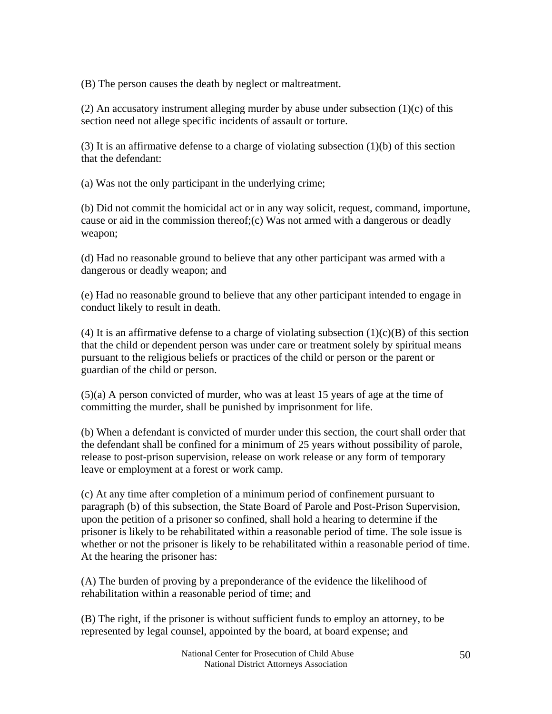(B) The person causes the death by neglect or maltreatment.

(2) An accusatory instrument alleging murder by abuse under subsection  $(1)(c)$  of this section need not allege specific incidents of assault or torture.

(3) It is an affirmative defense to a charge of violating subsection (1)(b) of this section that the defendant:

(a) Was not the only participant in the underlying crime;

(b) Did not commit the homicidal act or in any way solicit, request, command, importune, cause or aid in the commission thereof;(c) Was not armed with a dangerous or deadly weapon;

(d) Had no reasonable ground to believe that any other participant was armed with a dangerous or deadly weapon; and

(e) Had no reasonable ground to believe that any other participant intended to engage in conduct likely to result in death.

(4) It is an affirmative defense to a charge of violating subsection  $(1)(c)(B)$  of this section that the child or dependent person was under care or treatment solely by spiritual means pursuant to the religious beliefs or practices of the child or person or the parent or guardian of the child or person.

(5)(a) A person convicted of murder, who was at least 15 years of age at the time of committing the murder, shall be punished by imprisonment for life.

(b) When a defendant is convicted of murder under this section, the court shall order that the defendant shall be confined for a minimum of 25 years without possibility of parole, release to post-prison supervision, release on work release or any form of temporary leave or employment at a forest or work camp.

(c) At any time after completion of a minimum period of confinement pursuant to paragraph (b) of this subsection, the State Board of Parole and Post-Prison Supervision, upon the petition of a prisoner so confined, shall hold a hearing to determine if the prisoner is likely to be rehabilitated within a reasonable period of time. The sole issue is whether or not the prisoner is likely to be rehabilitated within a reasonable period of time. At the hearing the prisoner has:

(A) The burden of proving by a preponderance of the evidence the likelihood of rehabilitation within a reasonable period of time; and

(B) The right, if the prisoner is without sufficient funds to employ an attorney, to be represented by legal counsel, appointed by the board, at board expense; and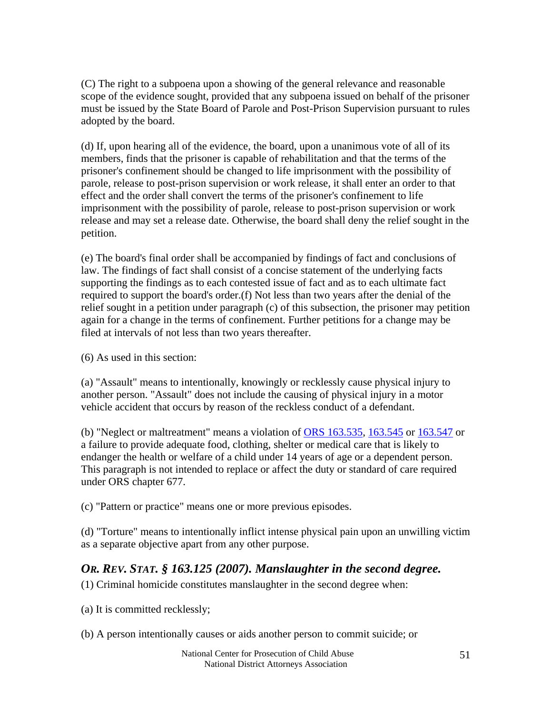(C) The right to a subpoena upon a showing of the general relevance and reasonable scope of the evidence sought, provided that any subpoena issued on behalf of the prisoner must be issued by the State Board of Parole and Post-Prison Supervision pursuant to rules adopted by the board.

(d) If, upon hearing all of the evidence, the board, upon a unanimous vote of all of its members, finds that the prisoner is capable of rehabilitation and that the terms of the prisoner's confinement should be changed to life imprisonment with the possibility of parole, release to post-prison supervision or work release, it shall enter an order to that effect and the order shall convert the terms of the prisoner's confinement to life imprisonment with the possibility of parole, release to post-prison supervision or work release and may set a release date. Otherwise, the board shall deny the relief sought in the petition.

(e) The board's final order shall be accompanied by findings of fact and conclusions of law. The findings of fact shall consist of a concise statement of the underlying facts supporting the findings as to each contested issue of fact and as to each ultimate fact required to support the board's order.(f) Not less than two years after the denial of the relief sought in a petition under paragraph (c) of this subsection, the prisoner may petition again for a change in the terms of confinement. Further petitions for a change may be filed at intervals of not less than two years thereafter.

(6) As used in this section:

(a) "Assault" means to intentionally, knowingly or recklessly cause physical injury to another person. "Assault" does not include the causing of physical injury in a motor vehicle accident that occurs by reason of the reckless conduct of a defendant.

(b) "Neglect or maltreatment" means a violation of [ORS 163.535](https://www.lexis.com/research/buttonTFLink?_m=42784f9e49eda084c375f49587338fca&_xfercite=%3ccite%20cc%3d%22USA%22%3e%3c%21%5bCDATA%5bORS%20%a7%20163.115%5d%5d%3e%3c%2fcite%3e&_butType=4&_butStat=0&_butNum=15&_butInline=1&_butinfo=ORCODE%20163.535&_fmtstr=FULL&docnum=1&_startdoc=1&wchp=dGLbVzz-zSkAW&_md5=eabb42aa0382ef3eb2c2e951dee47cda), [163.545](https://www.lexis.com/research/buttonTFLink?_m=42784f9e49eda084c375f49587338fca&_xfercite=%3ccite%20cc%3d%22USA%22%3e%3c%21%5bCDATA%5bORS%20%a7%20163.115%5d%5d%3e%3c%2fcite%3e&_butType=4&_butStat=0&_butNum=16&_butInline=1&_butinfo=ORCODE%20163.545&_fmtstr=FULL&docnum=1&_startdoc=1&wchp=dGLbVzz-zSkAW&_md5=00471cb5bdf790b8eb593992057f9003) or [163.547](https://www.lexis.com/research/buttonTFLink?_m=42784f9e49eda084c375f49587338fca&_xfercite=%3ccite%20cc%3d%22USA%22%3e%3c%21%5bCDATA%5bORS%20%a7%20163.115%5d%5d%3e%3c%2fcite%3e&_butType=4&_butStat=0&_butNum=17&_butInline=1&_butinfo=ORCODE%20163.547&_fmtstr=FULL&docnum=1&_startdoc=1&wchp=dGLbVzz-zSkAW&_md5=e18ebdaf010e79af99b2d337b8b4356a) or a failure to provide adequate food, clothing, shelter or medical care that is likely to endanger the health or welfare of a child under 14 years of age or a dependent person. This paragraph is not intended to replace or affect the duty or standard of care required under ORS chapter 677.

(c) "Pattern or practice" means one or more previous episodes.

(d) "Torture" means to intentionally inflict intense physical pain upon an unwilling victim as a separate objective apart from any other purpose.

# *OR. REV. STAT. § 163.125 (2007). Manslaughter in the second degree.*

(1) Criminal homicide constitutes manslaughter in the second degree when:

(a) It is committed recklessly;

(b) A person intentionally causes or aids another person to commit suicide; or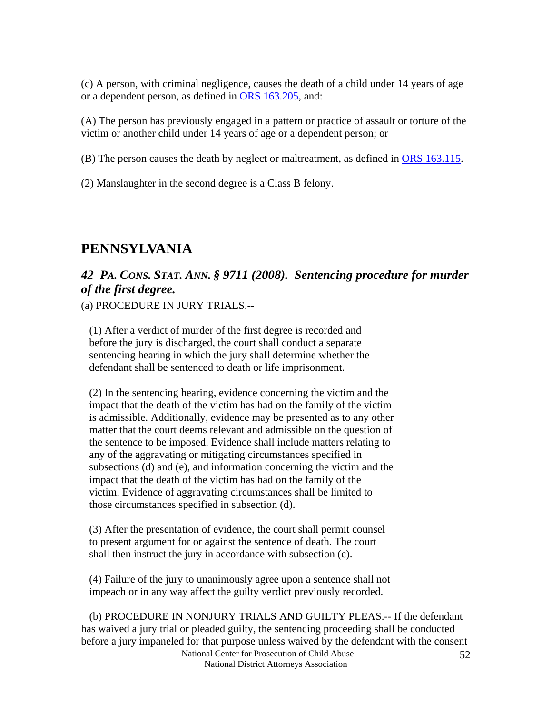(c) A person, with criminal negligence, causes the death of a child under 14 years of age or a dependent person, as defined in [ORS 163.205](https://www.lexis.com/research/buttonTFLink?_m=a6239b22acd486f03800ef97ff6711b8&_xfercite=%3ccite%20cc%3d%22USA%22%3e%3c%21%5bCDATA%5bORS%20%a7%20163.125%5d%5d%3e%3c%2fcite%3e&_butType=4&_butStat=0&_butNum=2&_butInline=1&_butinfo=ORCODE%20163.205&_fmtstr=FULL&docnum=6&_startdoc=1&wchp=dGLbVzz-zSkAW&_md5=1accfa89f81f99a67a6e929bae43e132), and:

(A) The person has previously engaged in a pattern or practice of assault or torture of the victim or another child under 14 years of age or a dependent person; or

(B) The person causes the death by neglect or maltreatment, as defined in [ORS 163.115](https://www.lexis.com/research/buttonTFLink?_m=a6239b22acd486f03800ef97ff6711b8&_xfercite=%3ccite%20cc%3d%22USA%22%3e%3c%21%5bCDATA%5bORS%20%a7%20163.125%5d%5d%3e%3c%2fcite%3e&_butType=4&_butStat=0&_butNum=3&_butInline=1&_butinfo=ORCODE%20163.115&_fmtstr=FULL&docnum=6&_startdoc=1&wchp=dGLbVzz-zSkAW&_md5=a99283deb4a6d9bb2e167a1b799db7fd).

(2) Manslaughter in the second degree is a Class B felony.

# **PENNSYLVANIA**

## *42 PA. CONS. STAT. ANN. § 9711 (2008). Sentencing procedure for murder of the first degree.*

(a) PROCEDURE IN JURY TRIALS.--

 (1) After a verdict of murder of the first degree is recorded and before the jury is discharged, the court shall conduct a separate sentencing hearing in which the jury shall determine whether the defendant shall be sentenced to death or life imprisonment.

 (2) In the sentencing hearing, evidence concerning the victim and the impact that the death of the victim has had on the family of the victim is admissible. Additionally, evidence may be presented as to any other matter that the court deems relevant and admissible on the question of the sentence to be imposed. Evidence shall include matters relating to any of the aggravating or mitigating circumstances specified in subsections (d) and (e), and information concerning the victim and the impact that the death of the victim has had on the family of the victim. Evidence of aggravating circumstances shall be limited to those circumstances specified in subsection (d).

 (3) After the presentation of evidence, the court shall permit counsel to present argument for or against the sentence of death. The court shall then instruct the jury in accordance with subsection (c).

 (4) Failure of the jury to unanimously agree upon a sentence shall not impeach or in any way affect the guilty verdict previously recorded.

National Center for Prosecution of Child Abuse National District Attorneys Association 52 (b) PROCEDURE IN NONJURY TRIALS AND GUILTY PLEAS.-- If the defendant has waived a jury trial or pleaded guilty, the sentencing proceeding shall be conducted before a jury impaneled for that purpose unless waived by the defendant with the consent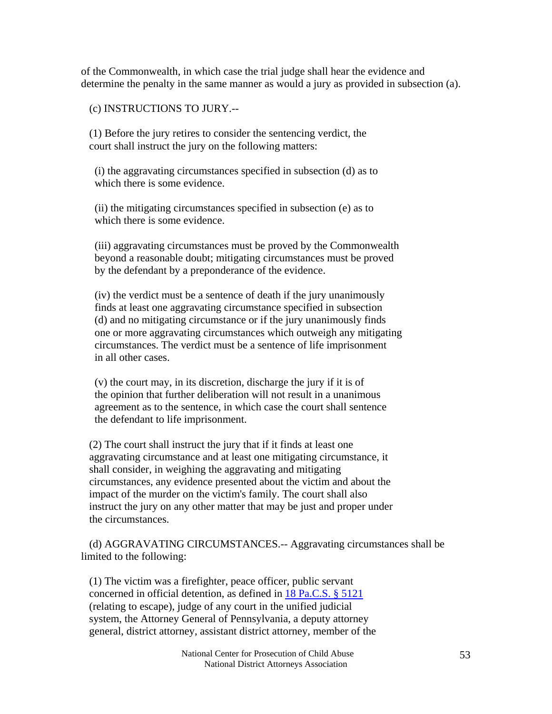of the Commonwealth, in which case the trial judge shall hear the evidence and determine the penalty in the same manner as would a jury as provided in subsection (a).

(c) INSTRUCTIONS TO JURY.--

 (1) Before the jury retires to consider the sentencing verdict, the court shall instruct the jury on the following matters:

 (i) the aggravating circumstances specified in subsection (d) as to which there is some evidence.

 (ii) the mitigating circumstances specified in subsection (e) as to which there is some evidence.

 (iii) aggravating circumstances must be proved by the Commonwealth beyond a reasonable doubt; mitigating circumstances must be proved by the defendant by a preponderance of the evidence.

 (iv) the verdict must be a sentence of death if the jury unanimously finds at least one aggravating circumstance specified in subsection (d) and no mitigating circumstance or if the jury unanimously finds one or more aggravating circumstances which outweigh any mitigating circumstances. The verdict must be a sentence of life imprisonment in all other cases.

 (v) the court may, in its discretion, discharge the jury if it is of the opinion that further deliberation will not result in a unanimous agreement as to the sentence, in which case the court shall sentence the defendant to life imprisonment.

 (2) The court shall instruct the jury that if it finds at least one aggravating circumstance and at least one mitigating circumstance, it shall consider, in weighing the aggravating and mitigating circumstances, any evidence presented about the victim and about the impact of the murder on the victim's family. The court shall also instruct the jury on any other matter that may be just and proper under the circumstances.

 (d) AGGRAVATING CIRCUMSTANCES.-- Aggravating circumstances shall be limited to the following:

 (1) The victim was a firefighter, peace officer, public servant concerned in official detention, as defined in [18 Pa.C.S. § 5121](https://www.lexis.com/research/buttonTFLink?_m=5e0b1baf785a4b2e9eda26c9ca56ff1b&_xfercite=%3ccite%20cc%3d%22USA%22%3e%3c%21%5bCDATA%5b42%20Pa.C.S.%20%a7%209711%5d%5d%3e%3c%2fcite%3e&_butType=4&_butStat=0&_butNum=2&_butInline=1&_butinfo=18%20PACODE%205121&_fmtstr=FULL&docnum=1&_startdoc=1&wchp=dGLbVtb-zSkAb&_md5=9809980d2199be09cd05b9720b6b7012) (relating to escape), judge of any court in the unified judicial system, the Attorney General of Pennsylvania, a deputy attorney general, district attorney, assistant district attorney, member of the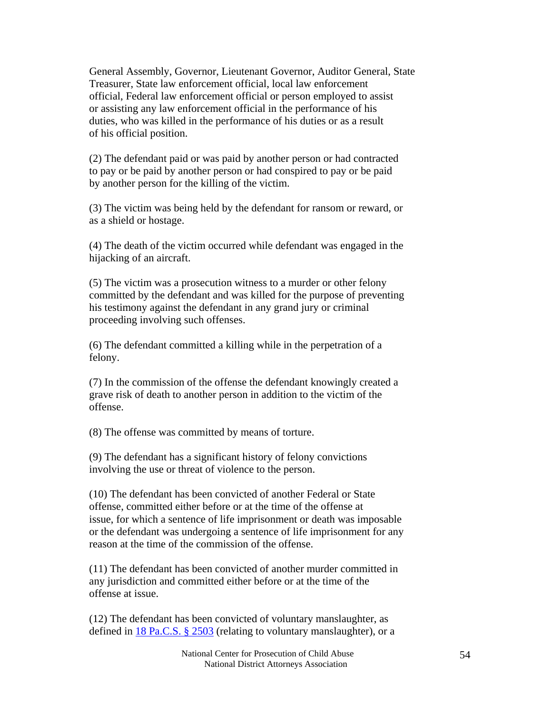General Assembly, Governor, Lieutenant Governor, Auditor General, State Treasurer, State law enforcement official, local law enforcement official, Federal law enforcement official or person employed to assist or assisting any law enforcement official in the performance of his duties, who was killed in the performance of his duties or as a result of his official position.

 (2) The defendant paid or was paid by another person or had contracted to pay or be paid by another person or had conspired to pay or be paid by another person for the killing of the victim.

 (3) The victim was being held by the defendant for ransom or reward, or as a shield or hostage.

 (4) The death of the victim occurred while defendant was engaged in the hijacking of an aircraft.

 (5) The victim was a prosecution witness to a murder or other felony committed by the defendant and was killed for the purpose of preventing his testimony against the defendant in any grand jury or criminal proceeding involving such offenses.

 (6) The defendant committed a killing while in the perpetration of a felony.

 (7) In the commission of the offense the defendant knowingly created a grave risk of death to another person in addition to the victim of the offense.

(8) The offense was committed by means of torture.

 (9) The defendant has a significant history of felony convictions involving the use or threat of violence to the person.

 (10) The defendant has been convicted of another Federal or State offense, committed either before or at the time of the offense at issue, for which a sentence of life imprisonment or death was imposable or the defendant was undergoing a sentence of life imprisonment for any reason at the time of the commission of the offense.

 (11) The defendant has been convicted of another murder committed in any jurisdiction and committed either before or at the time of the offense at issue.

 (12) The defendant has been convicted of voluntary manslaughter, as defined in [18 Pa.C.S. § 2503](https://www.lexis.com/research/buttonTFLink?_m=5e0b1baf785a4b2e9eda26c9ca56ff1b&_xfercite=%3ccite%20cc%3d%22USA%22%3e%3c%21%5bCDATA%5b42%20Pa.C.S.%20%a7%209711%5d%5d%3e%3c%2fcite%3e&_butType=4&_butStat=0&_butNum=3&_butInline=1&_butinfo=18%20PACODE%202503&_fmtstr=FULL&docnum=1&_startdoc=1&wchp=dGLbVtb-zSkAb&_md5=77a8500440f28dd70ecf461f3d3490d3) (relating to voluntary manslaughter), or a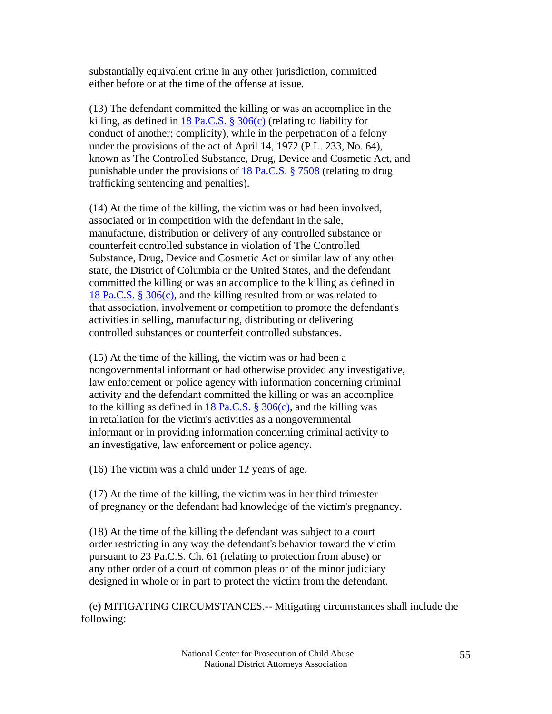substantially equivalent crime in any other jurisdiction, committed either before or at the time of the offense at issue.

 (13) The defendant committed the killing or was an accomplice in the killing, as defined in  $18$  Pa.C.S. § 306(c) (relating to liability for conduct of another; complicity), while in the perpetration of a felony under the provisions of the act of April 14, 1972 (P.L. 233, No. 64), known as The Controlled Substance, Drug, Device and Cosmetic Act, and punishable under the provisions of [18 Pa.C.S. § 7508](https://www.lexis.com/research/buttonTFLink?_m=5e0b1baf785a4b2e9eda26c9ca56ff1b&_xfercite=%3ccite%20cc%3d%22USA%22%3e%3c%21%5bCDATA%5b42%20Pa.C.S.%20%a7%209711%5d%5d%3e%3c%2fcite%3e&_butType=4&_butStat=0&_butNum=5&_butInline=1&_butinfo=18%20PACODE%207508&_fmtstr=FULL&docnum=1&_startdoc=1&wchp=dGLbVtb-zSkAb&_md5=d5cad6fed8ea77f067e219a7693ff284) (relating to drug trafficking sentencing and penalties).

 (14) At the time of the killing, the victim was or had been involved, associated or in competition with the defendant in the sale, manufacture, distribution or delivery of any controlled substance or counterfeit controlled substance in violation of The Controlled Substance, Drug, Device and Cosmetic Act or similar law of any other state, the District of Columbia or the United States, and the defendant committed the killing or was an accomplice to the killing as defined in [18 Pa.C.S. § 306\(c\)](https://www.lexis.com/research/buttonTFLink?_m=5e0b1baf785a4b2e9eda26c9ca56ff1b&_xfercite=%3ccite%20cc%3d%22USA%22%3e%3c%21%5bCDATA%5b42%20Pa.C.S.%20%a7%209711%5d%5d%3e%3c%2fcite%3e&_butType=4&_butStat=0&_butNum=6&_butInline=1&_butinfo=18%20PACODE%20306&_fmtstr=FULL&docnum=1&_startdoc=1&wchp=dGLbVtb-zSkAb&_md5=84342fd913fac9f39bda09afe196c2a5), and the killing resulted from or was related to that association, involvement or competition to promote the defendant's activities in selling, manufacturing, distributing or delivering controlled substances or counterfeit controlled substances.

 (15) At the time of the killing, the victim was or had been a nongovernmental informant or had otherwise provided any investigative, law enforcement or police agency with information concerning criminal activity and the defendant committed the killing or was an accomplice to the killing as defined in 18 Pa.C.S.  $\S 306(c)$ , and the killing was in retaliation for the victim's activities as a nongovernmental informant or in providing information concerning criminal activity to an investigative, law enforcement or police agency.

(16) The victim was a child under 12 years of age.

 (17) At the time of the killing, the victim was in her third trimester of pregnancy or the defendant had knowledge of the victim's pregnancy.

 (18) At the time of the killing the defendant was subject to a court order restricting in any way the defendant's behavior toward the victim pursuant to 23 Pa.C.S. Ch. 61 (relating to protection from abuse) or any other order of a court of common pleas or of the minor judiciary designed in whole or in part to protect the victim from the defendant.

 (e) MITIGATING CIRCUMSTANCES.-- Mitigating circumstances shall include the following: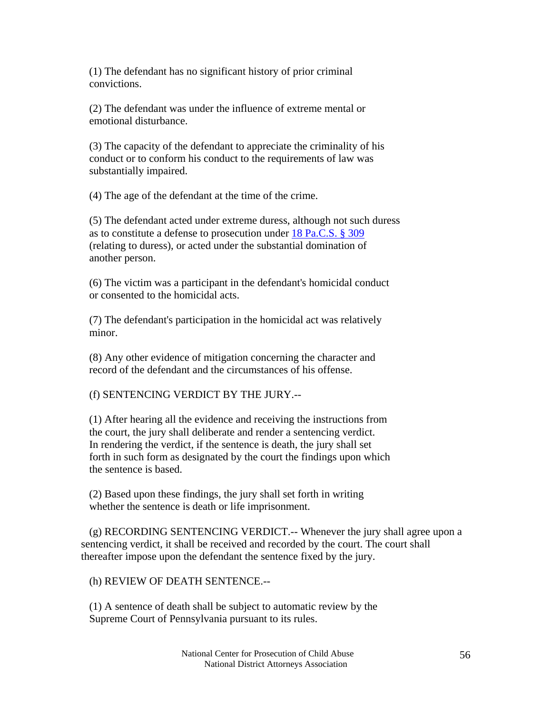(1) The defendant has no significant history of prior criminal convictions.

 (2) The defendant was under the influence of extreme mental or emotional disturbance.

 (3) The capacity of the defendant to appreciate the criminality of his conduct or to conform his conduct to the requirements of law was substantially impaired.

(4) The age of the defendant at the time of the crime.

 (5) The defendant acted under extreme duress, although not such duress as to constitute a defense to prosecution under [18 Pa.C.S. § 309](https://www.lexis.com/research/buttonTFLink?_m=5e0b1baf785a4b2e9eda26c9ca56ff1b&_xfercite=%3ccite%20cc%3d%22USA%22%3e%3c%21%5bCDATA%5b42%20Pa.C.S.%20%a7%209711%5d%5d%3e%3c%2fcite%3e&_butType=4&_butStat=0&_butNum=8&_butInline=1&_butinfo=18%20PACODE%20309&_fmtstr=FULL&docnum=1&_startdoc=1&wchp=dGLbVtb-zSkAb&_md5=afd73d23a04a2d0d4167d3f3eef131d9) (relating to duress), or acted under the substantial domination of another person.

 (6) The victim was a participant in the defendant's homicidal conduct or consented to the homicidal acts.

 (7) The defendant's participation in the homicidal act was relatively minor.

 (8) Any other evidence of mitigation concerning the character and record of the defendant and the circumstances of his offense.

(f) SENTENCING VERDICT BY THE JURY.--

 (1) After hearing all the evidence and receiving the instructions from the court, the jury shall deliberate and render a sentencing verdict. In rendering the verdict, if the sentence is death, the jury shall set forth in such form as designated by the court the findings upon which the sentence is based.

 (2) Based upon these findings, the jury shall set forth in writing whether the sentence is death or life imprisonment.

 (g) RECORDING SENTENCING VERDICT.-- Whenever the jury shall agree upon a sentencing verdict, it shall be received and recorded by the court. The court shall thereafter impose upon the defendant the sentence fixed by the jury.

(h) REVIEW OF DEATH SENTENCE.--

 (1) A sentence of death shall be subject to automatic review by the Supreme Court of Pennsylvania pursuant to its rules.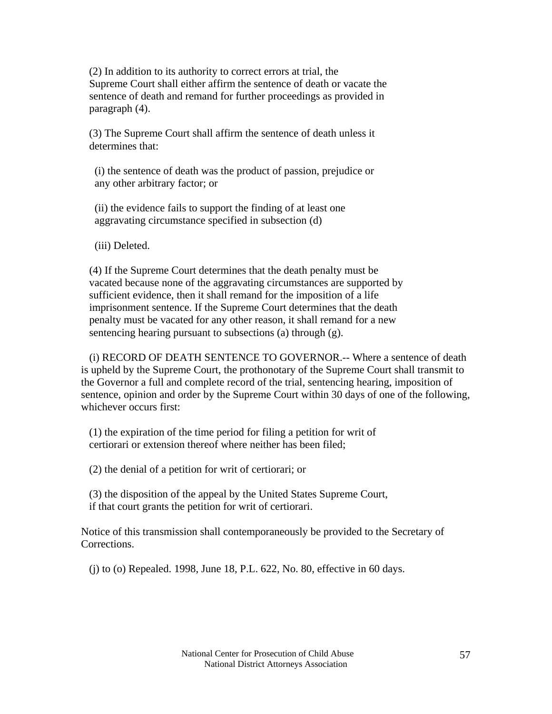(2) In addition to its authority to correct errors at trial, the Supreme Court shall either affirm the sentence of death or vacate the sentence of death and remand for further proceedings as provided in paragraph (4).

 (3) The Supreme Court shall affirm the sentence of death unless it determines that:

 (i) the sentence of death was the product of passion, prejudice or any other arbitrary factor; or

 (ii) the evidence fails to support the finding of at least one aggravating circumstance specified in subsection (d)

(iii) Deleted.

 (4) If the Supreme Court determines that the death penalty must be vacated because none of the aggravating circumstances are supported by sufficient evidence, then it shall remand for the imposition of a life imprisonment sentence. If the Supreme Court determines that the death penalty must be vacated for any other reason, it shall remand for a new sentencing hearing pursuant to subsections (a) through (g).

 (i) RECORD OF DEATH SENTENCE TO GOVERNOR.-- Where a sentence of death is upheld by the Supreme Court, the prothonotary of the Supreme Court shall transmit to the Governor a full and complete record of the trial, sentencing hearing, imposition of sentence, opinion and order by the Supreme Court within 30 days of one of the following, whichever occurs first:

 (1) the expiration of the time period for filing a petition for writ of certiorari or extension thereof where neither has been filed;

(2) the denial of a petition for writ of certiorari; or

 (3) the disposition of the appeal by the United States Supreme Court, if that court grants the petition for writ of certiorari.

Notice of this transmission shall contemporaneously be provided to the Secretary of Corrections.

(j) to (o) Repealed. 1998, June 18, P.L. 622, No. 80, effective in 60 days.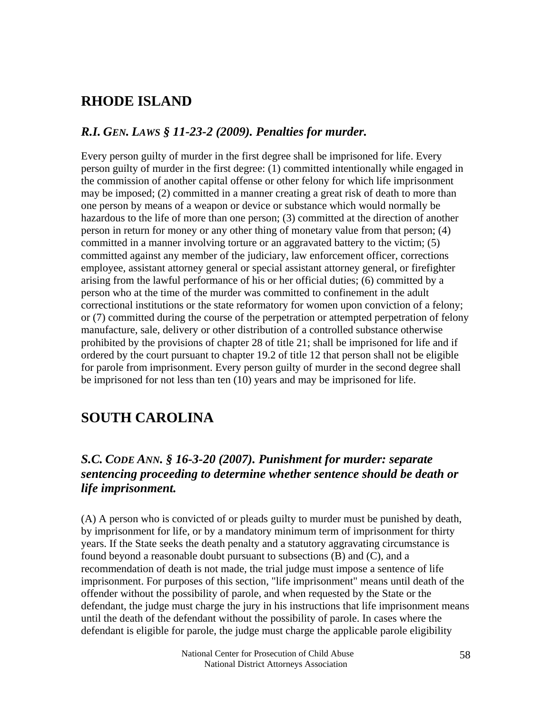# **RHODE ISLAND**

### *R.I. GEN. LAWS § 11-23-2 (2009). Penalties for murder.*

Every person guilty of murder in the first degree shall be imprisoned for life. Every person guilty of murder in the first degree: (1) committed intentionally while engaged in the commission of another capital offense or other felony for which life imprisonment may be imposed; (2) committed in a manner creating a great risk of death to more than one person by means of a weapon or device or substance which would normally be hazardous to the life of more than one person; (3) committed at the direction of another person in return for money or any other thing of monetary value from that person; (4) committed in a manner involving torture or an aggravated battery to the victim; (5) committed against any member of the judiciary, law enforcement officer, corrections employee, assistant attorney general or special assistant attorney general, or firefighter arising from the lawful performance of his or her official duties; (6) committed by a person who at the time of the murder was committed to confinement in the adult correctional institutions or the state reformatory for women upon conviction of a felony; or (7) committed during the course of the perpetration or attempted perpetration of felony manufacture, sale, delivery or other distribution of a controlled substance otherwise prohibited by the provisions of chapter 28 of title 21; shall be imprisoned for life and if ordered by the court pursuant to chapter 19.2 of title 12 that person shall not be eligible for parole from imprisonment. Every person guilty of murder in the second degree shall be imprisoned for not less than ten (10) years and may be imprisoned for life.

# **SOUTH CAROLINA**

### *S.C. CODE ANN. § 16-3-20 (2007). Punishment for murder: separate sentencing proceeding to determine whether sentence should be death or life imprisonment.*

(A) A person who is convicted of or pleads guilty to murder must be punished by death, by imprisonment for life, or by a mandatory minimum term of imprisonment for thirty years. If the State seeks the death penalty and a statutory aggravating circumstance is found beyond a reasonable doubt pursuant to subsections (B) and (C), and a recommendation of death is not made, the trial judge must impose a sentence of life imprisonment. For purposes of this section, "life imprisonment" means until death of the offender without the possibility of parole, and when requested by the State or the defendant, the judge must charge the jury in his instructions that life imprisonment means until the death of the defendant without the possibility of parole. In cases where the defendant is eligible for parole, the judge must charge the applicable parole eligibility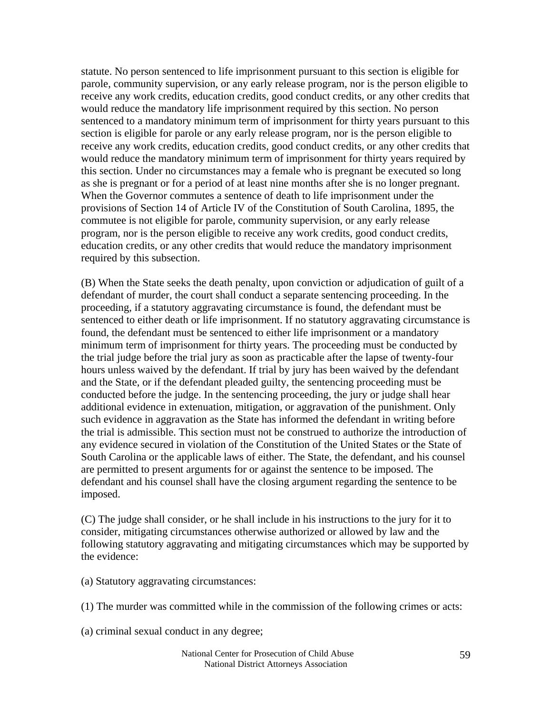statute. No person sentenced to life imprisonment pursuant to this section is eligible for parole, community supervision, or any early release program, nor is the person eligible to receive any work credits, education credits, good conduct credits, or any other credits that would reduce the mandatory life imprisonment required by this section. No person sentenced to a mandatory minimum term of imprisonment for thirty years pursuant to this section is eligible for parole or any early release program, nor is the person eligible to receive any work credits, education credits, good conduct credits, or any other credits that would reduce the mandatory minimum term of imprisonment for thirty years required by this section. Under no circumstances may a female who is pregnant be executed so long as she is pregnant or for a period of at least nine months after she is no longer pregnant. When the Governor commutes a sentence of death to life imprisonment under the provisions of Section 14 of Article IV of the Constitution of South Carolina, 1895, the commutee is not eligible for parole, community supervision, or any early release program, nor is the person eligible to receive any work credits, good conduct credits, education credits, or any other credits that would reduce the mandatory imprisonment required by this subsection.

(B) When the State seeks the death penalty, upon conviction or adjudication of guilt of a defendant of murder, the court shall conduct a separate sentencing proceeding. In the proceeding, if a statutory aggravating circumstance is found, the defendant must be sentenced to either death or life imprisonment. If no statutory aggravating circumstance is found, the defendant must be sentenced to either life imprisonment or a mandatory minimum term of imprisonment for thirty years. The proceeding must be conducted by the trial judge before the trial jury as soon as practicable after the lapse of twenty-four hours unless waived by the defendant. If trial by jury has been waived by the defendant and the State, or if the defendant pleaded guilty, the sentencing proceeding must be conducted before the judge. In the sentencing proceeding, the jury or judge shall hear additional evidence in extenuation, mitigation, or aggravation of the punishment. Only such evidence in aggravation as the State has informed the defendant in writing before the trial is admissible. This section must not be construed to authorize the introduction of any evidence secured in violation of the Constitution of the United States or the State of South Carolina or the applicable laws of either. The State, the defendant, and his counsel are permitted to present arguments for or against the sentence to be imposed. The defendant and his counsel shall have the closing argument regarding the sentence to be imposed.

(C) The judge shall consider, or he shall include in his instructions to the jury for it to consider, mitigating circumstances otherwise authorized or allowed by law and the following statutory aggravating and mitigating circumstances which may be supported by the evidence:

- (a) Statutory aggravating circumstances:
- (1) The murder was committed while in the commission of the following crimes or acts:
- (a) criminal sexual conduct in any degree;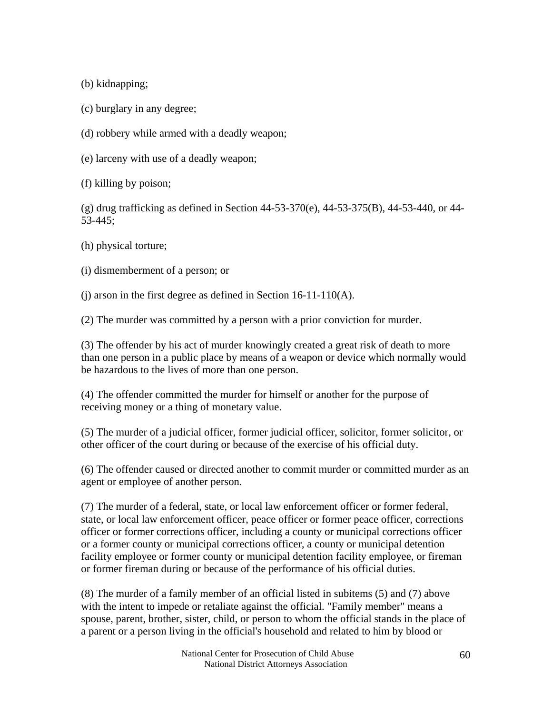(b) kidnapping;

(c) burglary in any degree;

(d) robbery while armed with a deadly weapon;

(e) larceny with use of a deadly weapon;

(f) killing by poison;

(g) drug trafficking as defined in [Section 44-53-370\(e\)](https://www.lexis.com/research/buttonTFLink?_m=2fd14474cbbe578e4519f5fe1b075123&_xfercite=%3ccite%20cc%3d%22USA%22%3e%3c%21%5bCDATA%5bS.C.%20Code%20Ann.%20%a7%2016-3-20%5d%5d%3e%3c%2fcite%3e&_butType=4&_butStat=0&_butNum=2&_butInline=1&_butinfo=SCCODE%2044-53-370&_fmtstr=FULL&docnum=1&_startdoc=1&wchp=dGLbVtb-zSkAb&_md5=38e03447414aa286d625dfa0611b9f91), [44-53-375\(B\)](https://www.lexis.com/research/buttonTFLink?_m=2fd14474cbbe578e4519f5fe1b075123&_xfercite=%3ccite%20cc%3d%22USA%22%3e%3c%21%5bCDATA%5bS.C.%20Code%20Ann.%20%a7%2016-3-20%5d%5d%3e%3c%2fcite%3e&_butType=4&_butStat=0&_butNum=3&_butInline=1&_butinfo=SCCODE%2044-53-375&_fmtstr=FULL&docnum=1&_startdoc=1&wchp=dGLbVtb-zSkAb&_md5=095eda9c4433987542a47e80eccb7fd3), [44-53-440](https://www.lexis.com/research/buttonTFLink?_m=2fd14474cbbe578e4519f5fe1b075123&_xfercite=%3ccite%20cc%3d%22USA%22%3e%3c%21%5bCDATA%5bS.C.%20Code%20Ann.%20%a7%2016-3-20%5d%5d%3e%3c%2fcite%3e&_butType=4&_butStat=0&_butNum=4&_butInline=1&_butinfo=SCCODE%2044-53-440&_fmtstr=FULL&docnum=1&_startdoc=1&wchp=dGLbVtb-zSkAb&_md5=1fbbc0d6b496da79ae1a41938d84b767), or [44-](https://www.lexis.com/research/buttonTFLink?_m=2fd14474cbbe578e4519f5fe1b075123&_xfercite=%3ccite%20cc%3d%22USA%22%3e%3c%21%5bCDATA%5bS.C.%20Code%20Ann.%20%a7%2016-3-20%5d%5d%3e%3c%2fcite%3e&_butType=4&_butStat=0&_butNum=5&_butInline=1&_butinfo=SCCODE%2044-53-445&_fmtstr=FULL&docnum=1&_startdoc=1&wchp=dGLbVtb-zSkAb&_md5=096e5063db007f311ed6b24c29596f5b) [53-445](https://www.lexis.com/research/buttonTFLink?_m=2fd14474cbbe578e4519f5fe1b075123&_xfercite=%3ccite%20cc%3d%22USA%22%3e%3c%21%5bCDATA%5bS.C.%20Code%20Ann.%20%a7%2016-3-20%5d%5d%3e%3c%2fcite%3e&_butType=4&_butStat=0&_butNum=5&_butInline=1&_butinfo=SCCODE%2044-53-445&_fmtstr=FULL&docnum=1&_startdoc=1&wchp=dGLbVtb-zSkAb&_md5=096e5063db007f311ed6b24c29596f5b);

(h) physical torture;

(i) dismemberment of a person; or

 $(i)$  arson in the first degree as defined in [Section 16-11-110\(A\).](https://www.lexis.com/research/buttonTFLink?_m=2fd14474cbbe578e4519f5fe1b075123&_xfercite=%3ccite%20cc%3d%22USA%22%3e%3c%21%5bCDATA%5bS.C.%20Code%20Ann.%20%a7%2016-3-20%5d%5d%3e%3c%2fcite%3e&_butType=4&_butStat=0&_butNum=6&_butInline=1&_butinfo=SCCODE%2016-11-110&_fmtstr=FULL&docnum=1&_startdoc=1&wchp=dGLbVtb-zSkAb&_md5=11d801de53780a2bd0f6ab3acee22dbd)

(2) The murder was committed by a person with a prior conviction for murder.

(3) The offender by his act of murder knowingly created a great risk of death to more than one person in a public place by means of a weapon or device which normally would be hazardous to the lives of more than one person.

(4) The offender committed the murder for himself or another for the purpose of receiving money or a thing of monetary value.

(5) The murder of a judicial officer, former judicial officer, solicitor, former solicitor, or other officer of the court during or because of the exercise of his official duty.

(6) The offender caused or directed another to commit murder or committed murder as an agent or employee of another person.

(7) The murder of a federal, state, or local law enforcement officer or former federal, state, or local law enforcement officer, peace officer or former peace officer, corrections officer or former corrections officer, including a county or municipal corrections officer or a former county or municipal corrections officer, a county or municipal detention facility employee or former county or municipal detention facility employee, or fireman or former fireman during or because of the performance of his official duties.

(8) The murder of a family member of an official listed in subitems (5) and (7) above with the intent to impede or retaliate against the official. "Family member" means a spouse, parent, brother, sister, child, or person to whom the official stands in the place of a parent or a person living in the official's household and related to him by blood or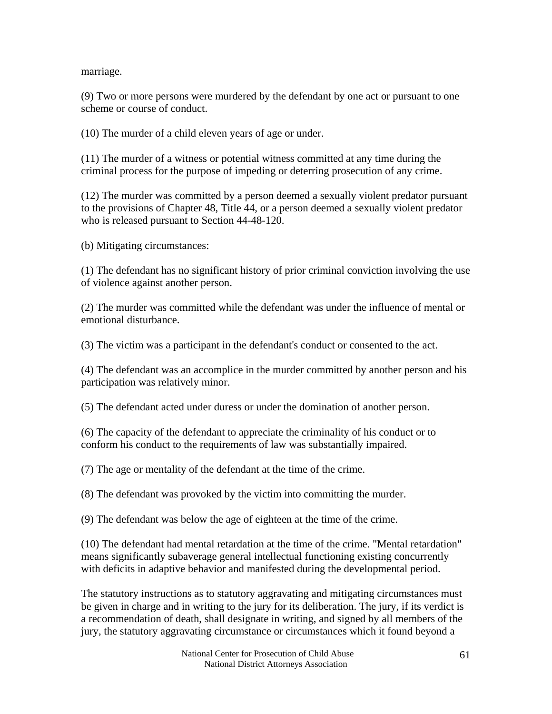marriage.

(9) Two or more persons were murdered by the defendant by one act or pursuant to one scheme or course of conduct.

(10) The murder of a child eleven years of age or under.

(11) The murder of a witness or potential witness committed at any time during the criminal process for the purpose of impeding or deterring prosecution of any crime.

(12) The murder was committed by a person deemed a sexually violent predator pursuant to the provisions of Chapter 48, Title 44, or a person deemed a sexually violent predator who is released pursuant to [Section 44-48-120.](https://www.lexis.com/research/buttonTFLink?_m=2fd14474cbbe578e4519f5fe1b075123&_xfercite=%3ccite%20cc%3d%22USA%22%3e%3c%21%5bCDATA%5bS.C.%20Code%20Ann.%20%a7%2016-3-20%5d%5d%3e%3c%2fcite%3e&_butType=4&_butStat=0&_butNum=7&_butInline=1&_butinfo=SCCODE%2044-48-120&_fmtstr=FULL&docnum=1&_startdoc=1&wchp=dGLbVtb-zSkAb&_md5=1a7779b2d27ce6825bdcd70587f571a5)

(b) Mitigating circumstances:

(1) The defendant has no significant history of prior criminal conviction involving the use of violence against another person.

(2) The murder was committed while the defendant was under the influence of mental or emotional disturbance.

(3) The victim was a participant in the defendant's conduct or consented to the act.

(4) The defendant was an accomplice in the murder committed by another person and his participation was relatively minor.

(5) The defendant acted under duress or under the domination of another person.

(6) The capacity of the defendant to appreciate the criminality of his conduct or to conform his conduct to the requirements of law was substantially impaired.

(7) The age or mentality of the defendant at the time of the crime.

(8) The defendant was provoked by the victim into committing the murder.

(9) The defendant was below the age of eighteen at the time of the crime.

(10) The defendant had mental retardation at the time of the crime. "Mental retardation" means significantly subaverage general intellectual functioning existing concurrently with deficits in adaptive behavior and manifested during the developmental period.

The statutory instructions as to statutory aggravating and mitigating circumstances must be given in charge and in writing to the jury for its deliberation. The jury, if its verdict is a recommendation of death, shall designate in writing, and signed by all members of the jury, the statutory aggravating circumstance or circumstances which it found beyond a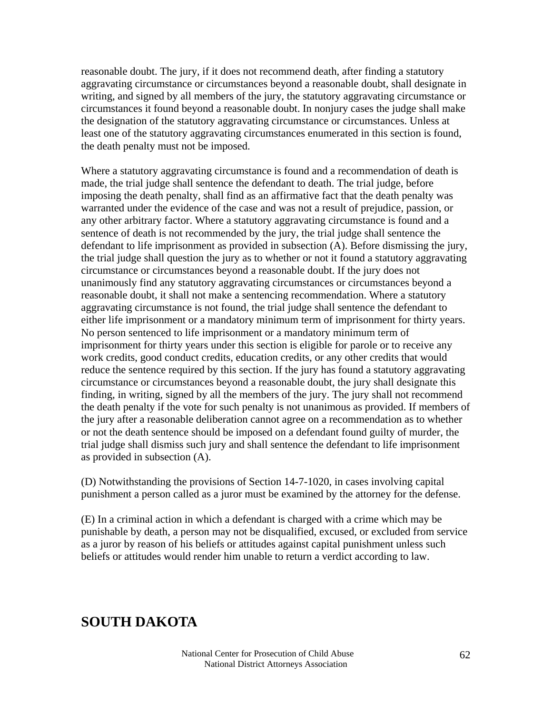reasonable doubt. The jury, if it does not recommend death, after finding a statutory aggravating circumstance or circumstances beyond a reasonable doubt, shall designate in writing, and signed by all members of the jury, the statutory aggravating circumstance or circumstances it found beyond a reasonable doubt. In nonjury cases the judge shall make the designation of the statutory aggravating circumstance or circumstances. Unless at least one of the statutory aggravating circumstances enumerated in this section is found, the death penalty must not be imposed.

Where a statutory aggravating circumstance is found and a recommendation of death is made, the trial judge shall sentence the defendant to death. The trial judge, before imposing the death penalty, shall find as an affirmative fact that the death penalty was warranted under the evidence of the case and was not a result of prejudice, passion, or any other arbitrary factor. Where a statutory aggravating circumstance is found and a sentence of death is not recommended by the jury, the trial judge shall sentence the defendant to life imprisonment as provided in subsection (A). Before dismissing the jury, the trial judge shall question the jury as to whether or not it found a statutory aggravating circumstance or circumstances beyond a reasonable doubt. If the jury does not unanimously find any statutory aggravating circumstances or circumstances beyond a reasonable doubt, it shall not make a sentencing recommendation. Where a statutory aggravating circumstance is not found, the trial judge shall sentence the defendant to either life imprisonment or a mandatory minimum term of imprisonment for thirty years. No person sentenced to life imprisonment or a mandatory minimum term of imprisonment for thirty years under this section is eligible for parole or to receive any work credits, good conduct credits, education credits, or any other credits that would reduce the sentence required by this section. If the jury has found a statutory aggravating circumstance or circumstances beyond a reasonable doubt, the jury shall designate this finding, in writing, signed by all the members of the jury. The jury shall not recommend the death penalty if the vote for such penalty is not unanimous as provided. If members of the jury after a reasonable deliberation cannot agree on a recommendation as to whether or not the death sentence should be imposed on a defendant found guilty of murder, the trial judge shall dismiss such jury and shall sentence the defendant to life imprisonment as provided in subsection (A).

(D) Notwithstanding the provisions of [Section 14-7-1020](https://www.lexis.com/research/buttonTFLink?_m=2fd14474cbbe578e4519f5fe1b075123&_xfercite=%3ccite%20cc%3d%22USA%22%3e%3c%21%5bCDATA%5bS.C.%20Code%20Ann.%20%a7%2016-3-20%5d%5d%3e%3c%2fcite%3e&_butType=4&_butStat=0&_butNum=8&_butInline=1&_butinfo=SCCODE%2014-7-1020&_fmtstr=FULL&docnum=1&_startdoc=1&wchp=dGLbVtb-zSkAb&_md5=d2c0a9448389b78e39fa6f463bbba32e), in cases involving capital punishment a person called as a juror must be examined by the attorney for the defense.

(E) In a criminal action in which a defendant is charged with a crime which may be punishable by death, a person may not be disqualified, excused, or excluded from service as a juror by reason of his beliefs or attitudes against capital punishment unless such beliefs or attitudes would render him unable to return a verdict according to law.

## **SOUTH DAKOTA**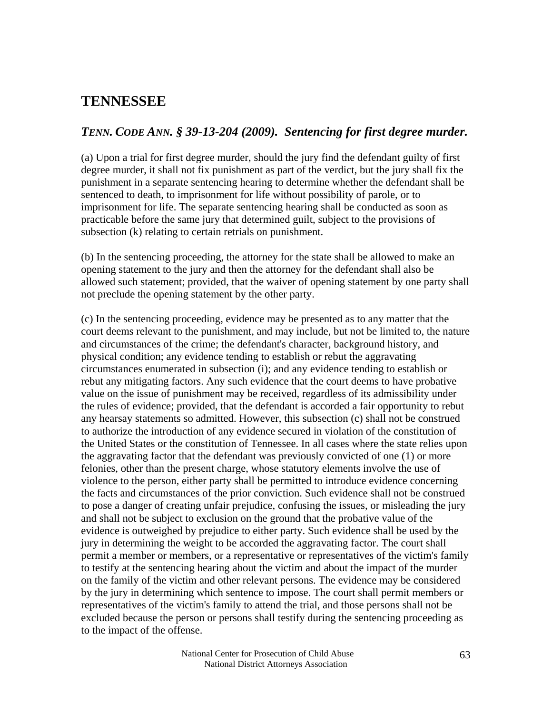# **TENNESSEE**

## *TENN. CODE ANN. § 39-13-204 (2009). Sentencing for first degree murder.*

(a) Upon a trial for first degree murder, should the jury find the defendant guilty of first degree murder, it shall not fix punishment as part of the verdict, but the jury shall fix the punishment in a separate sentencing hearing to determine whether the defendant shall be sentenced to death, to imprisonment for life without possibility of parole, or to imprisonment for life. The separate sentencing hearing shall be conducted as soon as practicable before the same jury that determined guilt, subject to the provisions of subsection (k) relating to certain retrials on punishment.

(b) In the sentencing proceeding, the attorney for the state shall be allowed to make an opening statement to the jury and then the attorney for the defendant shall also be allowed such statement; provided, that the waiver of opening statement by one party shall not preclude the opening statement by the other party.

(c) In the sentencing proceeding, evidence may be presented as to any matter that the court deems relevant to the punishment, and may include, but not be limited to, the nature and circumstances of the crime; the defendant's character, background history, and physical condition; any evidence tending to establish or rebut the aggravating circumstances enumerated in subsection (i); and any evidence tending to establish or rebut any mitigating factors. Any such evidence that the court deems to have probative value on the issue of punishment may be received, regardless of its admissibility under the rules of evidence; provided, that the defendant is accorded a fair opportunity to rebut any hearsay statements so admitted. However, this subsection (c) shall not be construed to authorize the introduction of any evidence secured in violation of the constitution of the United States or the constitution of Tennessee. In all cases where the state relies upon the aggravating factor that the defendant was previously convicted of one (1) or more felonies, other than the present charge, whose statutory elements involve the use of violence to the person, either party shall be permitted to introduce evidence concerning the facts and circumstances of the prior conviction. Such evidence shall not be construed to pose a danger of creating unfair prejudice, confusing the issues, or misleading the jury and shall not be subject to exclusion on the ground that the probative value of the evidence is outweighed by prejudice to either party. Such evidence shall be used by the jury in determining the weight to be accorded the aggravating factor. The court shall permit a member or members, or a representative or representatives of the victim's family to testify at the sentencing hearing about the victim and about the impact of the murder on the family of the victim and other relevant persons. The evidence may be considered by the jury in determining which sentence to impose. The court shall permit members or representatives of the victim's family to attend the trial, and those persons shall not be excluded because the person or persons shall testify during the sentencing proceeding as to the impact of the offense.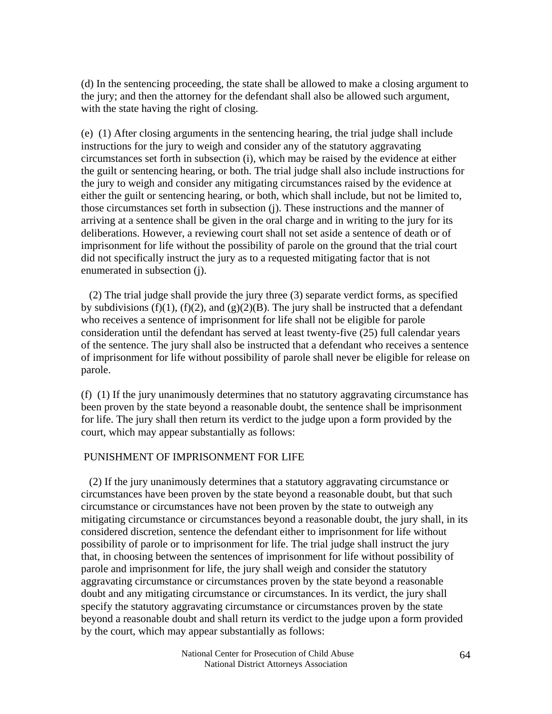(d) In the sentencing proceeding, the state shall be allowed to make a closing argument to the jury; and then the attorney for the defendant shall also be allowed such argument, with the state having the right of closing.

(e) (1) After closing arguments in the sentencing hearing, the trial judge shall include instructions for the jury to weigh and consider any of the statutory aggravating circumstances set forth in subsection (i), which may be raised by the evidence at either the guilt or sentencing hearing, or both. The trial judge shall also include instructions for the jury to weigh and consider any mitigating circumstances raised by the evidence at either the guilt or sentencing hearing, or both, which shall include, but not be limited to, those circumstances set forth in subsection (j). These instructions and the manner of arriving at a sentence shall be given in the oral charge and in writing to the jury for its deliberations. However, a reviewing court shall not set aside a sentence of death or of imprisonment for life without the possibility of parole on the ground that the trial court did not specifically instruct the jury as to a requested mitigating factor that is not enumerated in subsection (j).

 (2) The trial judge shall provide the jury three (3) separate verdict forms, as specified by subdivisions (f)(1), (f)(2), and (g)(2)(B). The jury shall be instructed that a defendant who receives a sentence of imprisonment for life shall not be eligible for parole consideration until the defendant has served at least twenty-five (25) full calendar years of the sentence. The jury shall also be instructed that a defendant who receives a sentence of imprisonment for life without possibility of parole shall never be eligible for release on parole.

(f) (1) If the jury unanimously determines that no statutory aggravating circumstance has been proven by the state beyond a reasonable doubt, the sentence shall be imprisonment for life. The jury shall then return its verdict to the judge upon a form provided by the court, which may appear substantially as follows:

#### [PUNISHMENT OF IMPRISONMENT FOR LIFE](https://w3.lexis.com/research2/attachment/popUpAttachWindow.do?_m=0781c5db492eecdfaaa032771052d00f&wchp=dGLbVtb-zSkAb&_md5=8b95ea2ec8e504a0bb57d313cfbe1b5c)

 (2) If the jury unanimously determines that a statutory aggravating circumstance or circumstances have been proven by the state beyond a reasonable doubt, but that such circumstance or circumstances have not been proven by the state to outweigh any mitigating circumstance or circumstances beyond a reasonable doubt, the jury shall, in its considered discretion, sentence the defendant either to imprisonment for life without possibility of parole or to imprisonment for life. The trial judge shall instruct the jury that, in choosing between the sentences of imprisonment for life without possibility of parole and imprisonment for life, the jury shall weigh and consider the statutory aggravating circumstance or circumstances proven by the state beyond a reasonable doubt and any mitigating circumstance or circumstances. In its verdict, the jury shall specify the statutory aggravating circumstance or circumstances proven by the state beyond a reasonable doubt and shall return its verdict to the judge upon a form provided by the court, which may appear substantially as follows: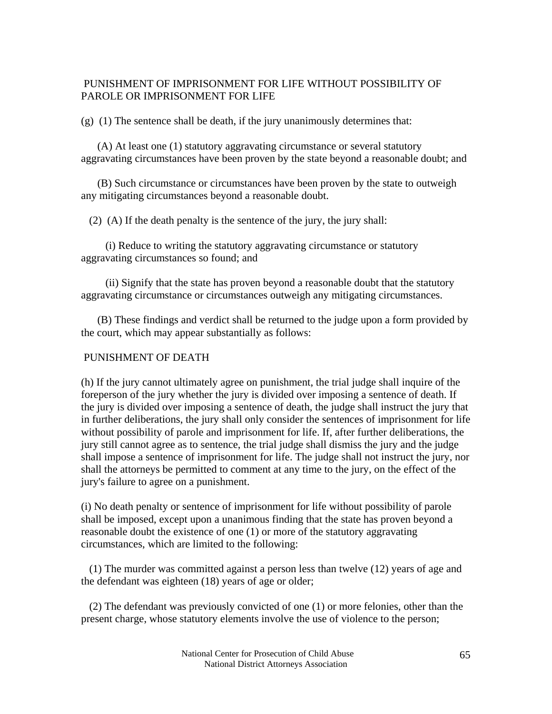### [PUNISHMENT OF IMPRISONMENT FOR LIFE WITHOUT POSSIBILITY OF](https://w3.lexis.com/research2/attachment/popUpAttachWindow.do?_m=8d07bcd61f73e827304b40c96e6bed3f&wchp=dGLbVtb-zSkAb&_md5=54deee4fbae19bf2e475c1c14473f807)  [PAROLE OR IMPRISONMENT FOR LIFE](https://w3.lexis.com/research2/attachment/popUpAttachWindow.do?_m=8d07bcd61f73e827304b40c96e6bed3f&wchp=dGLbVtb-zSkAb&_md5=54deee4fbae19bf2e475c1c14473f807)

(g) (1) The sentence shall be death, if the jury unanimously determines that:

 (A) At least one (1) statutory aggravating circumstance or several statutory aggravating circumstances have been proven by the state beyond a reasonable doubt; and

 (B) Such circumstance or circumstances have been proven by the state to outweigh any mitigating circumstances beyond a reasonable doubt.

(2) (A) If the death penalty is the sentence of the jury, the jury shall:

 (i) Reduce to writing the statutory aggravating circumstance or statutory aggravating circumstances so found; and

 (ii) Signify that the state has proven beyond a reasonable doubt that the statutory aggravating circumstance or circumstances outweigh any mitigating circumstances.

 (B) These findings and verdict shall be returned to the judge upon a form provided by the court, which may appear substantially as follows:

#### [PUNISHMENT OF DEATH](https://w3.lexis.com/research2/attachment/popUpAttachWindow.do?_m=5620cb011e6cc598c1c7b561b6e2b4cf&wchp=dGLbVtb-zSkAb&_md5=d828649bc442a4b1bcf43d0f434c0242)

(h) If the jury cannot ultimately agree on punishment, the trial judge shall inquire of the foreperson of the jury whether the jury is divided over imposing a sentence of death. If the jury is divided over imposing a sentence of death, the judge shall instruct the jury that in further deliberations, the jury shall only consider the sentences of imprisonment for life without possibility of parole and imprisonment for life. If, after further deliberations, the jury still cannot agree as to sentence, the trial judge shall dismiss the jury and the judge shall impose a sentence of imprisonment for life. The judge shall not instruct the jury, nor shall the attorneys be permitted to comment at any time to the jury, on the effect of the jury's failure to agree on a punishment.

(i) No death penalty or sentence of imprisonment for life without possibility of parole shall be imposed, except upon a unanimous finding that the state has proven beyond a reasonable doubt the existence of one (1) or more of the statutory aggravating circumstances, which are limited to the following:

 (1) The murder was committed against a person less than twelve (12) years of age and the defendant was eighteen (18) years of age or older;

 (2) The defendant was previously convicted of one (1) or more felonies, other than the present charge, whose statutory elements involve the use of violence to the person;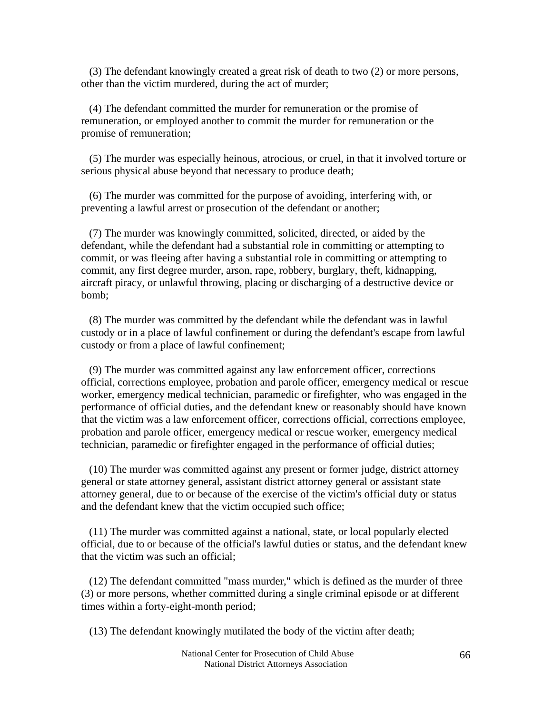(3) The defendant knowingly created a great risk of death to two (2) or more persons, other than the victim murdered, during the act of murder;

 (4) The defendant committed the murder for remuneration or the promise of remuneration, or employed another to commit the murder for remuneration or the promise of remuneration;

 (5) The murder was especially heinous, atrocious, or cruel, in that it involved torture or serious physical abuse beyond that necessary to produce death;

 (6) The murder was committed for the purpose of avoiding, interfering with, or preventing a lawful arrest or prosecution of the defendant or another;

 (7) The murder was knowingly committed, solicited, directed, or aided by the defendant, while the defendant had a substantial role in committing or attempting to commit, or was fleeing after having a substantial role in committing or attempting to commit, any first degree murder, arson, rape, robbery, burglary, theft, kidnapping, aircraft piracy, or unlawful throwing, placing or discharging of a destructive device or bomb;

 (8) The murder was committed by the defendant while the defendant was in lawful custody or in a place of lawful confinement or during the defendant's escape from lawful custody or from a place of lawful confinement;

 (9) The murder was committed against any law enforcement officer, corrections official, corrections employee, probation and parole officer, emergency medical or rescue worker, emergency medical technician, paramedic or firefighter, who was engaged in the performance of official duties, and the defendant knew or reasonably should have known that the victim was a law enforcement officer, corrections official, corrections employee, probation and parole officer, emergency medical or rescue worker, emergency medical technician, paramedic or firefighter engaged in the performance of official duties;

 (10) The murder was committed against any present or former judge, district attorney general or state attorney general, assistant district attorney general or assistant state attorney general, due to or because of the exercise of the victim's official duty or status and the defendant knew that the victim occupied such office;

 (11) The murder was committed against a national, state, or local popularly elected official, due to or because of the official's lawful duties or status, and the defendant knew that the victim was such an official;

 (12) The defendant committed "mass murder," which is defined as the murder of three (3) or more persons, whether committed during a single criminal episode or at different times within a forty-eight-month period;

(13) The defendant knowingly mutilated the body of the victim after death;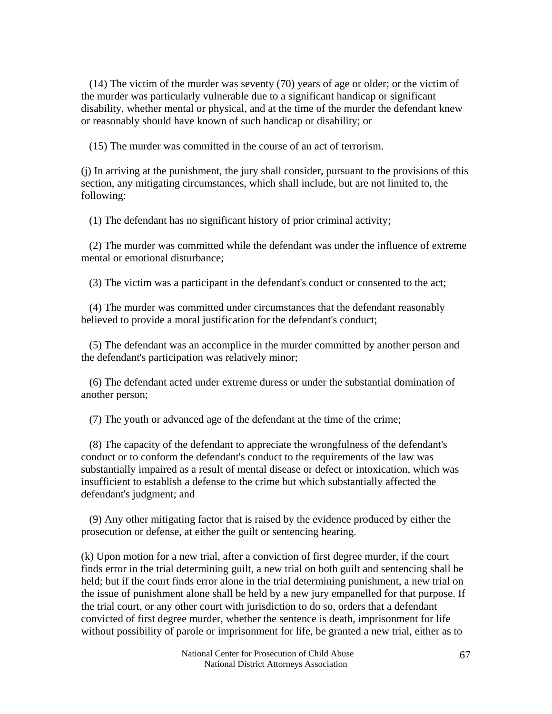(14) The victim of the murder was seventy (70) years of age or older; or the victim of the murder was particularly vulnerable due to a significant handicap or significant disability, whether mental or physical, and at the time of the murder the defendant knew or reasonably should have known of such handicap or disability; or

(15) The murder was committed in the course of an act of terrorism.

(j) In arriving at the punishment, the jury shall consider, pursuant to the provisions of this section, any mitigating circumstances, which shall include, but are not limited to, the following:

(1) The defendant has no significant history of prior criminal activity;

 (2) The murder was committed while the defendant was under the influence of extreme mental or emotional disturbance;

(3) The victim was a participant in the defendant's conduct or consented to the act;

 (4) The murder was committed under circumstances that the defendant reasonably believed to provide a moral justification for the defendant's conduct;

 (5) The defendant was an accomplice in the murder committed by another person and the defendant's participation was relatively minor;

 (6) The defendant acted under extreme duress or under the substantial domination of another person;

(7) The youth or advanced age of the defendant at the time of the crime;

 (8) The capacity of the defendant to appreciate the wrongfulness of the defendant's conduct or to conform the defendant's conduct to the requirements of the law was substantially impaired as a result of mental disease or defect or intoxication, which was insufficient to establish a defense to the crime but which substantially affected the defendant's judgment; and

 (9) Any other mitigating factor that is raised by the evidence produced by either the prosecution or defense, at either the guilt or sentencing hearing.

(k) Upon motion for a new trial, after a conviction of first degree murder, if the court finds error in the trial determining guilt, a new trial on both guilt and sentencing shall be held; but if the court finds error alone in the trial determining punishment, a new trial on the issue of punishment alone shall be held by a new jury empanelled for that purpose. If the trial court, or any other court with jurisdiction to do so, orders that a defendant convicted of first degree murder, whether the sentence is death, imprisonment for life without possibility of parole or imprisonment for life, be granted a new trial, either as to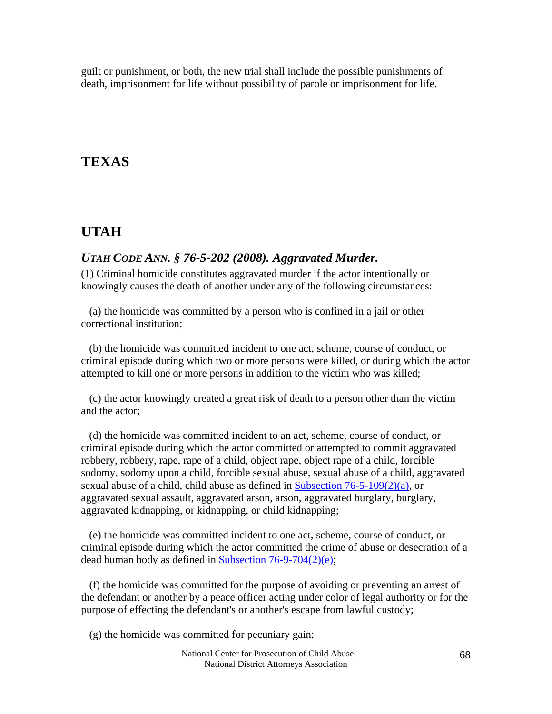guilt or punishment, or both, the new trial shall include the possible punishments of death, imprisonment for life without possibility of parole or imprisonment for life.

# **TEXAS**

# **UTAH**

#### *UTAH CODE ANN. § 76-5-202 (2008). Aggravated Murder.*

(1) Criminal homicide constitutes aggravated murder if the actor intentionally or knowingly causes the death of another under any of the following circumstances:

 (a) the homicide was committed by a person who is confined in a jail or other correctional institution;

 (b) the homicide was committed incident to one act, scheme, course of conduct, or criminal episode during which two or more persons were killed, or during which the actor attempted to kill one or more persons in addition to the victim who was killed;

 (c) the actor knowingly created a great risk of death to a person other than the victim and the actor;

 (d) the homicide was committed incident to an act, scheme, course of conduct, or criminal episode during which the actor committed or attempted to commit aggravated robbery, robbery, rape, rape of a child, object rape, object rape of a child, forcible sodomy, sodomy upon a child, forcible sexual abuse, sexual abuse of a child, aggravated sexual abuse of a child, child abuse as defined in Subsection  $76-5-109(2)(a)$ , or aggravated sexual assault, aggravated arson, arson, aggravated burglary, burglary, aggravated kidnapping, or kidnapping, or child kidnapping;

 (e) the homicide was committed incident to one act, scheme, course of conduct, or criminal episode during which the actor committed the crime of abuse or desecration of a dead human body as defined in [Subsection 76-9-704\(2\)\(e\);](https://www.lexis.com/research/buttonTFLink?_m=71fada968da036e52294dbff6eed7f0b&_xfercite=%3ccite%20cc%3d%22USA%22%3e%3c%21%5bCDATA%5bUtah%20Code%20Ann.%20%a7%2076-5-202%5d%5d%3e%3c%2fcite%3e&_butType=4&_butStat=0&_butNum=3&_butInline=1&_butinfo=UTCODE%2076-9-704&_fmtstr=FULL&docnum=4&_startdoc=1&wchp=dGLbVlz-zSkAl&_md5=d436ff2e09424b7efe996ea0a282c47b)

 (f) the homicide was committed for the purpose of avoiding or preventing an arrest of the defendant or another by a peace officer acting under color of legal authority or for the purpose of effecting the defendant's or another's escape from lawful custody;

(g) the homicide was committed for pecuniary gain;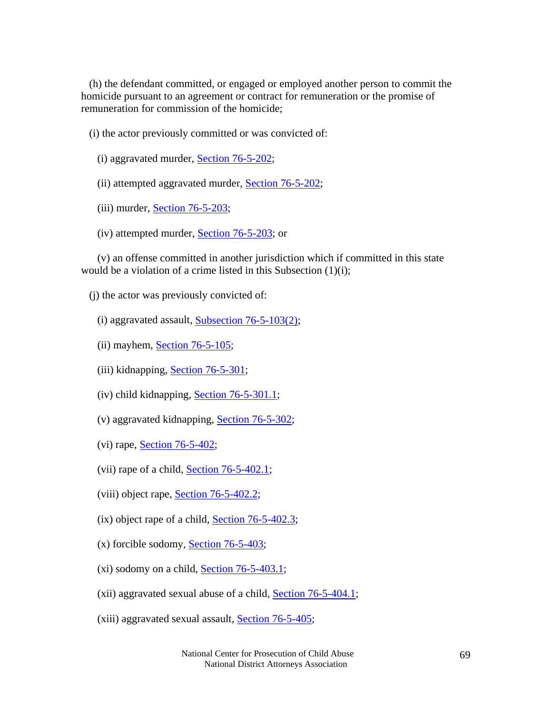(h) the defendant committed, or engaged or employed another person to commit the homicide pursuant to an agreement or contract for remuneration or the promise of remuneration for commission of the homicide;

(i) the actor previously committed or was convicted of:

- (i) aggravated murder, [Section 76-5-202;](https://www.lexis.com/research/buttonTFLink?_m=71fada968da036e52294dbff6eed7f0b&_xfercite=%3ccite%20cc%3d%22USA%22%3e%3c%21%5bCDATA%5bUtah%20Code%20Ann.%20%a7%2076-5-202%5d%5d%3e%3c%2fcite%3e&_butType=4&_butStat=0&_butNum=4&_butInline=1&_butinfo=UTCODE%2076-5-202&_fmtstr=FULL&docnum=4&_startdoc=1&wchp=dGLbVlz-zSkAl&_md5=394d0ce9486c14ee69099a1056f8c5d5)
- (ii) attempted aggravated murder, [Section 76-5-202](https://www.lexis.com/research/buttonTFLink?_m=71fada968da036e52294dbff6eed7f0b&_xfercite=%3ccite%20cc%3d%22USA%22%3e%3c%21%5bCDATA%5bUtah%20Code%20Ann.%20%a7%2076-5-202%5d%5d%3e%3c%2fcite%3e&_butType=4&_butStat=0&_butNum=5&_butInline=1&_butinfo=UTCODE%2076-5-202&_fmtstr=FULL&docnum=4&_startdoc=1&wchp=dGLbVlz-zSkAl&_md5=cd75387d61585e83424bedf63b3d4d74);
- (iii) murder, [Section 76-5-203;](https://www.lexis.com/research/buttonTFLink?_m=71fada968da036e52294dbff6eed7f0b&_xfercite=%3ccite%20cc%3d%22USA%22%3e%3c%21%5bCDATA%5bUtah%20Code%20Ann.%20%a7%2076-5-202%5d%5d%3e%3c%2fcite%3e&_butType=4&_butStat=0&_butNum=6&_butInline=1&_butinfo=UTCODE%2076-5-203&_fmtstr=FULL&docnum=4&_startdoc=1&wchp=dGLbVlz-zSkAl&_md5=cf1223b2218321a04ada572c39ffbcf2)
- (iv) attempted murder, [Section 76-5-203](https://www.lexis.com/research/buttonTFLink?_m=71fada968da036e52294dbff6eed7f0b&_xfercite=%3ccite%20cc%3d%22USA%22%3e%3c%21%5bCDATA%5bUtah%20Code%20Ann.%20%a7%2076-5-202%5d%5d%3e%3c%2fcite%3e&_butType=4&_butStat=0&_butNum=7&_butInline=1&_butinfo=UTCODE%2076-5-203&_fmtstr=FULL&docnum=4&_startdoc=1&wchp=dGLbVlz-zSkAl&_md5=44eead5be836696c861305bb57551aa0); or

 (v) an offense committed in another jurisdiction which if committed in this state would be a violation of a crime listed in this Subsection (1)(i);

(j) the actor was previously convicted of:

- (i) aggravated assault, [Subsection 76-5-103\(2\)](https://www.lexis.com/research/buttonTFLink?_m=71fada968da036e52294dbff6eed7f0b&_xfercite=%3ccite%20cc%3d%22USA%22%3e%3c%21%5bCDATA%5bUtah%20Code%20Ann.%20%a7%2076-5-202%5d%5d%3e%3c%2fcite%3e&_butType=4&_butStat=0&_butNum=8&_butInline=1&_butinfo=UTCODE%2076-5-103&_fmtstr=FULL&docnum=4&_startdoc=1&wchp=dGLbVlz-zSkAl&_md5=9daa61959b6284a467a2c6ffcf6e470b);
- (ii) mayhem, Section  $76-5-105$ ;
- (iii) kidnapping, [Section 76-5-301;](https://www.lexis.com/research/buttonTFLink?_m=71fada968da036e52294dbff6eed7f0b&_xfercite=%3ccite%20cc%3d%22USA%22%3e%3c%21%5bCDATA%5bUtah%20Code%20Ann.%20%a7%2076-5-202%5d%5d%3e%3c%2fcite%3e&_butType=4&_butStat=0&_butNum=10&_butInline=1&_butinfo=UTCODE%2076-5-301&_fmtstr=FULL&docnum=4&_startdoc=1&wchp=dGLbVlz-zSkAl&_md5=3481fe860b2a62ee704aba84c44aede8)
- (iv) child kidnapping, [Section 76-5-301.1](https://www.lexis.com/research/buttonTFLink?_m=71fada968da036e52294dbff6eed7f0b&_xfercite=%3ccite%20cc%3d%22USA%22%3e%3c%21%5bCDATA%5bUtah%20Code%20Ann.%20%a7%2076-5-202%5d%5d%3e%3c%2fcite%3e&_butType=4&_butStat=0&_butNum=11&_butInline=1&_butinfo=UTCODE%2076-5-301.1&_fmtstr=FULL&docnum=4&_startdoc=1&wchp=dGLbVlz-zSkAl&_md5=737a3c9a21cdf90c58923454de1b382a);
- (v) aggravated kidnapping, [Section 76-5-302;](https://www.lexis.com/research/buttonTFLink?_m=71fada968da036e52294dbff6eed7f0b&_xfercite=%3ccite%20cc%3d%22USA%22%3e%3c%21%5bCDATA%5bUtah%20Code%20Ann.%20%a7%2076-5-202%5d%5d%3e%3c%2fcite%3e&_butType=4&_butStat=0&_butNum=12&_butInline=1&_butinfo=UTCODE%2076-5-302&_fmtstr=FULL&docnum=4&_startdoc=1&wchp=dGLbVlz-zSkAl&_md5=909d22ae1f11410146ff5b2c5ec511c6)
- (vi) rape, [Section 76-5-402;](https://www.lexis.com/research/buttonTFLink?_m=71fada968da036e52294dbff6eed7f0b&_xfercite=%3ccite%20cc%3d%22USA%22%3e%3c%21%5bCDATA%5bUtah%20Code%20Ann.%20%a7%2076-5-202%5d%5d%3e%3c%2fcite%3e&_butType=4&_butStat=0&_butNum=13&_butInline=1&_butinfo=UTCODE%2076-5-402&_fmtstr=FULL&docnum=4&_startdoc=1&wchp=dGLbVlz-zSkAl&_md5=bde43682d22497d153c0938b2da09c48)
- (vii) rape of a child, [Section 76-5-402.1;](https://www.lexis.com/research/buttonTFLink?_m=71fada968da036e52294dbff6eed7f0b&_xfercite=%3ccite%20cc%3d%22USA%22%3e%3c%21%5bCDATA%5bUtah%20Code%20Ann.%20%a7%2076-5-202%5d%5d%3e%3c%2fcite%3e&_butType=4&_butStat=0&_butNum=14&_butInline=1&_butinfo=UTCODE%2076-5-402.1&_fmtstr=FULL&docnum=4&_startdoc=1&wchp=dGLbVlz-zSkAl&_md5=f90b58fca64063cdef81a81a40874862)
- (viii) object rape, [Section 76-5-402.2;](https://www.lexis.com/research/buttonTFLink?_m=71fada968da036e52294dbff6eed7f0b&_xfercite=%3ccite%20cc%3d%22USA%22%3e%3c%21%5bCDATA%5bUtah%20Code%20Ann.%20%a7%2076-5-202%5d%5d%3e%3c%2fcite%3e&_butType=4&_butStat=0&_butNum=15&_butInline=1&_butinfo=UTCODE%2076-5-402.2&_fmtstr=FULL&docnum=4&_startdoc=1&wchp=dGLbVlz-zSkAl&_md5=3185c5837070875773077fc1b0cc33b5)
- $(ix)$  object rape of a child, [Section 76-5-402.3;](https://www.lexis.com/research/buttonTFLink?_m=71fada968da036e52294dbff6eed7f0b&_xfercite=%3ccite%20cc%3d%22USA%22%3e%3c%21%5bCDATA%5bUtah%20Code%20Ann.%20%a7%2076-5-202%5d%5d%3e%3c%2fcite%3e&_butType=4&_butStat=0&_butNum=16&_butInline=1&_butinfo=UTCODE%2076-5-402.3&_fmtstr=FULL&docnum=4&_startdoc=1&wchp=dGLbVlz-zSkAl&_md5=96a0dcc259d141fb65c413505ee25fe2)
- (x) forcible sodomy, [Section 76-5-403](https://www.lexis.com/research/buttonTFLink?_m=71fada968da036e52294dbff6eed7f0b&_xfercite=%3ccite%20cc%3d%22USA%22%3e%3c%21%5bCDATA%5bUtah%20Code%20Ann.%20%a7%2076-5-202%5d%5d%3e%3c%2fcite%3e&_butType=4&_butStat=0&_butNum=17&_butInline=1&_butinfo=UTCODE%2076-5-403&_fmtstr=FULL&docnum=4&_startdoc=1&wchp=dGLbVlz-zSkAl&_md5=26b8bc35b12739bd5178cb7ca3502e59);
- (xi) sodomy on a child, Section  $76-5-403.1$ ;
- (xii) aggravated sexual abuse of a child, [Section 76-5-404.1;](https://www.lexis.com/research/buttonTFLink?_m=71fada968da036e52294dbff6eed7f0b&_xfercite=%3ccite%20cc%3d%22USA%22%3e%3c%21%5bCDATA%5bUtah%20Code%20Ann.%20%a7%2076-5-202%5d%5d%3e%3c%2fcite%3e&_butType=4&_butStat=0&_butNum=19&_butInline=1&_butinfo=UTCODE%2076-5-404.1&_fmtstr=FULL&docnum=4&_startdoc=1&wchp=dGLbVlz-zSkAl&_md5=8ac5121e10a5e9ca8bc9589e98b1bdd4)
- (xiii) aggravated sexual assault, [Section 76-5-405;](https://www.lexis.com/research/buttonTFLink?_m=71fada968da036e52294dbff6eed7f0b&_xfercite=%3ccite%20cc%3d%22USA%22%3e%3c%21%5bCDATA%5bUtah%20Code%20Ann.%20%a7%2076-5-202%5d%5d%3e%3c%2fcite%3e&_butType=4&_butStat=0&_butNum=20&_butInline=1&_butinfo=UTCODE%2076-5-405&_fmtstr=FULL&docnum=4&_startdoc=1&wchp=dGLbVlz-zSkAl&_md5=5d7e1e0a303aede6ebb1a2be19c9f1ad)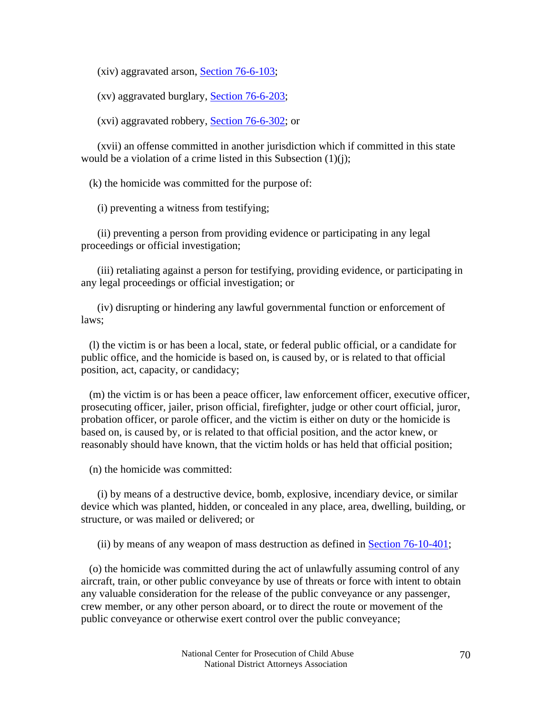(xiv) aggravated arson, [Section 76-6-103;](https://www.lexis.com/research/buttonTFLink?_m=71fada968da036e52294dbff6eed7f0b&_xfercite=%3ccite%20cc%3d%22USA%22%3e%3c%21%5bCDATA%5bUtah%20Code%20Ann.%20%a7%2076-5-202%5d%5d%3e%3c%2fcite%3e&_butType=4&_butStat=0&_butNum=21&_butInline=1&_butinfo=UTCODE%2076-6-103&_fmtstr=FULL&docnum=4&_startdoc=1&wchp=dGLbVlz-zSkAl&_md5=f6dc1423989f0af8b03412bbde19ea75)

(xv) aggravated burglary, [Section 76-6-203](https://www.lexis.com/research/buttonTFLink?_m=71fada968da036e52294dbff6eed7f0b&_xfercite=%3ccite%20cc%3d%22USA%22%3e%3c%21%5bCDATA%5bUtah%20Code%20Ann.%20%a7%2076-5-202%5d%5d%3e%3c%2fcite%3e&_butType=4&_butStat=0&_butNum=22&_butInline=1&_butinfo=UTCODE%2076-6-203&_fmtstr=FULL&docnum=4&_startdoc=1&wchp=dGLbVlz-zSkAl&_md5=bf93f519bdf2f512d7c12fa619aa884a);

(xvi) aggravated robbery, [Section 76-6-302](https://www.lexis.com/research/buttonTFLink?_m=71fada968da036e52294dbff6eed7f0b&_xfercite=%3ccite%20cc%3d%22USA%22%3e%3c%21%5bCDATA%5bUtah%20Code%20Ann.%20%a7%2076-5-202%5d%5d%3e%3c%2fcite%3e&_butType=4&_butStat=0&_butNum=23&_butInline=1&_butinfo=UTCODE%2076-6-302&_fmtstr=FULL&docnum=4&_startdoc=1&wchp=dGLbVlz-zSkAl&_md5=057a944075b5fe0757323e772e09800f); or

 (xvii) an offense committed in another jurisdiction which if committed in this state would be a violation of a crime listed in this Subsection (1)(j);

(k) the homicide was committed for the purpose of:

(i) preventing a witness from testifying;

 (ii) preventing a person from providing evidence or participating in any legal proceedings or official investigation;

 (iii) retaliating against a person for testifying, providing evidence, or participating in any legal proceedings or official investigation; or

 (iv) disrupting or hindering any lawful governmental function or enforcement of laws;

 (l) the victim is or has been a local, state, or federal public official, or a candidate for public office, and the homicide is based on, is caused by, or is related to that official position, act, capacity, or candidacy;

 (m) the victim is or has been a peace officer, law enforcement officer, executive officer, prosecuting officer, jailer, prison official, firefighter, judge or other court official, juror, probation officer, or parole officer, and the victim is either on duty or the homicide is based on, is caused by, or is related to that official position, and the actor knew, or reasonably should have known, that the victim holds or has held that official position;

(n) the homicide was committed:

 (i) by means of a destructive device, bomb, explosive, incendiary device, or similar device which was planted, hidden, or concealed in any place, area, dwelling, building, or structure, or was mailed or delivered; or

(ii) by means of any weapon of mass destruction as defined in [Section 76-10-401;](https://www.lexis.com/research/buttonTFLink?_m=71fada968da036e52294dbff6eed7f0b&_xfercite=%3ccite%20cc%3d%22USA%22%3e%3c%21%5bCDATA%5bUtah%20Code%20Ann.%20%a7%2076-5-202%5d%5d%3e%3c%2fcite%3e&_butType=4&_butStat=0&_butNum=24&_butInline=1&_butinfo=UTCODE%2076-10-401&_fmtstr=FULL&docnum=4&_startdoc=1&wchp=dGLbVlz-zSkAl&_md5=1b9c17d3b74c39d6e5c71e144f4df125)

 (o) the homicide was committed during the act of unlawfully assuming control of any aircraft, train, or other public conveyance by use of threats or force with intent to obtain any valuable consideration for the release of the public conveyance or any passenger, crew member, or any other person aboard, or to direct the route or movement of the public conveyance or otherwise exert control over the public conveyance;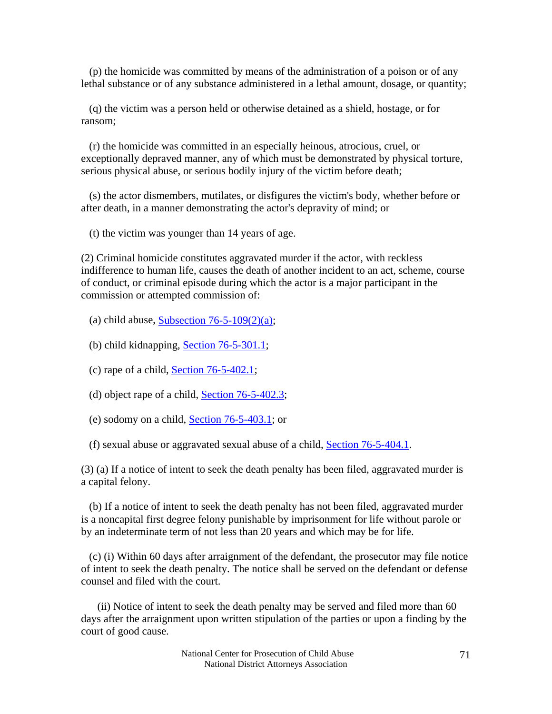(p) the homicide was committed by means of the administration of a poison or of any lethal substance or of any substance administered in a lethal amount, dosage, or quantity;

 (q) the victim was a person held or otherwise detained as a shield, hostage, or for ransom;

 (r) the homicide was committed in an especially heinous, atrocious, cruel, or exceptionally depraved manner, any of which must be demonstrated by physical torture, serious physical abuse, or serious bodily injury of the victim before death;

 (s) the actor dismembers, mutilates, or disfigures the victim's body, whether before or after death, in a manner demonstrating the actor's depravity of mind; or

(t) the victim was younger than 14 years of age.

(2) Criminal homicide constitutes aggravated murder if the actor, with reckless indifference to human life, causes the death of another incident to an act, scheme, course of conduct, or criminal episode during which the actor is a major participant in the commission or attempted commission of:

- (a) child abuse, Subsection  $76-5-109(2)(a)$ ;
- (b) child kidnapping, [Section 76-5-301.1;](https://www.lexis.com/research/buttonTFLink?_m=71fada968da036e52294dbff6eed7f0b&_xfercite=%3ccite%20cc%3d%22USA%22%3e%3c%21%5bCDATA%5bUtah%20Code%20Ann.%20%a7%2076-5-202%5d%5d%3e%3c%2fcite%3e&_butType=4&_butStat=0&_butNum=26&_butInline=1&_butinfo=UTCODE%2076-5-301.1&_fmtstr=FULL&docnum=4&_startdoc=1&wchp=dGLbVlz-zSkAl&_md5=9ced5780b7f4d75bc5d95089f7c26286)
- (c) rape of a child, [Section 76-5-402.1](https://www.lexis.com/research/buttonTFLink?_m=71fada968da036e52294dbff6eed7f0b&_xfercite=%3ccite%20cc%3d%22USA%22%3e%3c%21%5bCDATA%5bUtah%20Code%20Ann.%20%a7%2076-5-202%5d%5d%3e%3c%2fcite%3e&_butType=4&_butStat=0&_butNum=27&_butInline=1&_butinfo=UTCODE%2076-5-402.1&_fmtstr=FULL&docnum=4&_startdoc=1&wchp=dGLbVlz-zSkAl&_md5=c5426b673fece83b690ddb1ede270a8e);
- (d) object rape of a child, [Section 76-5-402.3](https://www.lexis.com/research/buttonTFLink?_m=71fada968da036e52294dbff6eed7f0b&_xfercite=%3ccite%20cc%3d%22USA%22%3e%3c%21%5bCDATA%5bUtah%20Code%20Ann.%20%a7%2076-5-202%5d%5d%3e%3c%2fcite%3e&_butType=4&_butStat=0&_butNum=28&_butInline=1&_butinfo=UTCODE%2076-5-402.3&_fmtstr=FULL&docnum=4&_startdoc=1&wchp=dGLbVlz-zSkAl&_md5=56c568c852f51ff701a7922710a3c429);
- (e) sodomy on a child, [Section 76-5-403.1;](https://www.lexis.com/research/buttonTFLink?_m=71fada968da036e52294dbff6eed7f0b&_xfercite=%3ccite%20cc%3d%22USA%22%3e%3c%21%5bCDATA%5bUtah%20Code%20Ann.%20%a7%2076-5-202%5d%5d%3e%3c%2fcite%3e&_butType=4&_butStat=0&_butNum=29&_butInline=1&_butinfo=UTCODE%2076-5-403.1&_fmtstr=FULL&docnum=4&_startdoc=1&wchp=dGLbVlz-zSkAl&_md5=e73cb54d32f433ab491b9091429912a1) or

(f) sexual abuse or aggravated sexual abuse of a child, [Section 76-5-404.1.](https://www.lexis.com/research/buttonTFLink?_m=71fada968da036e52294dbff6eed7f0b&_xfercite=%3ccite%20cc%3d%22USA%22%3e%3c%21%5bCDATA%5bUtah%20Code%20Ann.%20%a7%2076-5-202%5d%5d%3e%3c%2fcite%3e&_butType=4&_butStat=0&_butNum=30&_butInline=1&_butinfo=UTCODE%2076-5-404.1&_fmtstr=FULL&docnum=4&_startdoc=1&wchp=dGLbVlz-zSkAl&_md5=3e0212b7e6d23fbd22d952e08bb52ff1)

(3) (a) If a notice of intent to seek the death penalty has been filed, aggravated murder is a capital felony.

 (b) If a notice of intent to seek the death penalty has not been filed, aggravated murder is a noncapital first degree felony punishable by imprisonment for life without parole or by an indeterminate term of not less than 20 years and which may be for life.

 (c) (i) Within 60 days after arraignment of the defendant, the prosecutor may file notice of intent to seek the death penalty. The notice shall be served on the defendant or defense counsel and filed with the court.

 (ii) Notice of intent to seek the death penalty may be served and filed more than 60 days after the arraignment upon written stipulation of the parties or upon a finding by the court of good cause.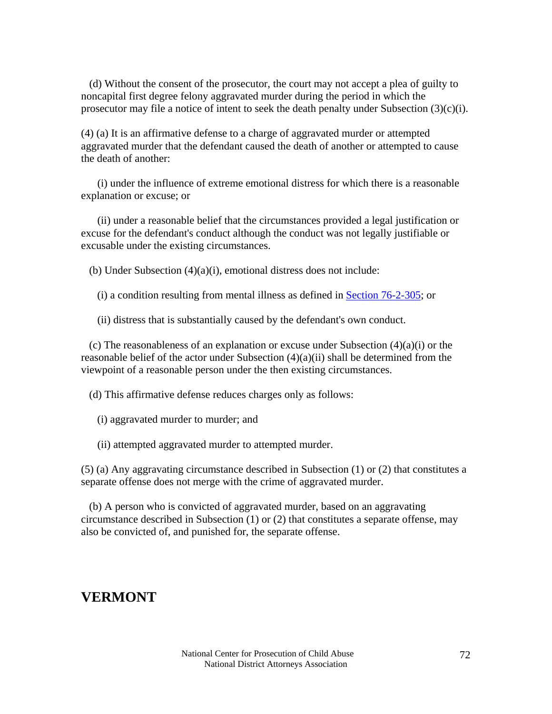(d) Without the consent of the prosecutor, the court may not accept a plea of guilty to noncapital first degree felony aggravated murder during the period in which the prosecutor may file a notice of intent to seek the death penalty under Subsection  $(3)(c)(i)$ .

(4) (a) It is an affirmative defense to a charge of aggravated murder or attempted aggravated murder that the defendant caused the death of another or attempted to cause the death of another:

 (i) under the influence of extreme emotional distress for which there is a reasonable explanation or excuse; or

 (ii) under a reasonable belief that the circumstances provided a legal justification or excuse for the defendant's conduct although the conduct was not legally justifiable or excusable under the existing circumstances.

(b) Under Subsection (4)(a)(i), emotional distress does not include:

(i) a condition resulting from mental illness as defined in [Section 76-2-305;](https://www.lexis.com/research/buttonTFLink?_m=71fada968da036e52294dbff6eed7f0b&_xfercite=%3ccite%20cc%3d%22USA%22%3e%3c%21%5bCDATA%5bUtah%20Code%20Ann.%20%a7%2076-5-202%5d%5d%3e%3c%2fcite%3e&_butType=4&_butStat=0&_butNum=31&_butInline=1&_butinfo=UTCODE%2076-2-305&_fmtstr=FULL&docnum=4&_startdoc=1&wchp=dGLbVlz-zSkAl&_md5=0182995ca3549e6877ef0aef2e0240ef) or

(ii) distress that is substantially caused by the defendant's own conduct.

(c) The reasonableness of an explanation or excuse under Subsection  $(4)(a)(i)$  or the reasonable belief of the actor under Subsection (4)(a)(ii) shall be determined from the viewpoint of a reasonable person under the then existing circumstances.

(d) This affirmative defense reduces charges only as follows:

(i) aggravated murder to murder; and

(ii) attempted aggravated murder to attempted murder.

(5) (a) Any aggravating circumstance described in Subsection (1) or (2) that constitutes a separate offense does not merge with the crime of aggravated murder.

 (b) A person who is convicted of aggravated murder, based on an aggravating circumstance described in Subsection (1) or (2) that constitutes a separate offense, may also be convicted of, and punished for, the separate offense.

# **VERMONT**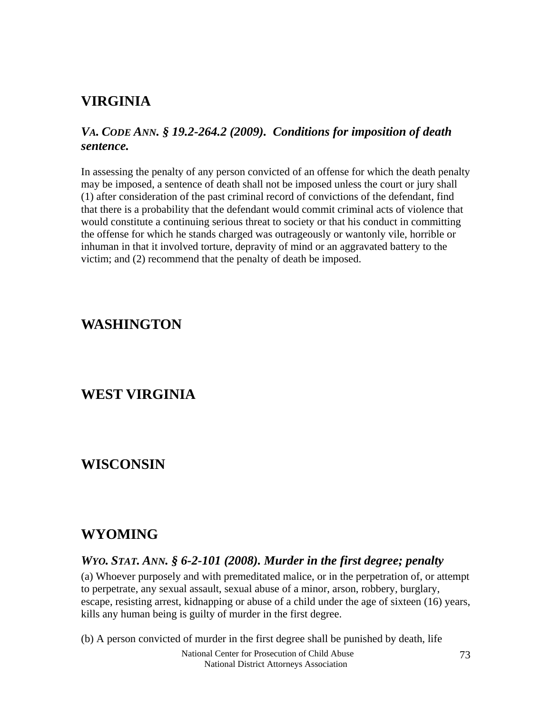# **VIRGINIA**

### *VA. CODE ANN. § 19.2-264.2 (2009). Conditions for imposition of death sentence.*

In assessing the penalty of any person convicted of an offense for which the death penalty may be imposed, a sentence of death shall not be imposed unless the court or jury shall (1) after consideration of the past criminal record of convictions of the defendant, find that there is a probability that the defendant would commit criminal acts of violence that would constitute a continuing serious threat to society or that his conduct in committing the offense for which he stands charged was outrageously or wantonly vile, horrible or inhuman in that it involved torture, depravity of mind or an aggravated battery to the victim; and (2) recommend that the penalty of death be imposed.

# **WASHINGTON**

# **WEST VIRGINIA**

# **WISCONSIN**

# **WYOMING**

#### *WYO. STAT. ANN. § 6-2-101 (2008). Murder in the first degree; penalty*

(a) Whoever purposely and with premeditated malice, or in the perpetration of, or attempt to perpetrate, any sexual assault, sexual abuse of a minor, arson, robbery, burglary, escape, resisting arrest, kidnapping or abuse of a child under the age of sixteen (16) years, kills any human being is guilty of murder in the first degree.

(b) A person convicted of murder in the first degree shall be punished by death, life

National Center for Prosecution of Child Abuse National District Attorneys Association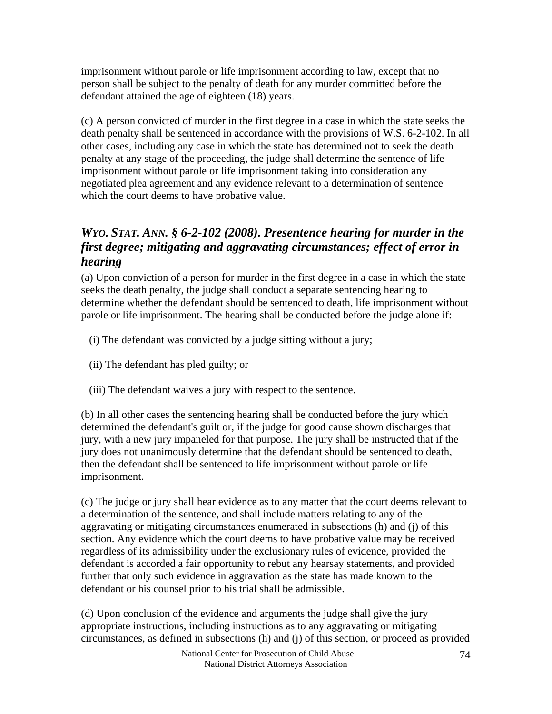imprisonment without parole or life imprisonment according to law, except that no person shall be subject to the penalty of death for any murder committed before the defendant attained the age of eighteen (18) years.

(c) A person convicted of murder in the first degree in a case in which the state seeks the death penalty shall be sentenced in accordance with the provisions of [W.S. 6-2-102.](https://www.lexis.com/research/buttonTFLink?_m=28fb187bb6d26228a83aef1d0d6c348b&_xfercite=%3ccite%20cc%3d%22USA%22%3e%3c%21%5bCDATA%5bWyo.%20Stat.%20%a7%206-2-101%5d%5d%3e%3c%2fcite%3e&_butType=4&_butStat=0&_butNum=2&_butInline=1&_butinfo=WYCODE%206-2-102&_fmtstr=FULL&docnum=5&_startdoc=1&wchp=dGLbVlz-zSkAl&_md5=931340057a9b9f0e74c1604d8d4124fb) In all other cases, including any case in which the state has determined not to seek the death penalty at any stage of the proceeding, the judge shall determine the sentence of life imprisonment without parole or life imprisonment taking into consideration any negotiated plea agreement and any evidence relevant to a determination of sentence which the court deems to have probative value.

# *WYO. STAT. ANN. § 6-2-102 (2008). Presentence hearing for murder in the first degree; mitigating and aggravating circumstances; effect of error in hearing*

(a) Upon conviction of a person for murder in the first degree in a case in which the state seeks the death penalty, the judge shall conduct a separate sentencing hearing to determine whether the defendant should be sentenced to death, life imprisonment without parole or life imprisonment. The hearing shall be conducted before the judge alone if:

- (i) The defendant was convicted by a judge sitting without a jury;
- (ii) The defendant has pled guilty; or
- (iii) The defendant waives a jury with respect to the sentence.

(b) In all other cases the sentencing hearing shall be conducted before the jury which determined the defendant's guilt or, if the judge for good cause shown discharges that jury, with a new jury impaneled for that purpose. The jury shall be instructed that if the jury does not unanimously determine that the defendant should be sentenced to death, then the defendant shall be sentenced to life imprisonment without parole or life imprisonment.

(c) The judge or jury shall hear evidence as to any matter that the court deems relevant to a determination of the sentence, and shall include matters relating to any of the aggravating or mitigating circumstances enumerated in subsections (h) and (j) of this section. Any evidence which the court deems to have probative value may be received regardless of its admissibility under the exclusionary rules of evidence, provided the defendant is accorded a fair opportunity to rebut any hearsay statements, and provided further that only such evidence in aggravation as the state has made known to the defendant or his counsel prior to his trial shall be admissible.

(d) Upon conclusion of the evidence and arguments the judge shall give the jury appropriate instructions, including instructions as to any aggravating or mitigating circumstances, as defined in subsections (h) and (j) of this section, or proceed as provided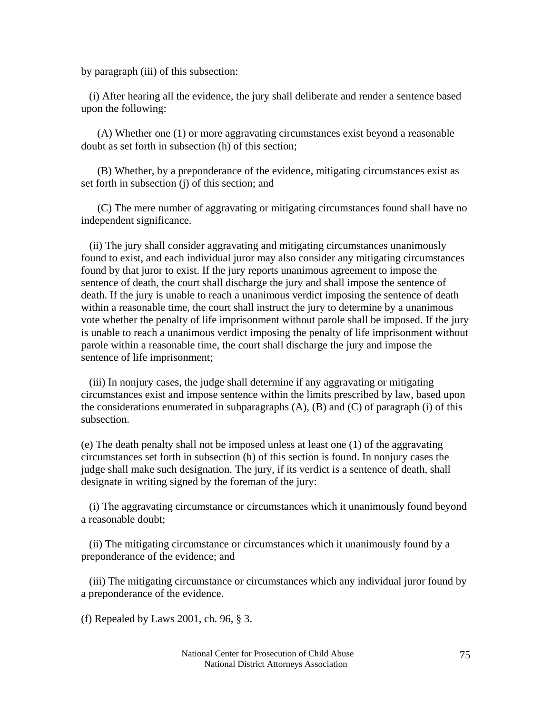by paragraph (iii) of this subsection:

 (i) After hearing all the evidence, the jury shall deliberate and render a sentence based upon the following:

 (A) Whether one (1) or more aggravating circumstances exist beyond a reasonable doubt as set forth in subsection (h) of this section;

 (B) Whether, by a preponderance of the evidence, mitigating circumstances exist as set forth in subsection (j) of this section; and

 (C) The mere number of aggravating or mitigating circumstances found shall have no independent significance.

 (ii) The jury shall consider aggravating and mitigating circumstances unanimously found to exist, and each individual juror may also consider any mitigating circumstances found by that juror to exist. If the jury reports unanimous agreement to impose the sentence of death, the court shall discharge the jury and shall impose the sentence of death. If the jury is unable to reach a unanimous verdict imposing the sentence of death within a reasonable time, the court shall instruct the jury to determine by a unanimous vote whether the penalty of life imprisonment without parole shall be imposed. If the jury is unable to reach a unanimous verdict imposing the penalty of life imprisonment without parole within a reasonable time, the court shall discharge the jury and impose the sentence of life imprisonment;

 (iii) In nonjury cases, the judge shall determine if any aggravating or mitigating circumstances exist and impose sentence within the limits prescribed by law, based upon the considerations enumerated in subparagraphs  $(A)$ ,  $(B)$  and  $(C)$  of paragraph (i) of this subsection.

(e) The death penalty shall not be imposed unless at least one (1) of the aggravating circumstances set forth in subsection (h) of this section is found. In nonjury cases the judge shall make such designation. The jury, if its verdict is a sentence of death, shall designate in writing signed by the foreman of the jury:

 (i) The aggravating circumstance or circumstances which it unanimously found beyond a reasonable doubt;

 (ii) The mitigating circumstance or circumstances which it unanimously found by a preponderance of the evidence; and

 (iii) The mitigating circumstance or circumstances which any individual juror found by a preponderance of the evidence.

(f) Repealed by [Laws 2001, ch. 96, § 3.](https://www.lexis.com/research/buttonLink?_m=6b17160b0e66722a3eb1070e58bfbd88&_xfercite=%3ccite%20cc%3d%22USA%22%3e%3c%21%5bCDATA%5bWyo.%20Stat.%20%a7%206-2-102%5d%5d%3e%3c%2fcite%3e&_butType=1&_butStat=0&_butNum=2&_butInline=1&_butinfo=LXE_2001_WY_CH_96&_fmtstr=FULL&docnum=3&_startdoc=1&wchp=dGLbVzb-zSkAW&_md5=ced6ecffacf3eec1c718b1d74e956b18)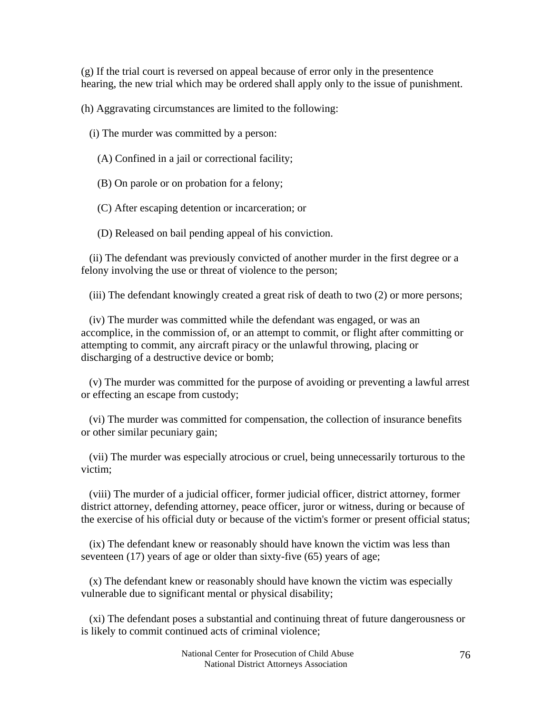(g) If the trial court is reversed on appeal because of error only in the presentence hearing, the new trial which may be ordered shall apply only to the issue of punishment.

(h) Aggravating circumstances are limited to the following:

(i) The murder was committed by a person:

(A) Confined in a jail or correctional facility;

(B) On parole or on probation for a felony;

(C) After escaping detention or incarceration; or

(D) Released on bail pending appeal of his conviction.

 (ii) The defendant was previously convicted of another murder in the first degree or a felony involving the use or threat of violence to the person;

(iii) The defendant knowingly created a great risk of death to two (2) or more persons;

 (iv) The murder was committed while the defendant was engaged, or was an accomplice, in the commission of, or an attempt to commit, or flight after committing or attempting to commit, any aircraft piracy or the unlawful throwing, placing or discharging of a destructive device or bomb;

 (v) The murder was committed for the purpose of avoiding or preventing a lawful arrest or effecting an escape from custody;

 (vi) The murder was committed for compensation, the collection of insurance benefits or other similar pecuniary gain;

 (vii) The murder was especially atrocious or cruel, being unnecessarily torturous to the victim;

 (viii) The murder of a judicial officer, former judicial officer, district attorney, former district attorney, defending attorney, peace officer, juror or witness, during or because of the exercise of his official duty or because of the victim's former or present official status;

 (ix) The defendant knew or reasonably should have known the victim was less than seventeen (17) years of age or older than sixty-five (65) years of age;

 (x) The defendant knew or reasonably should have known the victim was especially vulnerable due to significant mental or physical disability;

 (xi) The defendant poses a substantial and continuing threat of future dangerousness or is likely to commit continued acts of criminal violence;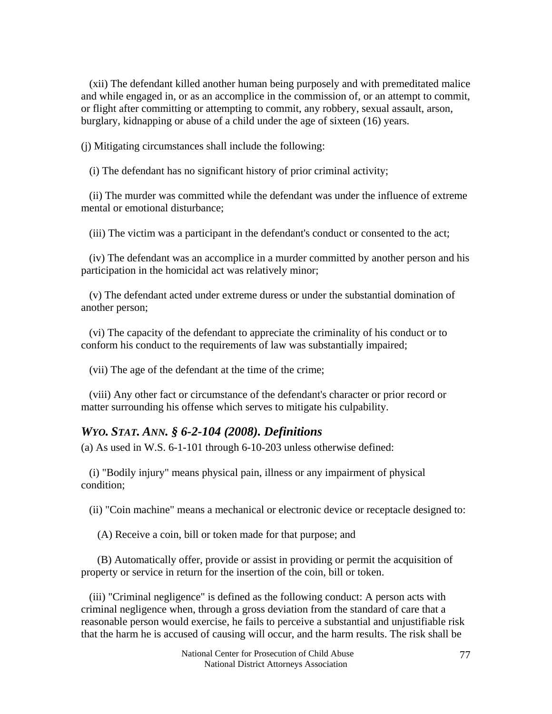(xii) The defendant killed another human being purposely and with premeditated malice and while engaged in, or as an accomplice in the commission of, or an attempt to commit, or flight after committing or attempting to commit, any robbery, sexual assault, arson, burglary, kidnapping or abuse of a child under the age of sixteen (16) years.

(j) Mitigating circumstances shall include the following:

(i) The defendant has no significant history of prior criminal activity;

 (ii) The murder was committed while the defendant was under the influence of extreme mental or emotional disturbance;

(iii) The victim was a participant in the defendant's conduct or consented to the act;

 (iv) The defendant was an accomplice in a murder committed by another person and his participation in the homicidal act was relatively minor;

 (v) The defendant acted under extreme duress or under the substantial domination of another person;

 (vi) The capacity of the defendant to appreciate the criminality of his conduct or to conform his conduct to the requirements of law was substantially impaired;

(vii) The age of the defendant at the time of the crime;

 (viii) Any other fact or circumstance of the defendant's character or prior record or matter surrounding his offense which serves to mitigate his culpability.

#### *WYO. STAT. ANN. § 6-2-104 (2008). Definitions*

(a) As used in [W.S. 6-1-101](https://www.lexis.com/research/buttonTFLink?_m=1f2067aacdf65b0bd4155b0cc0fb0254&_xfercite=%3ccite%20cc%3d%22USA%22%3e%3c%21%5bCDATA%5bWyo.%20Stat.%20%a7%206-1-104%5d%5d%3e%3c%2fcite%3e&_butType=4&_butStat=0&_butNum=4&_butInline=1&_butinfo=WYCODE%206-1-101&_fmtstr=FULL&docnum=4&_startdoc=1&wchp=dGLbVzb-zSkAW&_md5=3cf720319f37787bcfd179fe253a3743) through [6-10-203](https://www.lexis.com/research/buttonTFLink?_m=1f2067aacdf65b0bd4155b0cc0fb0254&_xfercite=%3ccite%20cc%3d%22USA%22%3e%3c%21%5bCDATA%5bWyo.%20Stat.%20%a7%206-1-104%5d%5d%3e%3c%2fcite%3e&_butType=4&_butStat=0&_butNum=5&_butInline=1&_butinfo=WYCODE%206-10-203&_fmtstr=FULL&docnum=4&_startdoc=1&wchp=dGLbVzb-zSkAW&_md5=564291c3141304b6122fe16e5dec0606) unless otherwise defined:

 (i) "Bodily injury" means physical pain, illness or any impairment of physical condition;

(ii) "Coin machine" means a mechanical or electronic device or receptacle designed to:

(A) Receive a coin, bill or token made for that purpose; and

 (B) Automatically offer, provide or assist in providing or permit the acquisition of property or service in return for the insertion of the coin, bill or token.

 (iii) "Criminal negligence" is defined as the following conduct: A person acts with criminal negligence when, through a gross deviation from the standard of care that a reasonable person would exercise, he fails to perceive a substantial and unjustifiable risk that the harm he is accused of causing will occur, and the harm results. The risk shall be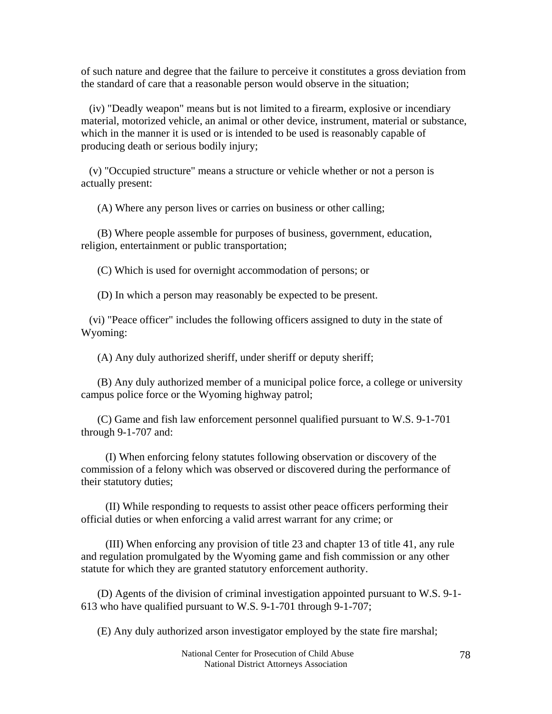of such nature and degree that the failure to perceive it constitutes a gross deviation from the standard of care that a reasonable person would observe in the situation;

 (iv) "Deadly weapon" means but is not limited to a firearm, explosive or incendiary material, motorized vehicle, an animal or other device, instrument, material or substance, which in the manner it is used or is intended to be used is reasonably capable of producing death or serious bodily injury;

 (v) "Occupied structure" means a structure or vehicle whether or not a person is actually present:

(A) Where any person lives or carries on business or other calling;

 (B) Where people assemble for purposes of business, government, education, religion, entertainment or public transportation;

(C) Which is used for overnight accommodation of persons; or

(D) In which a person may reasonably be expected to be present.

 (vi) "Peace officer" includes the following officers assigned to duty in the state of Wyoming:

(A) Any duly authorized sheriff, under sheriff or deputy sheriff;

 (B) Any duly authorized member of a municipal police force, a college or university campus police force or the Wyoming highway patrol;

 (C) Game and fish law enforcement personnel qualified pursuant to [W.S. 9-1-701](https://www.lexis.com/research/buttonTFLink?_m=1f2067aacdf65b0bd4155b0cc0fb0254&_xfercite=%3ccite%20cc%3d%22USA%22%3e%3c%21%5bCDATA%5bWyo.%20Stat.%20%a7%206-1-104%5d%5d%3e%3c%2fcite%3e&_butType=4&_butStat=0&_butNum=6&_butInline=1&_butinfo=WYCODE%209-1-701&_fmtstr=FULL&docnum=4&_startdoc=1&wchp=dGLbVzb-zSkAW&_md5=54a8972b7bb240caf62ded52dd3668c5) through [9-1-707](https://www.lexis.com/research/buttonTFLink?_m=1f2067aacdf65b0bd4155b0cc0fb0254&_xfercite=%3ccite%20cc%3d%22USA%22%3e%3c%21%5bCDATA%5bWyo.%20Stat.%20%a7%206-1-104%5d%5d%3e%3c%2fcite%3e&_butType=4&_butStat=0&_butNum=7&_butInline=1&_butinfo=WYCODE%209-1-707&_fmtstr=FULL&docnum=4&_startdoc=1&wchp=dGLbVzb-zSkAW&_md5=c2f0df2b169e5cb501425e2429d92d4d) and:

 (I) When enforcing felony statutes following observation or discovery of the commission of a felony which was observed or discovered during the performance of their statutory duties;

 (II) While responding to requests to assist other peace officers performing their official duties or when enforcing a valid arrest warrant for any crime; or

 (III) When enforcing any provision of title 23 and chapter 13 of title 41, any rule and regulation promulgated by the Wyoming game and fish commission or any other statute for which they are granted statutory enforcement authority.

 (D) Agents of the division of criminal investigation appointed pursuant to [W.S. 9-1-](https://www.lexis.com/research/buttonTFLink?_m=1f2067aacdf65b0bd4155b0cc0fb0254&_xfercite=%3ccite%20cc%3d%22USA%22%3e%3c%21%5bCDATA%5bWyo.%20Stat.%20%a7%206-1-104%5d%5d%3e%3c%2fcite%3e&_butType=4&_butStat=0&_butNum=8&_butInline=1&_butinfo=WYCODE%209-1-613&_fmtstr=FULL&docnum=4&_startdoc=1&wchp=dGLbVzb-zSkAW&_md5=b5d9023c1c1132f650b1c46dfc9868e9) [613](https://www.lexis.com/research/buttonTFLink?_m=1f2067aacdf65b0bd4155b0cc0fb0254&_xfercite=%3ccite%20cc%3d%22USA%22%3e%3c%21%5bCDATA%5bWyo.%20Stat.%20%a7%206-1-104%5d%5d%3e%3c%2fcite%3e&_butType=4&_butStat=0&_butNum=8&_butInline=1&_butinfo=WYCODE%209-1-613&_fmtstr=FULL&docnum=4&_startdoc=1&wchp=dGLbVzb-zSkAW&_md5=b5d9023c1c1132f650b1c46dfc9868e9) who have qualified pursuant to [W.S. 9-1-701](https://www.lexis.com/research/buttonTFLink?_m=1f2067aacdf65b0bd4155b0cc0fb0254&_xfercite=%3ccite%20cc%3d%22USA%22%3e%3c%21%5bCDATA%5bWyo.%20Stat.%20%a7%206-1-104%5d%5d%3e%3c%2fcite%3e&_butType=4&_butStat=0&_butNum=9&_butInline=1&_butinfo=WYCODE%209-1-701&_fmtstr=FULL&docnum=4&_startdoc=1&wchp=dGLbVzb-zSkAW&_md5=1cd6a85e01929e16af4493dd5f96bc13) through [9-1-707;](https://www.lexis.com/research/buttonTFLink?_m=1f2067aacdf65b0bd4155b0cc0fb0254&_xfercite=%3ccite%20cc%3d%22USA%22%3e%3c%21%5bCDATA%5bWyo.%20Stat.%20%a7%206-1-104%5d%5d%3e%3c%2fcite%3e&_butType=4&_butStat=0&_butNum=10&_butInline=1&_butinfo=WYCODE%209-1-707&_fmtstr=FULL&docnum=4&_startdoc=1&wchp=dGLbVzb-zSkAW&_md5=4340cde083cdf8c3ff46adb75715b616)

(E) Any duly authorized arson investigator employed by the state fire marshal;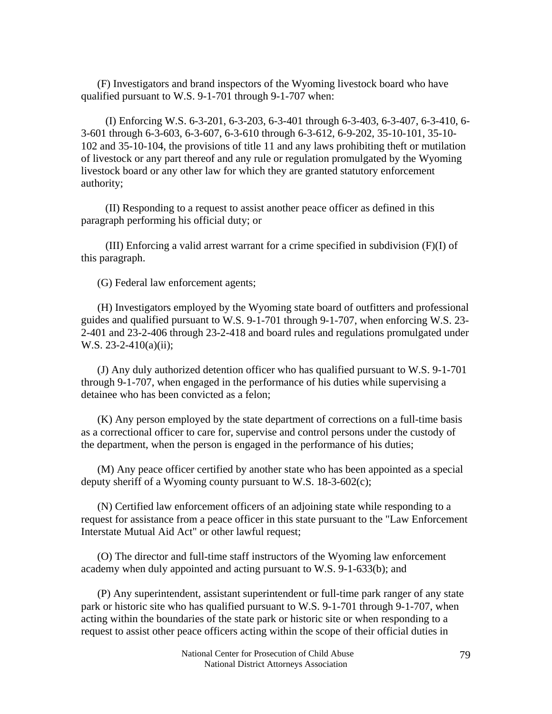(F) Investigators and brand inspectors of the Wyoming livestock board who have qualified pursuant to [W.S. 9-1-701](https://www.lexis.com/research/buttonTFLink?_m=1f2067aacdf65b0bd4155b0cc0fb0254&_xfercite=%3ccite%20cc%3d%22USA%22%3e%3c%21%5bCDATA%5bWyo.%20Stat.%20%a7%206-1-104%5d%5d%3e%3c%2fcite%3e&_butType=4&_butStat=0&_butNum=11&_butInline=1&_butinfo=WYCODE%209-1-701&_fmtstr=FULL&docnum=4&_startdoc=1&wchp=dGLbVzb-zSkAW&_md5=e71998a75cf6f638133aae462d862339) through [9-1-707](https://www.lexis.com/research/buttonTFLink?_m=1f2067aacdf65b0bd4155b0cc0fb0254&_xfercite=%3ccite%20cc%3d%22USA%22%3e%3c%21%5bCDATA%5bWyo.%20Stat.%20%a7%206-1-104%5d%5d%3e%3c%2fcite%3e&_butType=4&_butStat=0&_butNum=12&_butInline=1&_butinfo=WYCODE%209-1-707&_fmtstr=FULL&docnum=4&_startdoc=1&wchp=dGLbVzb-zSkAW&_md5=0dc93c7e434d1b9b9c95b56ae7f7ee82) when:

 (I) Enforcing [W.S. 6-3-201,](https://www.lexis.com/research/buttonTFLink?_m=1f2067aacdf65b0bd4155b0cc0fb0254&_xfercite=%3ccite%20cc%3d%22USA%22%3e%3c%21%5bCDATA%5bWyo.%20Stat.%20%a7%206-1-104%5d%5d%3e%3c%2fcite%3e&_butType=4&_butStat=0&_butNum=13&_butInline=1&_butinfo=WYCODE%206-3-201&_fmtstr=FULL&docnum=4&_startdoc=1&wchp=dGLbVzb-zSkAW&_md5=54579fda433a3eb5ceab1c57ec3a58bc) [6-3-203](https://www.lexis.com/research/buttonTFLink?_m=1f2067aacdf65b0bd4155b0cc0fb0254&_xfercite=%3ccite%20cc%3d%22USA%22%3e%3c%21%5bCDATA%5bWyo.%20Stat.%20%a7%206-1-104%5d%5d%3e%3c%2fcite%3e&_butType=4&_butStat=0&_butNum=14&_butInline=1&_butinfo=WYCODE%206-3-203&_fmtstr=FULL&docnum=4&_startdoc=1&wchp=dGLbVzb-zSkAW&_md5=6006fc02cbafec1814d2ab187d0f3825), [6-3-401](https://www.lexis.com/research/buttonTFLink?_m=1f2067aacdf65b0bd4155b0cc0fb0254&_xfercite=%3ccite%20cc%3d%22USA%22%3e%3c%21%5bCDATA%5bWyo.%20Stat.%20%a7%206-1-104%5d%5d%3e%3c%2fcite%3e&_butType=4&_butStat=0&_butNum=15&_butInline=1&_butinfo=WYCODE%206-3-401&_fmtstr=FULL&docnum=4&_startdoc=1&wchp=dGLbVzb-zSkAW&_md5=11cc5b8499ff584f7ed96dd588e91d92) through [6-3-403](https://www.lexis.com/research/buttonTFLink?_m=1f2067aacdf65b0bd4155b0cc0fb0254&_xfercite=%3ccite%20cc%3d%22USA%22%3e%3c%21%5bCDATA%5bWyo.%20Stat.%20%a7%206-1-104%5d%5d%3e%3c%2fcite%3e&_butType=4&_butStat=0&_butNum=16&_butInline=1&_butinfo=WYCODE%206-3-403&_fmtstr=FULL&docnum=4&_startdoc=1&wchp=dGLbVzb-zSkAW&_md5=4d8097cfd23ad11fef9995efeb3dfc33), [6-3-407](https://www.lexis.com/research/buttonTFLink?_m=1f2067aacdf65b0bd4155b0cc0fb0254&_xfercite=%3ccite%20cc%3d%22USA%22%3e%3c%21%5bCDATA%5bWyo.%20Stat.%20%a7%206-1-104%5d%5d%3e%3c%2fcite%3e&_butType=4&_butStat=0&_butNum=17&_butInline=1&_butinfo=WYCODE%206-3-407&_fmtstr=FULL&docnum=4&_startdoc=1&wchp=dGLbVzb-zSkAW&_md5=d9d469b6e1acb5ef758738f100f4dec0), [6-3-410](https://www.lexis.com/research/buttonTFLink?_m=1f2067aacdf65b0bd4155b0cc0fb0254&_xfercite=%3ccite%20cc%3d%22USA%22%3e%3c%21%5bCDATA%5bWyo.%20Stat.%20%a7%206-1-104%5d%5d%3e%3c%2fcite%3e&_butType=4&_butStat=0&_butNum=18&_butInline=1&_butinfo=WYCODE%206-3-410&_fmtstr=FULL&docnum=4&_startdoc=1&wchp=dGLbVzb-zSkAW&_md5=43add5f076eec1d4c0b438c193209df0), [6-](https://www.lexis.com/research/buttonTFLink?_m=1f2067aacdf65b0bd4155b0cc0fb0254&_xfercite=%3ccite%20cc%3d%22USA%22%3e%3c%21%5bCDATA%5bWyo.%20Stat.%20%a7%206-1-104%5d%5d%3e%3c%2fcite%3e&_butType=4&_butStat=0&_butNum=19&_butInline=1&_butinfo=WYCODE%206-3-601&_fmtstr=FULL&docnum=4&_startdoc=1&wchp=dGLbVzb-zSkAW&_md5=01ee56ba081fe62dee5e54c48bea2c48) [3-601](https://www.lexis.com/research/buttonTFLink?_m=1f2067aacdf65b0bd4155b0cc0fb0254&_xfercite=%3ccite%20cc%3d%22USA%22%3e%3c%21%5bCDATA%5bWyo.%20Stat.%20%a7%206-1-104%5d%5d%3e%3c%2fcite%3e&_butType=4&_butStat=0&_butNum=19&_butInline=1&_butinfo=WYCODE%206-3-601&_fmtstr=FULL&docnum=4&_startdoc=1&wchp=dGLbVzb-zSkAW&_md5=01ee56ba081fe62dee5e54c48bea2c48) through [6-3-603](https://www.lexis.com/research/buttonTFLink?_m=1f2067aacdf65b0bd4155b0cc0fb0254&_xfercite=%3ccite%20cc%3d%22USA%22%3e%3c%21%5bCDATA%5bWyo.%20Stat.%20%a7%206-1-104%5d%5d%3e%3c%2fcite%3e&_butType=4&_butStat=0&_butNum=20&_butInline=1&_butinfo=WYCODE%206-3-603&_fmtstr=FULL&docnum=4&_startdoc=1&wchp=dGLbVzb-zSkAW&_md5=23ded786b1db51d724179f70110998f0), [6-3-607](https://www.lexis.com/research/buttonTFLink?_m=1f2067aacdf65b0bd4155b0cc0fb0254&_xfercite=%3ccite%20cc%3d%22USA%22%3e%3c%21%5bCDATA%5bWyo.%20Stat.%20%a7%206-1-104%5d%5d%3e%3c%2fcite%3e&_butType=4&_butStat=0&_butNum=21&_butInline=1&_butinfo=WYCODE%206-3-607&_fmtstr=FULL&docnum=4&_startdoc=1&wchp=dGLbVzb-zSkAW&_md5=e177acb5129b96c454e9e1337b2d8414), [6-3-610](https://www.lexis.com/research/buttonTFLink?_m=1f2067aacdf65b0bd4155b0cc0fb0254&_xfercite=%3ccite%20cc%3d%22USA%22%3e%3c%21%5bCDATA%5bWyo.%20Stat.%20%a7%206-1-104%5d%5d%3e%3c%2fcite%3e&_butType=4&_butStat=0&_butNum=22&_butInline=1&_butinfo=WYCODE%206-3-610&_fmtstr=FULL&docnum=4&_startdoc=1&wchp=dGLbVzb-zSkAW&_md5=095646da64779aa2593f8568324bf8bb) through [6-3-612,](https://www.lexis.com/research/buttonTFLink?_m=1f2067aacdf65b0bd4155b0cc0fb0254&_xfercite=%3ccite%20cc%3d%22USA%22%3e%3c%21%5bCDATA%5bWyo.%20Stat.%20%a7%206-1-104%5d%5d%3e%3c%2fcite%3e&_butType=4&_butStat=0&_butNum=23&_butInline=1&_butinfo=WYCODE%206-3-612&_fmtstr=FULL&docnum=4&_startdoc=1&wchp=dGLbVzb-zSkAW&_md5=f6b9cab8b28fc0e6608cd88b49f4e101) [6-9-202,](https://www.lexis.com/research/buttonTFLink?_m=1f2067aacdf65b0bd4155b0cc0fb0254&_xfercite=%3ccite%20cc%3d%22USA%22%3e%3c%21%5bCDATA%5bWyo.%20Stat.%20%a7%206-1-104%5d%5d%3e%3c%2fcite%3e&_butType=4&_butStat=0&_butNum=24&_butInline=1&_butinfo=WYCODE%206-9-202&_fmtstr=FULL&docnum=4&_startdoc=1&wchp=dGLbVzb-zSkAW&_md5=2242ed9a0af6e758ca55cb11a70efda8) [35-10-101,](https://www.lexis.com/research/buttonTFLink?_m=1f2067aacdf65b0bd4155b0cc0fb0254&_xfercite=%3ccite%20cc%3d%22USA%22%3e%3c%21%5bCDATA%5bWyo.%20Stat.%20%a7%206-1-104%5d%5d%3e%3c%2fcite%3e&_butType=4&_butStat=0&_butNum=25&_butInline=1&_butinfo=WYCODE%2035-10-101&_fmtstr=FULL&docnum=4&_startdoc=1&wchp=dGLbVzb-zSkAW&_md5=0b3df803b10bcee704549c8833fcf2de) [35-10-](https://www.lexis.com/research/buttonTFLink?_m=1f2067aacdf65b0bd4155b0cc0fb0254&_xfercite=%3ccite%20cc%3d%22USA%22%3e%3c%21%5bCDATA%5bWyo.%20Stat.%20%a7%206-1-104%5d%5d%3e%3c%2fcite%3e&_butType=4&_butStat=0&_butNum=26&_butInline=1&_butinfo=WYCODE%2035-10-102&_fmtstr=FULL&docnum=4&_startdoc=1&wchp=dGLbVzb-zSkAW&_md5=6b89f6128c6ab07a49839f3ff884c96f) [102](https://www.lexis.com/research/buttonTFLink?_m=1f2067aacdf65b0bd4155b0cc0fb0254&_xfercite=%3ccite%20cc%3d%22USA%22%3e%3c%21%5bCDATA%5bWyo.%20Stat.%20%a7%206-1-104%5d%5d%3e%3c%2fcite%3e&_butType=4&_butStat=0&_butNum=26&_butInline=1&_butinfo=WYCODE%2035-10-102&_fmtstr=FULL&docnum=4&_startdoc=1&wchp=dGLbVzb-zSkAW&_md5=6b89f6128c6ab07a49839f3ff884c96f) and [35-10-104](https://www.lexis.com/research/buttonTFLink?_m=1f2067aacdf65b0bd4155b0cc0fb0254&_xfercite=%3ccite%20cc%3d%22USA%22%3e%3c%21%5bCDATA%5bWyo.%20Stat.%20%a7%206-1-104%5d%5d%3e%3c%2fcite%3e&_butType=4&_butStat=0&_butNum=27&_butInline=1&_butinfo=WYCODE%2035-10-104&_fmtstr=FULL&docnum=4&_startdoc=1&wchp=dGLbVzb-zSkAW&_md5=dd5411224c4217dea945afaab1227008), the provisions of title 11 and any laws prohibiting theft or mutilation of livestock or any part thereof and any rule or regulation promulgated by the Wyoming livestock board or any other law for which they are granted statutory enforcement authority;

 (II) Responding to a request to assist another peace officer as defined in this paragraph performing his official duty; or

 (III) Enforcing a valid arrest warrant for a crime specified in subdivision (F)(I) of this paragraph.

(G) Federal law enforcement agents;

 (H) Investigators employed by the Wyoming state board of outfitters and professional guides and qualified pursuant to [W.S. 9-1-701](https://www.lexis.com/research/buttonTFLink?_m=1f2067aacdf65b0bd4155b0cc0fb0254&_xfercite=%3ccite%20cc%3d%22USA%22%3e%3c%21%5bCDATA%5bWyo.%20Stat.%20%a7%206-1-104%5d%5d%3e%3c%2fcite%3e&_butType=4&_butStat=0&_butNum=28&_butInline=1&_butinfo=WYCODE%209-1-701&_fmtstr=FULL&docnum=4&_startdoc=1&wchp=dGLbVzb-zSkAW&_md5=9b2498de856dbb5914a74f4845dec71b) through [9-1-707](https://www.lexis.com/research/buttonTFLink?_m=1f2067aacdf65b0bd4155b0cc0fb0254&_xfercite=%3ccite%20cc%3d%22USA%22%3e%3c%21%5bCDATA%5bWyo.%20Stat.%20%a7%206-1-104%5d%5d%3e%3c%2fcite%3e&_butType=4&_butStat=0&_butNum=29&_butInline=1&_butinfo=WYCODE%209-1-707&_fmtstr=FULL&docnum=4&_startdoc=1&wchp=dGLbVzb-zSkAW&_md5=e26d9dc523c7f1c4fa12cde34705c046), when enforcing [W.S. 23-](https://www.lexis.com/research/buttonTFLink?_m=1f2067aacdf65b0bd4155b0cc0fb0254&_xfercite=%3ccite%20cc%3d%22USA%22%3e%3c%21%5bCDATA%5bWyo.%20Stat.%20%a7%206-1-104%5d%5d%3e%3c%2fcite%3e&_butType=4&_butStat=0&_butNum=30&_butInline=1&_butinfo=WYCODE%2023-2-401&_fmtstr=FULL&docnum=4&_startdoc=1&wchp=dGLbVzb-zSkAW&_md5=0a3ba070a14ca57e9d7426561bcd7c10) [2-401](https://www.lexis.com/research/buttonTFLink?_m=1f2067aacdf65b0bd4155b0cc0fb0254&_xfercite=%3ccite%20cc%3d%22USA%22%3e%3c%21%5bCDATA%5bWyo.%20Stat.%20%a7%206-1-104%5d%5d%3e%3c%2fcite%3e&_butType=4&_butStat=0&_butNum=30&_butInline=1&_butinfo=WYCODE%2023-2-401&_fmtstr=FULL&docnum=4&_startdoc=1&wchp=dGLbVzb-zSkAW&_md5=0a3ba070a14ca57e9d7426561bcd7c10) and [23-2-406](https://www.lexis.com/research/buttonTFLink?_m=1f2067aacdf65b0bd4155b0cc0fb0254&_xfercite=%3ccite%20cc%3d%22USA%22%3e%3c%21%5bCDATA%5bWyo.%20Stat.%20%a7%206-1-104%5d%5d%3e%3c%2fcite%3e&_butType=4&_butStat=0&_butNum=31&_butInline=1&_butinfo=WYCODE%2023-2-406&_fmtstr=FULL&docnum=4&_startdoc=1&wchp=dGLbVzb-zSkAW&_md5=e15dd70c8cc976f867ee6f14149e296c) through [23-2-418](https://www.lexis.com/research/buttonTFLink?_m=1f2067aacdf65b0bd4155b0cc0fb0254&_xfercite=%3ccite%20cc%3d%22USA%22%3e%3c%21%5bCDATA%5bWyo.%20Stat.%20%a7%206-1-104%5d%5d%3e%3c%2fcite%3e&_butType=4&_butStat=0&_butNum=32&_butInline=1&_butinfo=WYCODE%2023-2-418&_fmtstr=FULL&docnum=4&_startdoc=1&wchp=dGLbVzb-zSkAW&_md5=311c6a2dfca30c45031061d72f83fdd4) and board rules and regulations promulgated under [W.S. 23-2-410\(a\)\(ii\);](https://www.lexis.com/research/buttonTFLink?_m=1f2067aacdf65b0bd4155b0cc0fb0254&_xfercite=%3ccite%20cc%3d%22USA%22%3e%3c%21%5bCDATA%5bWyo.%20Stat.%20%a7%206-1-104%5d%5d%3e%3c%2fcite%3e&_butType=4&_butStat=0&_butNum=33&_butInline=1&_butinfo=WYCODE%2023-2-410&_fmtstr=FULL&docnum=4&_startdoc=1&wchp=dGLbVzb-zSkAW&_md5=5c4e0b1ac4e3e70def0ae68a0abff9f5)

 (J) Any duly authorized detention officer who has qualified pursuant to [W.S. 9-1-701](https://www.lexis.com/research/buttonTFLink?_m=1f2067aacdf65b0bd4155b0cc0fb0254&_xfercite=%3ccite%20cc%3d%22USA%22%3e%3c%21%5bCDATA%5bWyo.%20Stat.%20%a7%206-1-104%5d%5d%3e%3c%2fcite%3e&_butType=4&_butStat=0&_butNum=34&_butInline=1&_butinfo=WYCODE%209-1-701&_fmtstr=FULL&docnum=4&_startdoc=1&wchp=dGLbVzb-zSkAW&_md5=4320b551e4e3aa1aca07d70b4076e53b) through [9-1-707](https://www.lexis.com/research/buttonTFLink?_m=1f2067aacdf65b0bd4155b0cc0fb0254&_xfercite=%3ccite%20cc%3d%22USA%22%3e%3c%21%5bCDATA%5bWyo.%20Stat.%20%a7%206-1-104%5d%5d%3e%3c%2fcite%3e&_butType=4&_butStat=0&_butNum=35&_butInline=1&_butinfo=WYCODE%209-1-707&_fmtstr=FULL&docnum=4&_startdoc=1&wchp=dGLbVzb-zSkAW&_md5=f30882fed9362d1edaee8dc0653d8fe1), when engaged in the performance of his duties while supervising a detainee who has been convicted as a felon;

 (K) Any person employed by the state department of corrections on a full-time basis as a correctional officer to care for, supervise and control persons under the custody of the department, when the person is engaged in the performance of his duties;

 (M) Any peace officer certified by another state who has been appointed as a special deputy sheriff of a Wyoming county pursuant to [W.S. 18-3-602\(c\);](https://www.lexis.com/research/buttonTFLink?_m=1f2067aacdf65b0bd4155b0cc0fb0254&_xfercite=%3ccite%20cc%3d%22USA%22%3e%3c%21%5bCDATA%5bWyo.%20Stat.%20%a7%206-1-104%5d%5d%3e%3c%2fcite%3e&_butType=4&_butStat=0&_butNum=36&_butInline=1&_butinfo=WYCODE%2018-3-602&_fmtstr=FULL&docnum=4&_startdoc=1&wchp=dGLbVzb-zSkAW&_md5=c13db9a0143f596ace0d9f99247a9674)

 (N) Certified law enforcement officers of an adjoining state while responding to a request for assistance from a peace officer in this state pursuant to the "Law Enforcement Interstate Mutual Aid Act" or other lawful request;

 (O) The director and full-time staff instructors of the Wyoming law enforcement academy when duly appointed and acting pursuant to [W.S. 9-1-633\(b\)](https://www.lexis.com/research/buttonTFLink?_m=1f2067aacdf65b0bd4155b0cc0fb0254&_xfercite=%3ccite%20cc%3d%22USA%22%3e%3c%21%5bCDATA%5bWyo.%20Stat.%20%a7%206-1-104%5d%5d%3e%3c%2fcite%3e&_butType=4&_butStat=0&_butNum=37&_butInline=1&_butinfo=WYCODE%209-1-633&_fmtstr=FULL&docnum=4&_startdoc=1&wchp=dGLbVzb-zSkAW&_md5=85e9a93716356303df86ce1fa82e6ec1); and

 (P) Any superintendent, assistant superintendent or full-time park ranger of any state park or historic site who has qualified pursuant to [W.S. 9-1-701](https://www.lexis.com/research/buttonTFLink?_m=1f2067aacdf65b0bd4155b0cc0fb0254&_xfercite=%3ccite%20cc%3d%22USA%22%3e%3c%21%5bCDATA%5bWyo.%20Stat.%20%a7%206-1-104%5d%5d%3e%3c%2fcite%3e&_butType=4&_butStat=0&_butNum=38&_butInline=1&_butinfo=WYCODE%209-1-701&_fmtstr=FULL&docnum=4&_startdoc=1&wchp=dGLbVzb-zSkAW&_md5=ecc1fc500dbe95cbf8732f6ded37aa98) through [9-1-707](https://www.lexis.com/research/buttonTFLink?_m=1f2067aacdf65b0bd4155b0cc0fb0254&_xfercite=%3ccite%20cc%3d%22USA%22%3e%3c%21%5bCDATA%5bWyo.%20Stat.%20%a7%206-1-104%5d%5d%3e%3c%2fcite%3e&_butType=4&_butStat=0&_butNum=39&_butInline=1&_butinfo=WYCODE%209-1-707&_fmtstr=FULL&docnum=4&_startdoc=1&wchp=dGLbVzb-zSkAW&_md5=bff2108a4cb007e986faf0165ef382c1), when acting within the boundaries of the state park or historic site or when responding to a request to assist other peace officers acting within the scope of their official duties in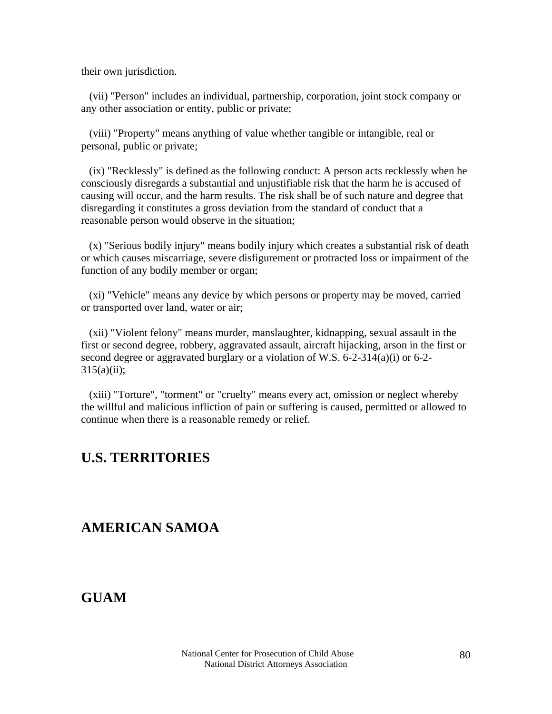their own jurisdiction.

 (vii) "Person" includes an individual, partnership, corporation, joint stock company or any other association or entity, public or private;

 (viii) "Property" means anything of value whether tangible or intangible, real or personal, public or private;

 (ix) "Recklessly" is defined as the following conduct: A person acts recklessly when he consciously disregards a substantial and unjustifiable risk that the harm he is accused of causing will occur, and the harm results. The risk shall be of such nature and degree that disregarding it constitutes a gross deviation from the standard of conduct that a reasonable person would observe in the situation;

 (x) "Serious bodily injury" means bodily injury which creates a substantial risk of death or which causes miscarriage, severe disfigurement or protracted loss or impairment of the function of any bodily member or organ;

 (xi) "Vehicle" means any device by which persons or property may be moved, carried or transported over land, water or air;

 (xii) "Violent felony" means murder, manslaughter, kidnapping, sexual assault in the first or second degree, robbery, aggravated assault, aircraft hijacking, arson in the first or second degree or aggravated burglary or a violation of [W.S. 6-2-314\(a\)\(i\)](https://www.lexis.com/research/buttonTFLink?_m=1f2067aacdf65b0bd4155b0cc0fb0254&_xfercite=%3ccite%20cc%3d%22USA%22%3e%3c%21%5bCDATA%5bWyo.%20Stat.%20%a7%206-1-104%5d%5d%3e%3c%2fcite%3e&_butType=4&_butStat=0&_butNum=40&_butInline=1&_butinfo=WYCODE%206-2-314&_fmtstr=FULL&docnum=4&_startdoc=1&wchp=dGLbVzb-zSkAW&_md5=1c238ea8bc0368e192fd451c1978eb95) or [6-2-](https://www.lexis.com/research/buttonTFLink?_m=1f2067aacdf65b0bd4155b0cc0fb0254&_xfercite=%3ccite%20cc%3d%22USA%22%3e%3c%21%5bCDATA%5bWyo.%20Stat.%20%a7%206-1-104%5d%5d%3e%3c%2fcite%3e&_butType=4&_butStat=0&_butNum=41&_butInline=1&_butinfo=WYCODE%206-2-315&_fmtstr=FULL&docnum=4&_startdoc=1&wchp=dGLbVzb-zSkAW&_md5=eda44079784e01f0c1362f90f22f1547)  $315(a)(ii)$ ;

 (xiii) "Torture", "torment" or "cruelty" means every act, omission or neglect whereby the willful and malicious infliction of pain or suffering is caused, permitted or allowed to continue when there is a reasonable remedy or relief.

# **U.S. TERRITORIES**

### **AMERICAN SAMOA**

#### **GUAM**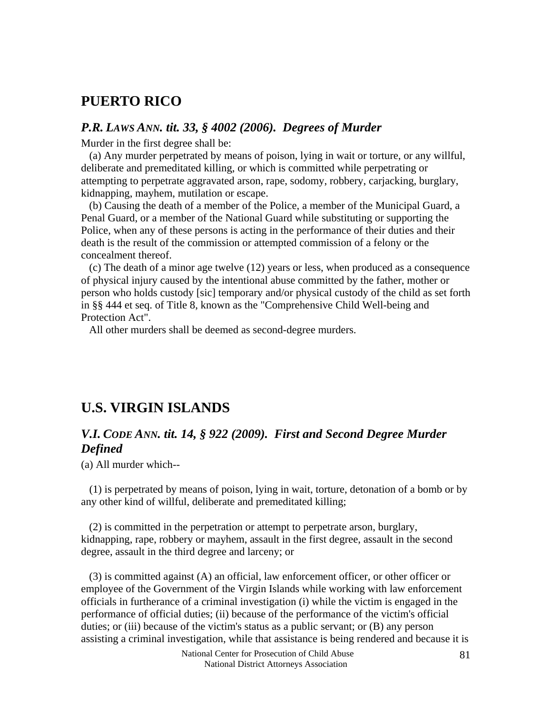# **PUERTO RICO**

#### *P.R. LAWS ANN. tit. 33, § 4002 (2006). Degrees of Murder*

Murder in the first degree shall be:

 (a) Any murder perpetrated by means of poison, lying in wait or torture, or any willful, deliberate and premeditated killing, or which is committed while perpetrating or attempting to perpetrate aggravated arson, rape, sodomy, robbery, carjacking, burglary, kidnapping, mayhem, mutilation or escape.

 (b) Causing the death of a member of the Police, a member of the Municipal Guard, a Penal Guard, or a member of the National Guard while substituting or supporting the Police, when any of these persons is acting in the performance of their duties and their death is the result of the commission or attempted commission of a felony or the concealment thereof.

 (c) The death of a minor age twelve (12) years or less, when produced as a consequence of physical injury caused by the intentional abuse committed by the father, mother or person who holds custody [sic] temporary and/or physical custody of the child as set forth in §§ 444 et seq. of Title 8, known as the "Comprehensive Child Well-being and Protection Act".

All other murders shall be deemed as second-degree murders.

### **U.S. VIRGIN ISLANDS**

### *V.I. CODE ANN. tit. 14, § 922 (2009). First and Second Degree Murder Defined*

(a) All murder which--

 (1) is perpetrated by means of poison, lying in wait, torture, detonation of a bomb or by any other kind of willful, deliberate and premeditated killing;

 (2) is committed in the perpetration or attempt to perpetrate arson, burglary, kidnapping, rape, robbery or mayhem, assault in the first degree, assault in the second degree, assault in the third degree and larceny; or

 (3) is committed against (A) an official, law enforcement officer, or other officer or employee of the Government of the Virgin Islands while working with law enforcement officials in furtherance of a criminal investigation (i) while the victim is engaged in the performance of official duties; (ii) because of the performance of the victim's official duties; or (iii) because of the victim's status as a public servant; or (B) any person assisting a criminal investigation, while that assistance is being rendered and because it is